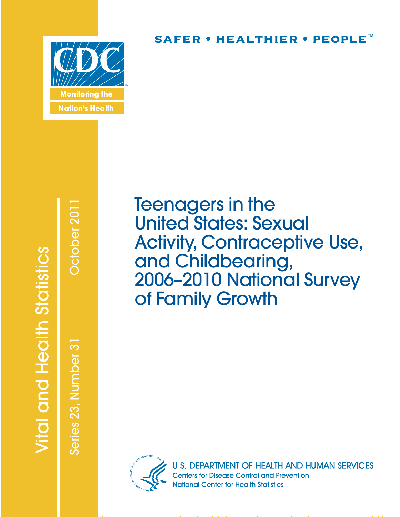

# SAFER • HEALTHIER • PEOPLE<sup>™</sup>

# **Vital and Health Statistics**

Series 23, Number 31 October 2011Series 23, Number 3

October 201

Teenagers in the United States: Sexual Activity, Contraceptive Use, and Childbearing, 2006–2010 National Survey of Family Growth



**U.S. DEPARTMENT OF HEALTH AND HUMAN SERVICES Centers for Disease Control and Prevention National Center for Health Statistics**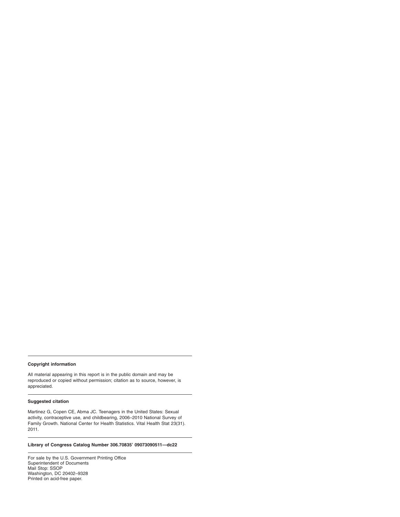#### **Copyright information**

All material appearing in this report is in the public domain and may be reproduced or copied without permission; citation as to source, however, is appreciated.

#### **Suggested citation**

Martinez G, Copen CE, Abma JC. Teenagers in the United States: Sexual activity, contraceptive use, and childbearing, 2006–2010 National Survey of Family Growth. National Center for Health Statistics. Vital Health Stat 23(31). 2011.

## **Library of Congress Catalog Number 306.70835' 09073090511—dc22**

For sale by the U.S. Government Printing Office Superintendent of Documents Mail Stop: SSOP Washington, DC 20402–9328 Printed on acid-free paper.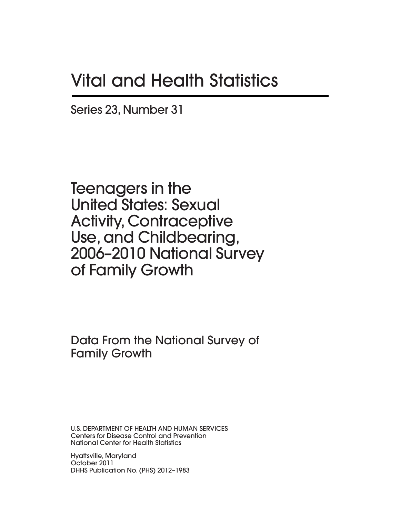# **Vital and Health Statistics**

Series 23, Number 31

Teenagers in the United States: Sexual Activity, Contraceptive Use, and Childbearing, 2006–2010 National Survey of Family Growth

Data From the National Survey of Family Growth

U.S. DEPARTMENT OF HEALTH AND HUMAN SERVICES Centers for Disease Control and Prevention National Center for Health Statistics

Hyattsville, Maryland October 2011 DHHS Publication No. (PHS) 2012–1983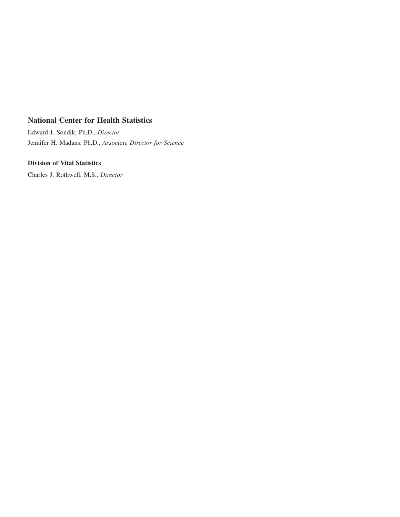# **National Center for Health Statistics**

Edward J. Sondik, Ph.D., *Director* Jennifer H. Madans, Ph.D., *Associate Director for Science*

# **Division of Vital Statistics**

Charles J. Rothwell, M.S., *Director*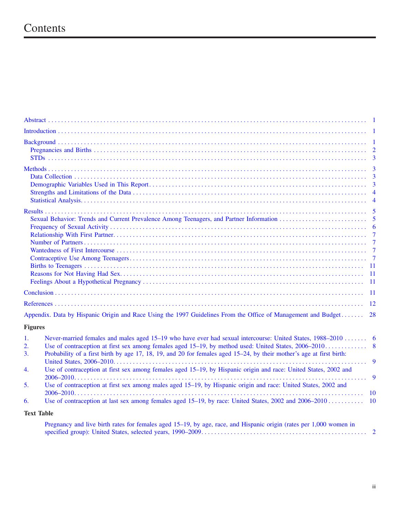# Contents

| Appendix. Data by Hispanic Origin and Race Using the 1997 Guidelines From the Office of Management and Budget<br>28                                                                                                                                                |
|--------------------------------------------------------------------------------------------------------------------------------------------------------------------------------------------------------------------------------------------------------------------|
| <b>Figures</b>                                                                                                                                                                                                                                                     |
| Never-married females and males aged 15–19 who have ever had sexual intercourse: United States, 1988–2010  6<br>$\mathbf{1}$ .<br>2.<br>Probability of a first birth by age 17, 18, 19, and 20 for females aged 15–24, by their mother's age at first birth:<br>3. |
| Use of contraception at first sex among females aged 15–19, by Hispanic origin and race: United States, 2002 and<br>$\overline{4}$ .<br>- 9                                                                                                                        |

5. [Use of contraception at first sex among males aged 15–19, by Hispanic origin and race: United States, 2002 and](#page-16-0) 2006–2010......................................................................................... 10 6. [Use of contraception at last sex among females aged 15–19, by race: United States, 2002 and 2006–2010](#page-16-0) ................... 10

# **Text Table**

| Pregnancy and live birth rates for females aged 15–19, by age, race, and Hispanic origin (rates per 1,000 women in |  |
|--------------------------------------------------------------------------------------------------------------------|--|
|                                                                                                                    |  |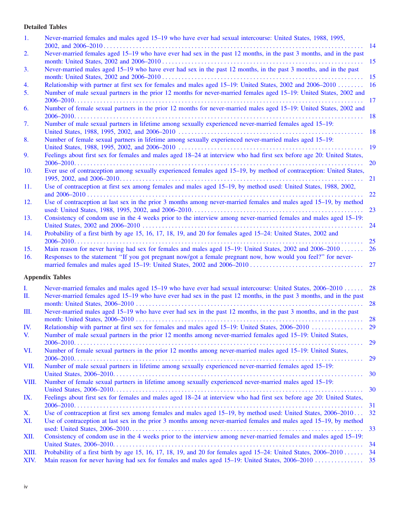# **Detailed Tables**

| 1.            | Never-married females and males aged 15–19 who have ever had sexual intercourse: United States, 1988, 1995,                                                                                                                       |               |
|---------------|-----------------------------------------------------------------------------------------------------------------------------------------------------------------------------------------------------------------------------------|---------------|
| 2.            | Never-married females aged 15–19 who have ever had sex in the past 12 months, in the past 3 months, and in the past                                                                                                               | 14            |
| 3.            | Never-married males aged 15–19 who have ever had sex in the past 12 months, in the past 3 months, and in the past                                                                                                                 | 15            |
|               |                                                                                                                                                                                                                                   | 15            |
| 4.<br>5.      | Relationship with partner at first sex for females and males aged 15–19: United States, 2002 and 2006–2010<br>Number of male sexual partners in the prior 12 months for never-married females aged 15–19: United States, 2002 and | 16            |
|               |                                                                                                                                                                                                                                   | <sup>17</sup> |
| 6.            | Number of female sexual partners in the prior 12 months for never-married males aged 15–19: United States, 2002 and                                                                                                               | 18            |
| 7.            | Number of male sexual partners in lifetime among sexually experienced never-married females aged 15-19:                                                                                                                           | 18            |
| 8.            | Number of female sexual partners in lifetime among sexually experienced never-married males aged 15-19:                                                                                                                           |               |
|               |                                                                                                                                                                                                                                   | <b>19</b>     |
| 9.            | Feelings about first sex for females and males aged 18-24 at interview who had first sex before age 20: United States,<br>$2006-2010$                                                                                             | <b>20</b>     |
| 10.           | Ever use of contraception among sexually experienced females aged 15–19, by method of contraception: United States,                                                                                                               |               |
| 11.           | Use of contraception at first sex among females and males aged 15–19, by method used: United States, 1988, 2002,                                                                                                                  | 21            |
|               |                                                                                                                                                                                                                                   | 22            |
| 12.           | Use of contraception at last sex in the prior 3 months among never-married females and males aged 15–19, by method                                                                                                                | 23            |
| 13.           | Consistency of condom use in the 4 weeks prior to the interview among never-married females and males aged 15–19:                                                                                                                 | 24            |
| 14.           | Probability of a first birth by age 15, 16, 17, 18, 19, and 20 for females aged 15–24: United States, 2002 and                                                                                                                    |               |
| 15.           | Main reason for never having had sex for females and males aged 15–19: United States, 2002 and 2006–2010                                                                                                                          | 25<br>26      |
| 16.           | Responses to the statement "If you got pregnant now/got a female pregnant now, how would you feel?" for never-                                                                                                                    | 27            |
|               | <b>Appendix Tables</b>                                                                                                                                                                                                            |               |
| I.            | Never-married females and males aged 15–19 who have ever had sexual intercourse: United States, 2006–2010                                                                                                                         | 28            |
| П.            | Never-married females aged 15-19 who have ever had sex in the past 12 months, in the past 3 months, and in the past                                                                                                               | 28            |
| Ш.            | Never-married males aged 15–19 who have ever had sex in the past 12 months, in the past 3 months, and in the past                                                                                                                 |               |
| IV.           | Relationship with partner at first sex for females and males aged 15-19: United States, 2006-2010                                                                                                                                 | 28<br>29      |
| V.            | Number of male sexual partners in the prior 12 months among never-married females aged 15–19: United States,                                                                                                                      |               |
| VI.           | Number of female sexual partners in the prior 12 months among never-married males aged 15–19: United States,                                                                                                                      | 29            |
| VII.          | Number of male sexual partners in lifetime among sexually experienced never-married females aged 15–19:                                                                                                                           | 29            |
|               |                                                                                                                                                                                                                                   | 30            |
| VIII.         | Number of female sexual partners in lifetime among sexually experienced never-married males aged 15–19:                                                                                                                           | 30            |
| IX.           | Feelings about first sex for females and males aged 18-24 at interview who had first sex before age 20: United States,                                                                                                            | 31            |
| X.            | Use of contraception at first sex among females and males aged 15–19, by method used: United States, 2006–2010                                                                                                                    | 32            |
| XI.           | Use of contraception at last sex in the prior 3 months among never-married females and males aged 15–19, by method                                                                                                                | 33            |
| XII.          | Consistency of condom use in the 4 weeks prior to the interview among never-married females and males aged 15–19:                                                                                                                 |               |
|               |                                                                                                                                                                                                                                   | 34            |
| XIII.<br>XIV. | Probability of a first birth by age 15, 16, 17, 18, 19, and 20 for females aged $15-24$ : United States, $2006-2010$                                                                                                              | 34            |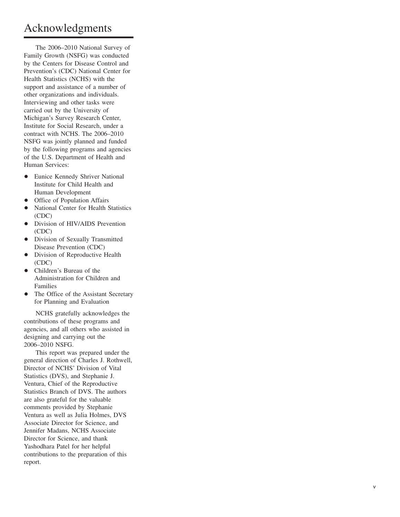# Acknowledgments

The 2006–2010 National Survey of Family Growth (NSFG) was conducted by the Centers for Disease Control and Prevention's (CDC) National Center for Health Statistics (NCHS) with the support and assistance of a number of other organizations and individuals. Interviewing and other tasks were carried out by the University of Michigan's Survey Research Center, Institute for Social Research, under a contract with NCHS. The 2006–2010 NSFG was jointly planned and funded by the following programs and agencies of the U.S. Department of Health and Human Services:

- Eunice Kennedy Shriver National Institute for Child Health and Human Development
- Office of Population Affairs
- National Center for Health Statistics (CDC)
- Division of HIV/AIDS Prevention (CDC)
- Division of Sexually Transmitted Disease Prevention (CDC)
- $\bullet$  Division of Reproductive Health (CDC)
- Children's Bureau of the Administration for Children and Families
- The Office of the Assistant Secretary for Planning and Evaluation

NCHS gratefully acknowledges the contributions of these programs and agencies, and all others who assisted in designing and carrying out the 2006–2010 NSFG.

This report was prepared under the general direction of Charles J. Rothwell, Director of NCHS' Division of Vital Statistics (DVS), and Stephanie J. Ventura, Chief of the Reproductive Statistics Branch of DVS. The authors are also grateful for the valuable comments provided by Stephanie Ventura as well as Julia Holmes, DVS Associate Director for Science, and Jennifer Madans, NCHS Associate Director for Science, and thank Yashodhara Patel for her helpful contributions to the preparation of this report.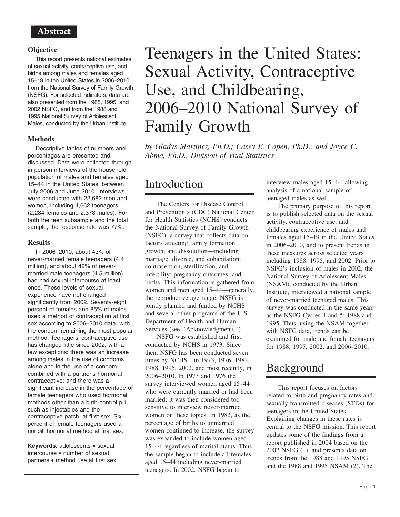# <span id="page-7-0"></span>Abstract

# **Objective**

This report presents national estimates of sexual activity, contraceptive use, and births among males and females aged 15–19 in the United States in 2006–2010 from the National Survey of Family Growth (NSFG). For selected indicators, data are also presented from the 1988, 1995, and 2002 NSFG, and from the 1988 and 1995 National Survey of Adolescent Males, conducted by the Urban Institute.

# **Methods**

Descriptive tables of numbers and percentages are presented and discussed. Data were collected through in-person interviews of the household population of males and females aged 15–44 in the United States, between July 2006 and June 2010. Interviews were conducted with 22,682 men and women, including 4,662 teenagers (2,284 females and 2,378 males). For both the teen subsample and the total sample, the response rate was 77%.

# **Results**

In 2006–2010, about 43% of never-married female teenagers (4.4 million), and about 42% of nevermarried male teenagers (4.5 million) had had sexual intercourse at least once. These levels of sexual experience have not changed significantly from 2002. Seventy-eight percent of females and 85% of males used a method of contraception at first sex according to 2006–2010 data, with the condom remaining the most popular method. Teenagers' contraceptive use has changed little since 2002, with a few exceptions: there was an increase among males in the use of condoms alone and in the use of a condom combined with a partner's hormonal contraceptive; and there was a significant increase in the percentage of female teenagers who used hormonal methods other than a birth-control pill, such as injectables and the contraceptive patch, at first sex. Six percent of female teenagers used a nonpill hormonal method at first sex.

**Keywords**: adolescents • sexual intercourse • number of sexual partners • method use at first sex

# Teenagers in the United States: Sexual Activity, Contraceptive Use, and Childbearing, 2006–2010 National Survey of Family Growth

*by Gladys Martinez, Ph.D.; Casey E. Copen, Ph.D.; and Joyce C. Abma, Ph.D., Division of Vital Statistics*

# **Introduction**

The Centers for Disease Control and Prevention's (CDC) National Center for Health Statistics (NCHS) conducts the National Survey of Family Growth (NSFG), a survey that collects data on factors affecting family formation, growth, and dissolution—including marriage, divorce, and cohabitation; contraception, sterilization, and infertility; pregnancy outcomes; and births. This information is gathered from women and men aged 15–44—generally, the reproductive age range. NSFG is jointly planned and funded by NCHS and several other programs of the U.S. Department of Health and Human Services (see ''Acknowledgments'').

NSFG was established and first conducted by NCHS in 1973. Since then, NSFG has been conducted seven times by NCHS—in 1973, 1976, 1982, 1988, 1995, 2002, and most recently, in 2006–2010. In 1973 and 1976 the survey interviewed women aged 15–44 who were currently married or had been married; it was then considered too sensitive to interview never-married women on these topics. In 1982, as the percentage of births to unmarried women continued to increase, the survey was expanded to include women aged 15–44 regardless of marital status. Thus the sample began to include all females aged 15–44 including never-married teenagers. In 2002, NSFG began to

interview males aged 15–44, allowing analysis of a national sample of teenaged males as well.

The primary purpose of this report is to publish selected data on the sexual activity, contraceptive use, and childbearing experience of males and females aged 15–19 in the United States in 2006–2010, and to present trends in these measures across selected years including 1988, 1995, and 2002. Prior to NSFG's inclusion of males in 2002, the National Survey of Adolescent Males (NSAM), conducted by the Urban Institute, interviewed a national sample of never-married teenaged males. This survey was conducted in the same years as the NSFG Cycles 4 and 5: 1988 and 1995. Thus, using the NSAM together with NSFG data, trends can be examined for male and female teenagers for 1988, 1995, 2002, and 2006–2010.

# Background

This report focuses on factors related to birth and pregnancy rates and sexually transmitted diseases (STDs) for teenagers in the United States. Explaining changes in these rates is central to the NSFG mission. This report updates some of the findings from a report published in 2004 based on the 2002 NSFG (1), and presents data on trends from the 1988 and 1995 NSFG and the 1988 and 1995 NSAM (2). The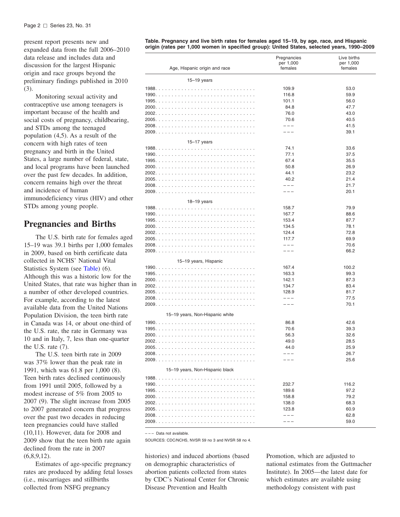#### <span id="page-8-0"></span>Page 2 □ Series 23, No. 31

present report presents new and expanded data from the full 2006–2010 data release and includes data and discussion for the largest Hispanic origin and race groups beyond the preliminary findings published in 2010 (3).

Monitoring sexual activity and contraceptive use among teenagers is important because of the health and social costs of pregnancy, childbearing, and STDs among the teenaged population (4,5). As a result of the concern with high rates of teen pregnancy and birth in the United States, a large number of federal, state, and local programs have been launched over the past few decades. In addition, concern remains high over the threat and incidence of human immunodeficiency virus (HIV) and other STDs among young people.

# **Pregnancies and Births**

The U.S. birth rate for females aged 15–19 was 39.1 births per 1,000 females in 2009, based on birth certificate data collected in NCHS' National Vital Statistics System (see Table) (6). Although this was a historic low for the United States, that rate was higher than in a number of other developed countries. For example, according to the latest available data from the United Nations Population Division, the teen birth rate in Canada was 14, or about one-third of the U.S. rate, the rate in Germany was 10 and in Italy, 7, less than one-quarter the U.S. rate (7).

The U.S. teen birth rate in 2009 was 37% lower than the peak rate in 1991, which was 61.8 per 1,000 (8). Teen birth rates declined continuously from 1991 until 2005, followed by a modest increase of 5% from 2005 to 2007 (9). The slight increase from 2005 to 2007 generated concern that progress over the past two decades in reducing teen pregnancies could have stalled (10,11). However, data for 2008 and 2009 show that the teen birth rate again declined from the rate in 2007  $(6,8,9,12)$ .

Estimates of age-specific pregnancy rates are produced by adding fetal losses (i.e., miscarriages and stillbirths collected from NSFG pregnancy

**Table. Pregnancy and live birth rates for females aged 15–19, by age, race, and Hispanic origin (rates per 1,000 women in specified group): United States, selected years, 1990–2009**

| Age, Hispanic origin and race   | Pregnancies<br>per 1,000<br>females | Live births<br>per 1,000<br>females |
|---------------------------------|-------------------------------------|-------------------------------------|
| $15-19$ years                   |                                     |                                     |
|                                 | 109.9                               | 53.0                                |
|                                 | 116.8                               | 59.9                                |
|                                 | 101.1                               | 56.0                                |
|                                 | 84.8                                | 47.7                                |
|                                 | 76.0                                | 43.0                                |
|                                 | 70.6                                | 40.5                                |
|                                 | $- - -$                             | 41.5                                |
|                                 | $- - -$                             | 39.1                                |
| $15 - 17$ years                 |                                     |                                     |
|                                 | 74.1                                | 33.6                                |
|                                 | 77.1                                | 37.5                                |
|                                 | 67.4                                | 35.5                                |
|                                 | 50.8                                | 26.9                                |
|                                 | 44.1                                | 23.2                                |
|                                 | 40.2                                | 21.4                                |
|                                 | $---$                               | 21.7                                |
|                                 | $---$                               | 20.1                                |
|                                 |                                     |                                     |
| $18-19$ years                   | 158.7                               | 79.9                                |
|                                 | 167.7                               | 88.6                                |
|                                 | 153.4                               | 87.7                                |
|                                 | 134.5                               | 78.1                                |
|                                 | 124.4                               | 72.8                                |
|                                 | 117.7                               | 69.9                                |
|                                 | $- - -$                             | 70.6                                |
|                                 | $- - -$                             | 66.2                                |
|                                 |                                     |                                     |
| 15-19 years, Hispanic           | 167.4                               | 100.2                               |
|                                 | 163.3                               | 99.3                                |
|                                 | 142.1                               | 87.3                                |
|                                 | 134.7                               | 83.4                                |
|                                 | 128.9                               | 81.7                                |
|                                 | $---$                               | 77.5                                |
|                                 |                                     | 70.1                                |
|                                 |                                     |                                     |
| 15-19 years, Non-Hispanic white |                                     |                                     |
|                                 | 86.8                                | 42.6                                |
|                                 | 70.6                                | 39.3                                |
|                                 | 56.3                                | 32.6                                |
|                                 | 49.0                                | 28.5                                |
|                                 | 44.0                                | 25.9                                |
|                                 | $- - -$<br>---                      | 26.7                                |
|                                 |                                     | 25.6                                |
| 15-19 years, Non-Hispanic black |                                     |                                     |
|                                 |                                     |                                     |
|                                 | 232.7                               | 116.2                               |
|                                 | 189.6                               | 97.2                                |
|                                 | 158.8                               | 79.2                                |
|                                 | 138.0                               | 68.3                                |
|                                 | 123.8                               | 60.9                                |
|                                 | $---$                               | 62.8                                |
|                                 | $- - -$                             | 59.0                                |

 $---$  Data not available.

SOURCES: CDC/NCHS, NVSR 59 no 3 and NVSR 58 no 4.

histories) and induced abortions (based Promotion, which are adjusted to abortion patients collected from states Institute). In 2005—the latest date for by CDC's National Center for Chronic which estimates are available using Disease Prevention and Health methodology consistent with past

on demographic characteristics of national estimates from the Guttmacher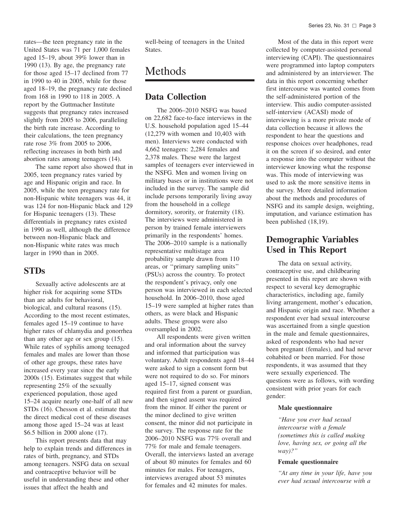<span id="page-9-0"></span>rates—the teen pregnancy rate in the United States was 71 per 1,000 females aged 15–19, about 39% lower than in 1990 (13). By age, the pregnancy rate for those aged 15–17 declined from 77 in 1990 to 40 in 2005, while for those aged 18–19, the pregnancy rate declined from 168 in 1990 to 118 in 2005. A report by the Guttmacher Institute suggests that pregnancy rates increased slightly from 2005 to 2006, paralleling the birth rate increase. According to their calculations, the teen pregnancy rate rose 3% from 2005 to 2006, reflecting increases in both birth and abortion rates among teenagers (14).

The same report also showed that in 2005, teen pregnancy rates varied by age and Hispanic origin and race. In 2005, while the teen pregnancy rate for non-Hispanic white teenagers was 44, it was 124 for non-Hispanic black and 129 for Hispanic teenagers (13). These differentials in pregnancy rates existed in 1990 as well, although the difference between non-Hispanic black and non-Hispanic white rates was much larger in 1990 than in 2005.

# **STDs**

Sexually active adolescents are at higher risk for acquiring some STDs than are adults for behavioral, biological, and cultural reasons (15). According to the most recent estimates, females aged 15–19 continue to have higher rates of chlamydia and gonorrhea than any other age or sex group (15). While rates of syphilis among teenaged females and males are lower than those of other age groups, these rates have increased every year since the early 2000s (15). Estimates suggest that while representing 25% of the sexually experienced population, those aged 15–24 acquire nearly one-half of all new STDs (16). Chesson et al. estimate that the direct medical cost of these diseases among those aged 15–24 was at least \$6.5 billion in 2000 alone (17).

This report presents data that may help to explain trends and differences in rates of birth, pregnancy, and STDs among teenagers. NSFG data on sexual and contraceptive behavior will be useful in understanding these and other issues that affect the health and

well-being of teenagers in the United States.

# Methods

# **Data Collection**

The 2006–2010 NSFG was based on 22,682 face-to-face interviews in the U.S. household population aged 15–44 (12,279 with women and 10,403 with men). Interviews were conducted with 4,662 teenagers: 2,284 females and 2,378 males. These were the largest samples of teenagers ever interviewed in the NSFG. Men and women living on military bases or in institutions were not included in the survey. The sample did include persons temporarily living away from the household in a college dormitory, sorority, or fraternity (18). The interviews were administered in person by trained female interviewers primarily in the respondents' homes. The 2006–2010 sample is a nationally representative multistage area probability sample drawn from 110 areas, or ''primary sampling units'' (PSUs) across the country. To protect the respondent's privacy, only one person was interviewed in each selected household. In 2006–2010, those aged 15–19 were sampled at higher rates than others, as were black and Hispanic adults. These groups were also oversampled in 2002.

All respondents were given written and oral information about the survey and informed that participation was voluntary. Adult respondents aged 18–44 were asked to sign a consent form but were not required to do so. For minors aged 15–17, signed consent was required first from a parent or guardian, and then signed assent was required from the minor. If either the parent or the minor declined to give written consent, the minor did not participate in the survey. The response rate for the 2006–2010 NSFG was 77% overall and 77% for male and female teenagers. Overall, the interviews lasted an average of about 80 minutes for females and 60 minutes for males. For teenagers, interviews averaged about 53 minutes for females and 42 minutes for males.

Most of the data in this report were collected by computer-assisted personal interviewing (CAPI). The questionnaires were programmed into laptop computers and administered by an interviewer. The data in this report concerning whether first intercourse was wanted comes from the self-administered portion of the interview. This audio computer-assisted self-interview (ACASI) mode of interviewing is a more private mode of data collection because it allows the respondent to hear the questions and response choices over headphones, read it on the screen if so desired, and enter a response into the computer without the interviewer knowing what the response was. This mode of interviewing was used to ask the more sensitive items in the survey. More detailed information about the methods and procedures of NSFG and its sample design, weighting, imputation, and variance estimation has been published (18,19).

# **Demographic Variables Used in This Report**

The data on sexual activity, contraceptive use, and childbearing presented in this report are shown with respect to several key demographic characteristics, including age, family living arrangement, mother's education, and Hispanic origin and race. Whether a respondent ever had sexual intercourse was ascertained from a single question in the male and female questionnaires, asked of respondents who had never been pregnant (females), and had never cohabited or been married. For those respondents, it was assumed that they were sexually experienced. The questions were as follows, with wording consistent with prior years for each gender:

## **Male questionnaire**

*''Have you ever had sexual intercourse with a female (sometimes this is called making love, having sex, or going all the way)?''*

#### **Female questionnaire**

*''At any time in your life, have you ever had sexual intercourse with a*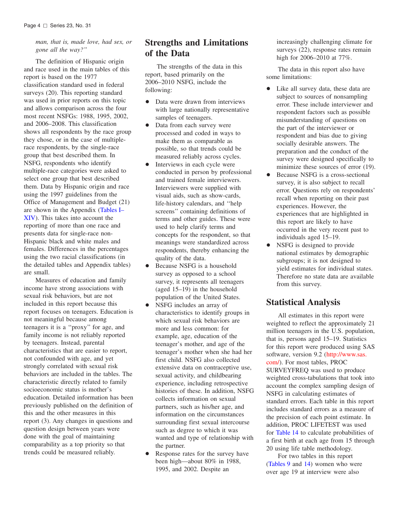<span id="page-10-0"></span>*man, that is, made love, had sex, or gone all the way?''*

The definition of Hispanic origin and race used in the main tables of this report is based on the 1977 classification standard used in federal surveys (20). This reporting standard was used in prior reports on this topic and allows comparison across the four most recent NSFGs: 1988, 1995, 2002, and 2006–2008. This classification shows all respondents by the race group they chose, or in the case of multiplerace respondents, by the single-race group that best described them. In NSFG, respondents who identify multiple-race categories were asked to select one group that best described them. Data by Hispanic origin and race using the 1997 guidelines from the Office of Management and Budget (21) are shown in the [Appendix](#page-34-0) (Tables I– XIV). This takes into account the reporting of more than one race and presents data for single-race non-Hispanic black and white males and females. Differences in the percentages using the two racial classifications (in the detailed tables and Appendix tables) are small.

Measures of education and family income have strong associations with sexual risk behaviors, but are not included in this report because this report focuses on teenagers. Education is not meaningful because among teenagers it is a ''proxy'' for age, and family income is not reliably reported by teenagers. Instead, parental characteristics that are easier to report, not confounded with age, and yet strongly correlated with sexual risk behaviors are included in the tables. The characteristic directly related to family socioeconomic status is mother's education. Detailed information has been previously published on the definition of this and the other measures in this report (3). Any changes in questions and question design between years were done with the goal of maintaining comparability as a top priority so that trends could be measured reliably.

# **Strengths and Limitations of the Data**

The strengths of the data in this report, based primarily on the 2006–2010 NSFG, include the following:

- Data were drawn from interviews with large nationally representative samples of teenagers.
- Data from each survey were processed and coded in ways to make them as comparable as possible, so that trends could be measured reliably across cycles.
- Interviews in each cycle were conducted in person by professional and trained female interviewers. Interviewers were supplied with visual aids, such as show-cards, life-history calendars, and ''help screens'' containing definitions of terms and other guides. These were used to help clarify terms and concepts for the respondent, so that meanings were standardized across respondents, thereby enhancing the quality of the data.
- Because NSFG is a household survey as opposed to a school survey, it represents all teenagers (aged 15–19) in the household population of the United States.
- NSFG includes an array of characteristics to identify groups in which sexual risk behaviors are more and less common: for example, age, education of the teenager's mother, and age of the teenager's mother when she had her first child. NSFG also collected extensive data on contraceptive use, sexual activity, and childbearing experience, including retrospective histories of these. In addition, NSFG collects information on sexual partners, such as his/her age, and information on the circumstances surrounding first sexual intercourse such as degree to which it was wanted and type of relationship with the partner.
- Response rates for the survey have been high—about 80% in 1988, 1995, and 2002. Despite an

increasingly challenging climate for surveys (22), response rates remain high for 2006–2010 at 77%.

The data in this report also have some limitations:

- Like all survey data, these data are subject to sources of nonsampling error. These include interviewer and respondent factors such as possible misunderstanding of questions on the part of the interviewer or respondent and bias due to giving socially desirable answers. The preparation and the conduct of the survey were designed specifically to minimize these sources of error  $(19)$ .
- Because NSFG is a cross-sectional survey, it is also subject to recall error. Questions rely on respondents' recall when reporting on their past experiences. However, the experiences that are highlighted in this report are likely to have occurred in the very recent past to individuals aged 15–19.
- NSFG is designed to provide national estimates by demographic subgroups; it is not designed to yield estimates for individual states. Therefore no state data are available from this survey.

# **Statistical Analysis**

All estimates in this report were weighted to reflect the approximately 21 million teenagers in the U.S. population, that is, persons aged 15–19. Statistics for this report were produced using SAS software, version 9.2 [\(http://www.sas.](http://www.sas.com/) com/). For most tables, PROC SURVEYFREQ was used to produce weighted cross-tabulations that took into account the complex sampling design of NSFG in calculating estimates of standard errors. Each table in this report includes standard errors as a measure of the precision of each point estimate. In addition, PROC LIFETEST was used for [Table](#page-31-0) 14 to calculate probabilities of a first birth at each age from 15 through 20 using life table methodology.

For two tables in this report [\(Tables](#page-26-0) 9 and [14\)](#page-31-0) women who were over age 19 at interview were also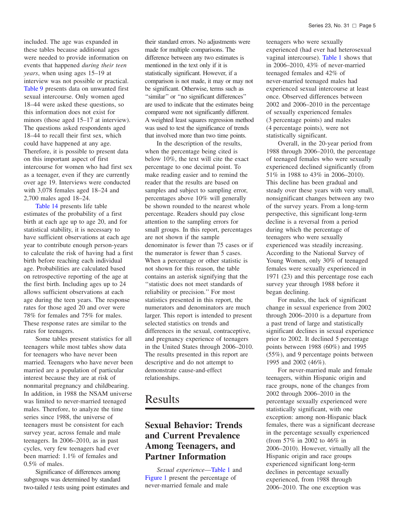<span id="page-11-0"></span>included. The age was expanded in these tables because additional ages were needed to provide information on events that happened *during their teen years*, when using ages 15–19 at interview was not possible or practical. [Table](#page-26-0) 9 presents data on unwanted first sexual intercourse. Only women aged 18–44 were asked these questions, so this information does not exist for minors (those aged 15–17 at interview). The questions asked respondents aged 18–44 to recall their first sex, which could have happened at any age. Therefore, it is possible to present data on this important aspect of first intercourse for women who had first sex as a teenager, even if they are currently over age 19. Interviews were conducted with 3,078 females aged 18–24 and 2,700 males aged 18–24.

[Table](#page-31-0) 14 presents life table estimates of the probability of a first birth at each age up to age 20, and for statistical stability, it is necessary to have sufficient observations at each age year to contribute enough person-years to calculate the risk of having had a first birth before reaching each individual age. Probabilities are calculated based on retrospective reporting of the age at the first birth. Including ages up to 24 allows sufficient observations at each age during the teen years. The response rates for those aged 20 and over were 78% for females and 75% for males. These response rates are similar to the rates for teenagers.

Some tables present statistics for all teenagers while most tables show data for teenagers who have never been married. Teenagers who have never been married are a population of particular interest because they are at risk of nonmarital pregnancy and childbearing. In addition, in 1988 the NSAM universe was limited to never-married teenaged males. Therefore, to analyze the time series since 1988, the universe of teenagers must be consistent for each survey year, across female and male teenagers. In 2006–2010, as in past cycles, very few teenagers had ever been married: 1.1% of females and 0.5% of males.

Significance of differences among subgroups was determined by standard two-tailed *t* tests using point estimates and

their standard errors. No adjustments were made for multiple comparisons. The difference between any two estimates is mentioned in the text only if it is statistically significant. However, if a comparison is not made, it may or may not be significant. Otherwise, terms such as ''similar'' or ''no significant differences'' are used to indicate that the estimates being compared were not significantly different. A weighted least squares regression method was used to test the significance of trends that involved more than two time points.

In the description of the results, when the percentage being cited is below 10%, the text will cite the exact percentage to one decimal point. To make reading easier and to remind the reader that the results are based on samples and subject to sampling error, percentages above 10% will generally be shown rounded to the nearest whole percentage. Readers should pay close attention to the sampling errors for small groups. In this report, percentages are not shown if the sample denominator is fewer than 75 cases or if the numerator is fewer than 5 cases. When a percentage or other statistic is not shown for this reason, the table contains an asterisk signifying that the ''statistic does not meet standards of reliability or precision.'' For most statistics presented in this report, the numerators and denominators are much larger. This report is intended to present selected statistics on trends and differences in the sexual, contraceptive, and pregnancy experience of teenagers in the United States through 2006–2010. The results presented in this report are descriptive and do not attempt to demonstrate cause-and-effect relationships.

# Results

# **Sexual Behavior: Trends and Current Prevalence Among Teenagers, and Partner Information**

*Sexual experience*[—Table](#page-20-0) 1 and [Figure](#page-12-0) 1 present the percentage of never-married female and male

teenagers who were sexually experienced (had ever had heterosexual vaginal intercourse). [Table](#page-20-0) 1 shows that in 2006–2010, 43% of never-married teenaged females and 42% of never-married teenaged males had experienced sexual intercourse at least once. Observed differences between 2002 and 2006–2010 in the percentage of sexually experienced females (3 percentage points) and males (4 percentage points), were not statistically significant.

Overall, in the 20-year period from 1988 through 2006–2010, the percentage of teenaged females who were sexually experienced declined significantly (from 51% in 1988 to 43% in 2006–2010). This decline has been gradual and steady over these years with very small, nonsignificant changes between any two of the survey years. From a long-term perspective, this significant long-term decline is a reversal from a period during which the percentage of teenagers who were sexually experienced was steadily increasing. According to the National Survey of Young Women, only 30% of teenaged females were sexually experienced in 1971 (23) and this percentage rose each survey year through 1988 before it began declining.

For males, the lack of significant change in sexual experience from 2002 through 2006–2010 is a departure from a past trend of large and statistically significant declines in sexual experience prior to 2002. It declined 5 percentage points between 1988 (60%) and 1995 (55%), and 9 percentage points between 1995 and 2002 (46%).

For never-married male and female teenagers, within Hispanic origin and race groups, none of the changes from 2002 through 2006–2010 in the percentage sexually experienced were statistically significant, with one exception: among non-Hispanic black females, there was a significant decrease in the percentage sexually experienced (from 57% in 2002 to 46% in 2006–2010). However, virtually all the Hispanic origin and race groups experienced significant long-term declines in percentage sexually experienced, from 1988 through 2006–2010. The one exception was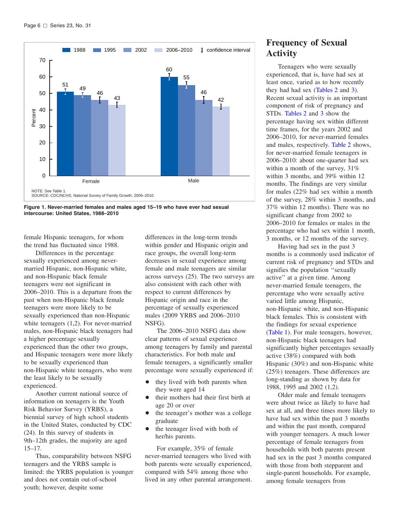<span id="page-12-0"></span>



female Hispanic teenagers, for whom the trend has fluctuated since 1988.

Differences in the percentage sexually experienced among nevermarried Hispanic, non-Hispanic white, and non-Hispanic black female teenagers were not significant in 2006–2010. This is a departure from the past when non-Hispanic black female teenagers were more likely to be sexually experienced than non-Hispanic white teenagers (1,2). For never-married males, non-Hispanic black teenagers had a higher percentage sexually experienced than the other two groups, and Hispanic teenagers were more likely to be sexually experienced than non-Hispanic white teenagers, who were the least likely to be sexually experienced.

Another current national source of information on teenagers is the Youth Risk Behavior Survey (YRBS), a biennial survey of high school students in the United States, conducted by CDC (24). In this survey of students in 9th–12th grades, the majority are aged 15–17.

Thus, comparability between NSFG teenagers and the YRBS sample is limited: the YRBS population is younger and does not contain out-of-school youth; however, despite some

differences in the long-term trends within gender and Hispanic origin and race groups, the overall long-term decreases in sexual experience among female and male teenagers are similar across surveys (25). The two surveys are also consistent with each other with respect to current differences by Hispanic origin and race in the percentage of sexually experienced males (2009 YRBS and 2006–2010 NSFG).

The 2006–2010 NSFG data show clear patterns of sexual experience among teenagers by family and parental characteristics. For both male and female teenagers, a significantly smaller percentage were sexually experienced if:

- $\bullet$  they lived with both parents when they were aged 14
- their mothers had their first birth at age 20 or over
- $\bullet$  the teenager's mother was a college graduate
- $\bullet$  the teenager lived with both of her/his parents.

For example, 35% of female never-married teenagers who lived with both parents were sexually experienced, compared with 54% among those who lived in any other parental arrangement.

# **Frequency of Sexual Activity**

Teenagers who were sexually experienced, that is, have had sex at least once, varied as to how recently they had had sex [\(Tables](#page-21-0) 2 and [3\).](#page-21-0) Recent sexual activity is an important component of risk of pregnancy and STDs. [Tables](#page-21-0) 2 and [3](#page-21-0) show the percentage having sex within different time frames, for the years 2002 and 2006–2010, for never-married females and males, respectively. [Table](#page-21-0) 2 shows, for never-married female teenagers in 2006–2010: about one-quarter had sex within a month of the survey, 31% within 3 months, and 39% within 12 months. The findings are very similar for males (22% had sex within a month of the survey, 28% within 3 months, and 37% within 12 months). There was no significant change from 2002 to 2006–2010 for females or males in the percentage who had sex within 1 month, 3 months, or 12 months of the survey.

Having had sex in the past 3 months is a commonly used indicator of current risk of pregnancy and STDs and signifies the population ''sexually active'' at a given time. Among never-married female teenagers, the percentage who were sexually active varied little among Hispanic, non-Hispanic white, and non-Hispanic black females. This is consistent with the findings for sexual experience [\(Table](#page-20-0) 1). For male teenagers, however, non-Hispanic black teenagers had significantly higher percentages sexually active (38%) compared with both Hispanic (30%) and non-Hispanic white (25%) teenagers. These differences are long-standing as shown by data for 1988, 1995 and 2002 (1,2).

Older male and female teenagers were about twice as likely to have had sex at all, and three times more likely to have had sex within the past 3 months and within the past month, compared with younger teenagers. A much lower percentage of female teenagers from households with both parents present had sex in the past 3 months compared with those from both stepparent and single-parent households. For example, among female teenagers from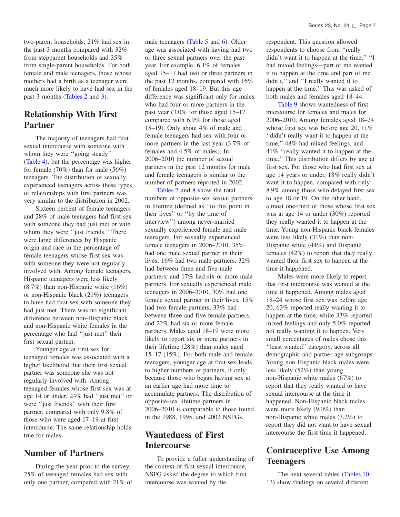<span id="page-13-0"></span>two-parent households, 21% had sex in the past 3 months compared with 32% from stepparent households and 35% from single-parent households. For both female and male teenagers, those whose mothers had a birth as a teenager were much more likely to have had sex in the past 3 months [\(Tables](#page-21-0) 2 and [3\).](#page-21-0)

# **Relationship With First Partner**

The majority of teenagers had first sexual intercourse with someone with whom they were "going steady" [\(Table](#page-22-0) 4), but the percentage was higher for female (70%) than for male (56%) teenagers. The distribution of sexually experienced teenagers across these types of relationships with first partners was very similar to the distribution in 2002.

Sixteen percent of female teenagers and 28% of male teenagers had first sex with someone they had just met or with whom they were "just friends." There were large differences by Hispanic origin and race in the percentage of female teenagers whose first sex was with someone they were not regularly involved with. Among female teenagers, Hispanic teenagers were less likely (8.7%) than non-Hispanic white (16%) or non-Hispanic black (21%) teenagers to have had first sex with someone they had just met. There was no significant difference between non-Hispanic black and non-Hispanic white females in the percentage who had ''just met'' their first sexual partner.

Younger age at first sex for teenaged females was associated with a higher likelihood that their first sexual partner was someone she was not regularly involved with. Among teenaged females whose first sex was at age 14 or under, 24% had ''just met'' or were ''just friends'' with their first partner, compared with only 9.8% of those who were aged 17–19 at first intercourse. The same relationship holds true for males.

# **Number of Partners**

During the year prior to the survey, 25% of teenaged females had sex with only one partner, compared with 21% of male teenagers [\(Table](#page-23-0) 5 and [6\).](#page-24-0) Older age was associated with having had two or three sexual partners over the past year. For example, 6.1% of females aged 15–17 had two or three partners in the past 12 months, compared with 16% of females aged 18–19. But this age difference was significant only for males who had four or more partners in the past year (3.0% for those aged 15–17 compared with 6.9% for those aged 18–19). Only about 4% of male and female teenagers had sex with four or more partners in the last year (3.7% of females and 4.5% of males). In 2006–2010 the number of sexual partners in the past 12 months for male and female teenagers is similar to the number of partners reported in 2002.

[Tables](#page-24-0) 7 and [8](#page-25-0) show the total numbers of opposite-sex sexual partners in lifetime (defined as ''to this point in their lives'' or ''by the time of interview'') among never-married sexually experienced female and male teenagers. For sexually experienced female teenagers in 2006–2010, 35% had one male sexual partner in their lives, 16% had two male partners, 32% had between three and five male partners, and 17% had six or more male partners. For sexually experienced male teenagers in 2006–2010, 30% had one female sexual partner in their lives, 15% had two female partners, 33% had between three and five female partners, and 22% had six or more female partners. Males aged 18–19 were more likely to report six or more partners in their lifetime (28%) than males aged 15–17 (15%). For both male and female teenagers, younger age at first sex leads to higher numbers of partners, if only because those who began having sex at an earlier age had more time to accumulate partners. The distribution of opposite-sex lifetime partners in 2006–2010 is comparable to those found in the 1988, 1995, and 2002 NSFGs.

# **Wantedness of First Intercourse**

To provide a fuller understanding of the context of first sexual intercourse, NSFG asked the degree to which first intercourse was wanted by the

respondent. This question allowed respondents to choose from ''really didn't want it to happen at the time,'' ''I had mixed feelings—part of me wanted it to happen at the time and part of me didn't,'' and ''I really wanted it to happen at the time.'' This was asked of both males and females aged 18–44.

[Table](#page-26-0) 9 shows wantedness of first intercourse for females and males for 2006–2010. Among females aged 18–24 whose first sex was before age 20, 11% ''didn't really want it to happen at the time,'' 48% had mixed feelings, and 41% ''really wanted it to happen at the time.'' This distribution differs by age at first sex. For those who had first sex at age 14 years or under, 18% really didn't want it to happen, compared with only 8.9% among those who delayed first sex to age 18 or 19. On the other hand, almost one-third of those whose first sex was at age 14 or under (30%) reported they really wanted it to happen at the time. Young non-Hispanic black females were less likely (31%) than non-Hispanic white (44%) and Hispanic females (42%) to report that they really wanted their first sex to happen at the time it happened.

Males were more likely to report that first intercourse was wanted at the time it happened. Among males aged 18–24 whose first sex was before age 20, 63% reported really wanting it to happen at the time, while 33% reported mixed feelings and only 5.0% reported not really wanting it to happen. Very small percentages of males chose this "least wanted" category, across all demographic and partner-age subgroups. Young non-Hispanic black males were less likely (52%) than young non-Hispanic white males (67%) to report that they really wanted to have sexual intercourse at the time it happened. Non-Hispanic black males were more likely (9.0%) than non-Hispanic white males (3.2%) to report they did not want to have sexual intercourse the first time it happened.

# **Contraceptive Use Among Teenagers**

The next several tables (Tables 10– 13) show findings on several [different](#page-27-0)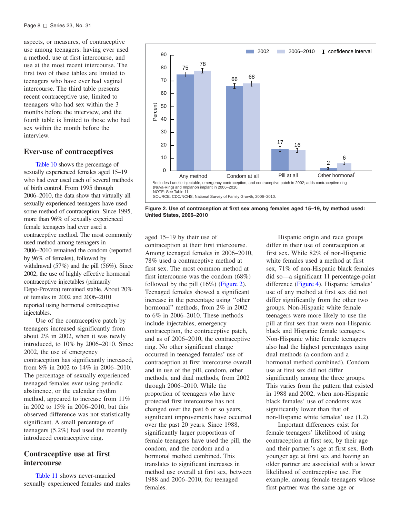<span id="page-14-0"></span>aspects, or measures, of contraceptive use among teenagers: having ever used a method, use at first intercourse, and use at the most recent intercourse. The first two of these tables are limited to teenagers who have ever had vaginal intercourse. The third table presents recent contraceptive use, limited to teenagers who had sex within the 3 months before the interview, and the fourth table is limited to those who had sex within the month before the interview.

# **Ever-use of contraceptives**

[Table](#page-27-0) 10 shows the percentage of sexually experienced females aged 15–19 who had ever used each of several methods of birth control. From 1995 through 2006–2010, the data show that virtually all sexually experienced teenagers have used some method of contraception. Since 1995, more than 96% of sexually experienced female teenagers had ever used a contraceptive method. The most commonly used method among teenagers in 2006–2010 remained the condom (reported by 96% of females), followed by withdrawal (57%) and the pill (56%). Since 2002, the use of highly effective hormonal contraceptive injectables (primarily Depo-Provera) remained stable. About 20% of females in 2002 and 2006–2010 reported using hormonal contraceptive injectables.

Use of the contraceptive patch by teenagers increased significantly from about 2% in 2002, when it was newly introduced, to 10% by 2006–2010. Since 2002, the use of emergency contraception has significantly increased, from 8% in 2002 to 14% in 2006–2010. The percentage of sexually experienced teenaged females ever using periodic abstinence, or the calendar rhythm method, appeared to increase from 11% in 2002 to 15% in 2006–2010, but this observed difference was not statistically significant. A small percentage of teenagers (5.2%) had used the recently introduced contraceptive ring.

# **Contraceptive use at first intercourse**

[Table](#page-28-0) 11 shows never-married sexually experienced females and males



**Figure 2. Use of contraception at first sex among females aged 15–19, by method used: United States, 2006–2010**

aged 15–19 by their use of contraception at their first intercourse. Among teenaged females in 2006–2010, 78% used a contraceptive method at first sex. The most common method at first intercourse was the condom (68%) followed by the pill (16%) (Figure 2). Teenaged females showed a significant increase in the percentage using ''other hormonal'' methods, from 2% in 2002 to 6% in 2006–2010. These methods include injectables, emergency contraception, the contraceptive patch, and as of 2006–2010, the contraceptive ring. No other significant change occurred in teenaged females' use of contraception at first intercourse overall and in use of the pill, condom, other methods, and dual methods, from 2002 through 2006–2010. While the proportion of teenagers who have protected first intercourse has not changed over the past 6 or so years, significant improvements have occurred over the past 20 years. Since 1988, significantly larger proportions of female teenagers have used the pill, the condom, and the condom and a hormonal method combined. This translates to significant increases in method use overall at first sex, between 1988 and 2006–2010, for teenaged females.

Hispanic origin and race groups differ in their use of contraception at first sex. While 82% of non-Hispanic white females used a method at first sex, 71% of non-Hispanic black females did so—a significant 11 percentage-point difference [\(Figure](#page-15-0) 4). Hispanic females' use of any method at first sex did not differ significantly from the other two groups. Non-Hispanic white female teenagers were more likely to use the pill at first sex than were non-Hispanic black and Hispanic female teenagers. Non-Hispanic white female teenagers also had the highest percentages using dual methods (a condom and a hormonal method combined). Condom use at first sex did not differ significantly among the three groups. This varies from the pattern that existed in 1988 and 2002, when non-Hispanic black females' use of condoms was significantly lower than that of non-Hispanic white females' use (1,2).

Important differences exist for female teenagers' likelihood of using contraception at first sex, by their age and their partner's age at first sex. Both younger age at first sex and having an older partner are associated with a lower likelihood of contraceptive use. For example, among female teenagers whose first partner was the same age or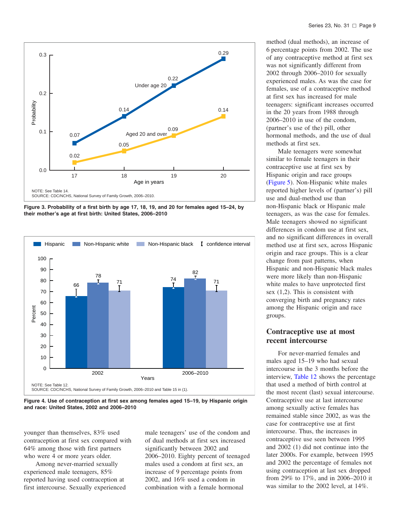<span id="page-15-0"></span>

**Figure 3. Probability of a first birth by age 17, 18, 19, and 20 for females aged 15–24, by their mother's age at first birth: United States, 2006–2010** 



**Figure 4. Use of contraception at first sex among females aged 15–19, by Hispanic origin and race: United States, 2002 and 2006–2010**

younger than themselves, 83% used contraception at first sex compared with 64% among those with first partners who were 4 or more years older.

Among never-married sexually experienced male teenagers, 85% reported having used contraception at first intercourse. Sexually experienced

male teenagers' use of the condom and of dual methods at first sex increased significantly between 2002 and 2006–2010. Eighty percent of teenaged males used a condom at first sex, an increase of 9 percentage points from 2002, and 16% used a condom in combination with a female hormonal

method (dual methods), an increase of 6 percentage points from 2002. The use of any contraceptive method at first sex was not significantly different from 2002 through 2006–2010 for sexually experienced males. As was the case for females, use of a contraceptive method at first sex has increased for male teenagers: significant increases occurred in the 20 years from 1988 through 2006–2010 in use of the condom, (partner's use of the) pill, other hormonal methods, and the use of dual methods at first sex.

Male teenagers were somewhat similar to female teenagers in their contraceptive use at first sex by Hispanic origin and race groups [\(Figure](#page-16-0) 5). Non-Hispanic white males reported higher levels of (partner's) pill use and dual-method use than non-Hispanic black or Hispanic male teenagers, as was the case for females. Male teenagers showed no significant differences in condom use at first sex, and no significant differences in overall method use at first sex, across Hispanic origin and race groups. This is a clear change from past patterns, when Hispanic and non-Hispanic black males were more likely than non-Hispanic white males to have unprotected first sex (1,2). This is consistent with converging birth and pregnancy rates among the Hispanic origin and race groups.

# **Contraceptive use at most recent intercourse**

For never-married females and males aged 15–19 who had sexual intercourse in the 3 months before the interview, [Table](#page-29-0) 12 shows the percentage that used a method of birth control at the most recent (last) sexual intercourse. Contraceptive use at last intercourse among sexually active females has remained stable since 2002, as was the case for contraceptive use at first intercourse. Thus, the increases in contraceptive use seen between 1995 and 2002 (1) did not continue into the later 2000s. For example, between 1995 and 2002 the percentage of females not using contraception at last sex dropped from 29% to 17%, and in 2006–2010 it was similar to the 2002 level, at 14%.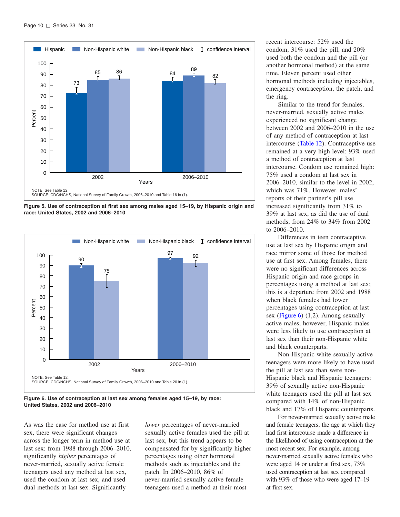<span id="page-16-0"></span>

**Figure 5. Use of contraception at first sex among males aged 15–19, by Hispanic origin and race: United States, 2002 and 2006–2010**



**Figure 6. Use of contraception at last sex among females aged 15–19, by race: United States, 2002 and 2006–2010**

As was the case for method use at first sex, there were significant changes across the longer term in method use at last sex: from 1988 through 2006–2010, significantly *higher* percentages of never-married, sexually active female teenagers used any method at last sex, used the condom at last sex, and used dual methods at last sex. Significantly

*lower* percentages of never-married sexually active females used the pill at last sex, but this trend appears to be compensated for by significantly higher percentages using other hormonal methods such as injectables and the patch. In 2006–2010, 86% of never-married sexually active female teenagers used a method at their most

recent intercourse: 52% used the condom, 31% used the pill, and 20% used both the condom and the pill (or another hormonal method) at the same time. Eleven percent used other hormonal methods including injectables, emergency contraception, the patch, and the ring.

Similar to the trend for females, never-married, sexually active males experienced no significant change between 2002 and 2006–2010 in the use of any method of contraception at last intercourse [\(Table](#page-29-0) 12). Contraceptive use remained at a very high level: 93% used a method of contraception at last intercourse. Condom use remained high: 75% used a condom at last sex in 2006–2010, similar to the level in 2002, which was 71%. However, males' reports of their partner's pill use increased significantly from 31% to 39% at last sex, as did the use of dual methods, from 24% to 34% from 2002 to 2006–2010.

Differences in teen contraceptive use at last sex by Hispanic origin and race mirror some of those for method use at first sex. Among females, there were no significant differences across Hispanic origin and race groups in percentages using a method at last sex; this is a departure from 2002 and 1988 when black females had lower percentages using contraception at last sex (Figure 6) (1,2). Among sexually active males, however, Hispanic males were less likely to use contraception at last sex than their non-Hispanic white and black counterparts.

Non-Hispanic white sexually active teenagers were more likely to have used the pill at last sex than were non-Hispanic black and Hispanic teenagers: 39% of sexually active non-Hispanic white teenagers used the pill at last sex compared with 14% of non-Hispanic black and 17% of Hispanic counterparts.

For never-married sexually active male and female teenagers, the age at which they had first intercourse made a difference in the likelihood of using contraception at the most recent sex. For example, among never-married sexually active females who were aged 14 or under at first sex, 73% used contraception at last sex compared with 93% of those who were aged 17–19 at first sex.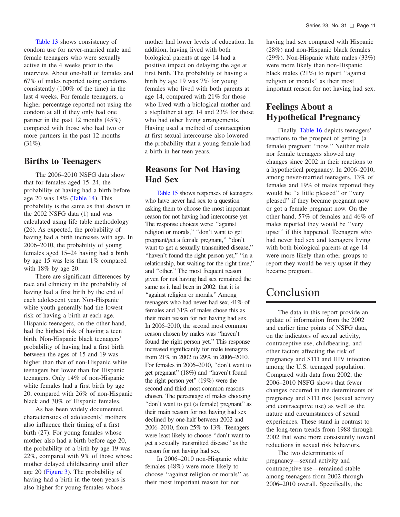<span id="page-17-0"></span>[Table](#page-30-0) 13 shows consistency of condom use for never-married male and female teenagers who were sexually active in the 4 weeks prior to the interview. About one-half of females and 67% of males reported using condoms consistently (100% of the time) in the last 4 weeks. For female teenagers, a higher percentage reported not using the condom at all if they only had one partner in the past 12 months (45%) compared with those who had two or more partners in the past 12 months  $(31\%).$ 

# **Births to Teenagers**

The 2006–2010 NSFG data show that for females aged 15–24, the probability of having had a birth before age 20 was 18% [\(Table](#page-31-0) 14). This probability is the same as that shown in the 2002 NSFG data (1) and was calculated using life table methodology (26). As expected, the probability of having had a birth increases with age. In 2006–2010, the probability of young females aged 15–24 having had a birth by age 15 was less than 1% compared with 18% by age 20.

There are significant differences by race and ethnicity in the probability of having had a first birth by the end of each adolescent year. Non-Hispanic white youth generally had the lowest risk of having a birth at each age. Hispanic teenagers, on the other hand, had the highest risk of having a teen birth. Non-Hispanic black teenagers' probability of having had a first birth between the ages of 15 and 19 was higher than that of non-Hispanic white teenagers but lower than for Hispanic teenagers. Only 14% of non-Hispanic white females had a first birth by age 20, compared with 26% of non-Hispanic black and 30% of Hispanic females.

As has been widely documented, characteristics of adolescents' mothers also influence their timing of a first birth (27). For young females whose mother also had a birth before age 20, the probability of a birth by age 19 was 22%, compared with 9% of those whose mother delayed childbearing until after age 20 [\(Figure](#page-15-0) 3). The probability of having had a birth in the teen years is also higher for young females whose

mother had lower levels of education. In addition, having lived with both biological parents at age 14 had a positive impact on delaying the age at first birth. The probability of having a birth by age 19 was 7% for young females who lived with both parents at age 14, compared with 21% for those who lived with a biological mother and a stepfather at age 14 and 23% for those who had other living arrangements. Having used a method of contraception at first sexual intercourse also lowered the probability that a young female had a birth in her teen years.

# **Reasons for Not Having Had Sex**

[Table](#page-32-0) 15 shows responses of teenagers who have never had sex to a question asking them to choose the most important reason for not having had intercourse yet. The response choices were: ''against religion or morals,'' ''don't want to get pregnant/get a female pregnant,'' ''don't want to get a sexually transmitted disease,'' ''haven't found the right person yet,'' ''in a relationship, but waiting for the right time,'' and ''other.'' The most frequent reason given for not having had sex remained the same as it had been in 2002: that it is ''against religion or morals.'' Among teenagers who had never had sex, 41% of females and 31% of males chose this as their main reason for not having had sex. In 2006–2010, the second most common reason chosen by males was ''haven't found the right person yet.'' This response increased significantly for male teenagers from 21% in 2002 to 29% in 2006–2010. For females in 2006–2010, ''don't want to get pregnant'' (18%) and ''haven't found the right person yet'' (19%) were the second and third most common reasons chosen. The percentage of males choosing ''don't want to get (a female) pregnant'' as their main reason for not having had sex declined by one-half between 2002 and 2006–2010, from 25% to 13%. Teenagers were least likely to choose ''don't want to get a sexually transmitted disease'' as the reason for not having had sex.

In 2006–2010 non-Hispanic white females (48%) were more likely to choose ''against religion or morals'' as their most important reason for not

having had sex compared with Hispanic (28%) and non-Hispanic black females (29%). Non-Hispanic white males (33%) were more likely than non-Hispanic black males (21%) to report ''against religion or morals'' as their most important reason for not having had sex.

# **Feelings About a Hypothetical Pregnancy**

Finally, [Table](#page-33-0) 16 depicts teenagers' reactions to the prospect of getting (a female) pregnant ''now.'' Neither male nor female teenagers showed any changes since 2002 in their reactions to a hypothetical pregnancy. In 2006–2010, among never-married teenagers, 13% of females and 19% of males reported they would be ''a little pleased'' or ''very pleased'' if they became pregnant now or got a female pregnant now. On the other hand, 57% of females and 46% of males reported they would be ''very upset'' if this happened. Teenagers who had never had sex and teenagers living with both biological parents at age 14 were more likely than other groups to report they would be very upset if they became pregnant.

# Conclusion

The data in this report provide an update of information from the 2002 and earlier time points of NSFG data, on the indicators of sexual activity, contraceptive use, childbearing, and other factors affecting the risk of pregnancy and STD and HIV infection among the U.S. teenaged population. Compared with data from 2002, the 2006–2010 NSFG shows that fewer changes occurred in the determinants of pregnancy and STD risk (sexual activity and contraceptive use) as well as the nature and circumstances of sexual experiences. These stand in contrast to the long-term trends from 1988 through 2002 that were more consistently toward reductions in sexual risk behaviors.

The two determinants of pregnancy—sexual activity and contraceptive use—remained stable among teenagers from 2002 through 2006–2010 overall. Specifically, the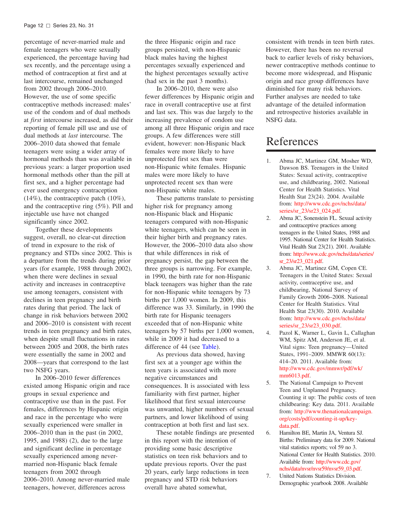<span id="page-18-0"></span> percentage of never-married male and female teenagers who were sexually experienced, the percentage having had sex recently, and the percentage using a method of contraception at first and at last intercourse, remained unchanged from 2002 through 2006–2010. However, the use of some specific contraceptive methods increased: males' use of the condom and of dual methods at *first* intercourse increased, as did their reporting of female pill use and use of dual methods at *last* intercourse. The 2006–2010 data showed that female teenagers were using a wider array of hormonal methods than was available in previous years: a larger proportion used hormonal methods other than the pill at first sex, and a higher percentage had ever used emergency contraception (14%), the contraceptive patch (10%), and the contraceptive ring (5%). Pill and injectable use have not changed significantly since 2002.

 Together these developments suggest, overall, no clear-cut direction of trend in exposure to the risk of pregnancy and STDs since 2002. This is a departure from the trends during prior years (for example, 1988 through 2002), when there were declines in sexual activity and increases in contraceptive use among teenagers, consistent with declines in teen pregnancy and birth rates during that period. The lack of change in risk behaviors between 2002 and 2006–2010 is consistent with recent trends in teen pregnancy and birth rates, when despite small fluctuations in rates between 2005 and 2008, the birth rates were essentially the same in 2002 and 2008—years that correspond to the last two NSFG years.

 In 2006–2010 fewer differences existed among Hispanic origin and race groups in sexual experience and contraceptive use than in the past. For females, differences by Hispanic origin and race in the percentage who were sexually experienced were smaller in 2006–2010 than in the past (in 2002, 1995, and 1988) (2), due to the large and significant decline in percentage sexually experienced among never- married non-Hispanic black female teenagers from 2002 through 2006–2010. Among never-married male teenagers, however, differences across

 the three Hispanic origin and race groups persisted, with non-Hispanic black males having the highest percentages sexually experienced and the highest percentages sexually active (had sex in the past 3 months).

 In 2006–2010, there were also fewer differences by Hispanic origin and race in overall contraceptive use at first and last sex. This was due largely to the increasing prevalence of condom use among all three Hispanic origin and race groups. A few differences were still evident, however: non-Hispanic black females were more likely to have unprotected first sex than were non-Hispanic white females. Hispanic males were more likely to have unprotected recent sex than were non-Hispanic white males.

 These patterns translate to persisting higher risk for pregnancy among non-Hispanic black and Hispanic teenagers compared with non-Hispanic white teenagers, which can be seen in their higher birth and pregnancy rates. However, the 2006–2010 data also show that while differences in risk of pregnancy persist, the gap between the three groups is narrowing. For example, in 1990, the birth rate for non-Hispanic black teenagers was higher than the rate for non-Hispanic white teenagers by 73 births per 1,000 women. In 2009, this difference was 33. Similarly, in 1990 the birth rate for Hispanic teenagers exceeded that of non-Hispanic white teenagers by 57 births per 1,000 women, while in 2009 it had decreased to a difference of 44 (see Table).

 As previous data showed, having first sex at a younger age within the teen years is associated with more negative circumstances and consequences. It is associated with less familiarity with first partner, higher likelihood that first sexual intercourse was unwanted, higher numbers of sexual partners, and lower likelihood of using contraception at both first and last sex.

 These notable findings are presented in this report with the intention of providing some basic descriptive statistics on teen risk behaviors and to update previous reports. Over the past 20 years, early large reductions in teen pregnancy and STD risk behaviors overall have abated somewhat,

 consistent with trends in teen birth rates. However, there has been no reversal back to earlier levels of risky behaviors, newer contraceptive methods continue to become more widespread, and Hispanic origin and race group differences have diminished for many risk behaviors. Further analyses are needed to take advantage of the detailed information and retrospective histories available in NSFG data.

# References

- $1$  Dawson BS. Teenagers in the United States: Sexual activity, contraceptive use, and childbearing, 2002. National Center for Health Statistics. Vital Abma JC, Martinez GM, Mosher WD, Health Stat 23(24). 2004. Available [from: http://www.cdc.gov/nchs/data/](http://www.cdc.gov/nchs/data/series/sr_23/sr23_024.pdf)  series/sr\_23/sr23\_024.pdf.
- $2^{\circ}$  and contraceptive practices among teenagers in the United States, 1988 and 1995. National Center for Health Statistics. Vital Health Stat 23(21). 2001. Available Abma JC, Sonenstein FL. Sexual activity [from: http://www.cdc.gov/nchs/data/series/](http://www.cdc.gov/nchs/data/series/sr_23/sr23_021.pdf)  sr\_23/sr23\_021.pdf.
- 3. Abma JC, Martinez GM, Copen CE. Teenagers in the United States: Sexual activity, contraceptive use, and childbearing, National Survey of Family Growth 2006–2008. National Center for Health Statistics. Vital Health Stat 23(30). 2010. Available [from: http://www.cdc.gov/nchs/data/](http://www.cdc.gov/nchs/data/series/sr_23/sr23_030.pdf)  series/sr\_23/sr23\_030.pdf.
- $4.$  WM, Spitz AM, Anderson JE, et al. Vital signs: Teen pregnancy—United States, 1991–2009. MMWR 60(13): 414–20. 2011. Available from: Pazol K, Warner L, Gavin L, Callaghan [http://www.cdc.gov/mmwr/pdf/wk/](http://www.cdc.gov/mmwr/pdf/wk/mm6013.pdf)  mm6013.pdf.
- 5. Teen and Unplanned Pregnancy. Counting it up: The public costs of teen childbearing: Key data. 2011. Available The National Campaign to Prevent [from: http://www.thenationalcampaign.](http://www.thenationalcampaign.org/costs/pdf/counting-it-up/key-data.pdf)  org/costs/pdf/counting-it-up/keydata.pdf.
- 6. Births: Preliminary data for 2009. National vital statistics reports; vol 59 no 3. National Center for Health Statistics. 2010. Available from: http://www.cdc.gov/ Hamilton BE, Martin JA, Ventura SJ. [nchs/data/nvsr/nvsr59/nvsr59\\_03.pdf.](http://www.cdc.gov/nchs/data/nvsr/nvsr59/nvsr59_03.pdf)
- 7. Demographic yearbook 2008. Available United Nations Statistics Division.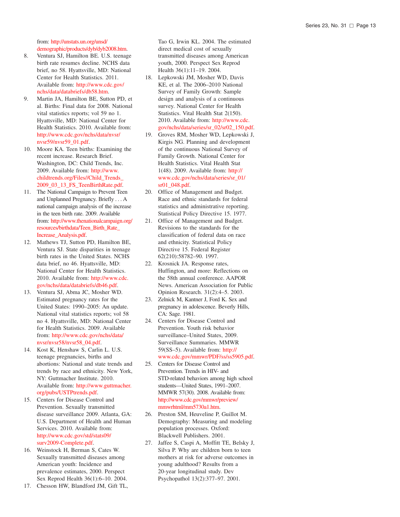from: http://unstats.un.org/unsd/ [demographic/products/dyb/dyb2008.htm.](http://unstats.un.org/unsd/demographic/products/dyb/dyb2008.htm)

- 8. Ventura SJ, Hamilton BE. U.S. teenage birth rate resumes decline. NCHS data brief, no 58. Hyattsville, MD: National Center for Health Statistics. 2011. 18. Available from: http://www.cdc.gov/ [nchs/data/databriefs/db58.htm.](http://www.cdc.gov/nchs/data/databriefs/db58.htm)
- 9. Martin JA, Hamilton BE, Sutton PD, et al. Births: Final data for 2008. National vital statistics reports; vol 59 no 1. Hyattsville, MD: National Center for Health Statistics. 2010. Available from: [http://www.cdc.gov/nchs/data/nvsr/](http://www.cdc.gov/nchs/data/nvsr/nvsr59/nvsr59_01.pdf) nvsr59/nvsr59\_01.pdf.
- 10. Moore KA. Teen births: Examining the recent increase. Research Brief. Washington, DC: Child Trends, Inc. 2009. Available from: http://www. [childtrends.org/Files//Child\\_Trends\\_](http://www.childtrends.org/Files//Child_Trends_2009_03_13_FS_TeenBirthRate.pdf) 2009\_03\_13\_FS\_TeenBirthRate.pdf.
- 11. The National Campaign to Prevent Teen and Unplanned Pregnancy. Briefly ...A national campaign analysis of the increase in the teen birth rate. 2009. Available from: http://www.thenationalcampaign.org/ [resources/birthdata/Teen\\_Birth\\_Rate\\_](http://www.thenationalcampaign.org/resources/birthdata/Teen_Birth_Rate_Increase_Analysis.pdf) Increase\_Analysis.pdf.
- 12. Mathews TJ, Sutton PD, Hamilton BE, Ventura SJ. State disparities in teenage birth rates in the United States. NCHS data brief, no 46. Hyattsville, MD: National Center for Health Statistics. 2010. Available from: http://www.cdc. [gov/nchs/data/databriefs/db46.pdf.](http://www.cdc.gov/nchs/data/databriefs/db46.htm)
- 13. Ventura SJ, Abma JC, Mosher WD. Estimated pregnancy rates for the United States: 1990–2005: An update. National vital statistics reports; vol 58 no 4. Hyattsville, MD: National Center for Health Statistics. 2009. Available from: [http://www.cdc.gov/nchs/data/](http://www.cdc.gov/nchs/data/nvsr/nvsr58/nvsr58_04.pdf) nvsr/nvsr58/nvsr58\_04.pdf.
- 14. Kost K, Henshaw S, Carlin L. U.S. teenage pregnancies, births and abortions: National and state trends and 25. Centers for Disease Control and trends by race and ethnicity. New York, Prevention. Trends in HIV- and NY: Guttmacher Institute. 2010. Available from: http://www.guttmacher. [org/pubs/USTPtrends.pdf.](http://www.guttmacher.org/pubs/USTPtrends.pdf)
- 15. Centers for Disease Control and Prevention. Sexually transmitted disease surveillance 2009. Atlanta, GA: 26. U.S. Department of Health and Human Services. 2010. Available from: [http://www.cdc.gov/std/stats09/](http://www.cdc.gov/std/stats09/surv2009-Complete.pdf) surv2009-Complete.pdf.
- 16. Weinstock H, Berman S, Cates W. Sexually transmitted diseases among American youth: Incidence and prevalence estimates, 2000. Perspect Sex Reprod Health 36(1):6–10. 2004.
- 17. Chesson HW, Blandford JM, Gift TL,

Tao G, Irwin KL. 2004. The estimated direct medical cost of sexually transmitted diseases among American youth, 2000. Perspect Sex Reprod Health 36(1):11–19. 2004.

- Lepkowski JM, Mosher WD, Davis KE, et al. The 2006–2010 National Survey of Family Growth: Sample design and analysis of a continuous survey. National Center for Health Statistics. Vital Health Stat 2(150). 2010. Available from: http://www.cdc. [gov/nchs/data/series/sr\\_02/sr02\\_150.pdf.](http://www.cdc.gov/nchs/data/series/sr_02/sr02_150.pdf)
- 19. Groves RM, Mosher WD, Lepkowski J, Kirgis NG. Planning and development of the continuous National Survey of Family Growth. National Center for Health Statistics. Vital Health Stat 1(48). 2009. Available from: http:// [www.cdc.gov/nchs/data/series/sr\\_01/](http://www.cdc.gov/nchs/data/series/sr_01/sr01_048.pdf) sr01\_048.pdf.
- 20. Office of Management and Budget. Race and ethnic standards for federal statistics and administrative reporting. Statistical Policy Directive 15. 1977.
- 21. Office of Management and Budget. Revisions to the standards for the classification of federal data on race and ethnicity. Statistical Policy Directive 15. Federal Register 62(210):58782–90. 1997.
- 22. Krosnick JA. Response rates, Huffington, and more: Reflections on the 58th annual conference. AAPOR News. American Association for Public Opinion Research. 31(2):4–5. 2003.
- 23. Zelnick M, Kantner J, Ford K. Sex and pregnancy in adolescence. Beverly Hills, CA: Sage. 1981.
- 24. Centers for Disease Control and Prevention. Youth risk behavior surveillance–United States, 2009. Surveillance Summaries. MMWR 59(SS–5). Available from: http:// [www.cdc.gov/mmwr/PDF/ss/ss5905.pdf.](http://www.cdc.gov/mmwr/PDF/ss/ss5905.pdf)
- STD-related behaviors among high school students—United States, 1991–2007. MMWR 57(30). 2008. Available from: [http://www.cdc.gov/mmwr/preview/](http://www.cdc.gov/mmwr/preview/mmwrhtml/mm5730a1.htm) mmwrhtml/mm5730a1.htm.
- Preston SM, Heuveline P, Guillot M. Demography: Measuring and modeling population processes. Oxford: Blackwell Publishers. 2001.
- 27. Jaffee S, Caspi A, Moffitt TE, Belsky J, Silva P. Why are children born to teen mothers at risk for adverse outcomes in young adulthood? Results from a 20-year longitudinal study. Dev Psychopathol 13(2):377–97. 2001.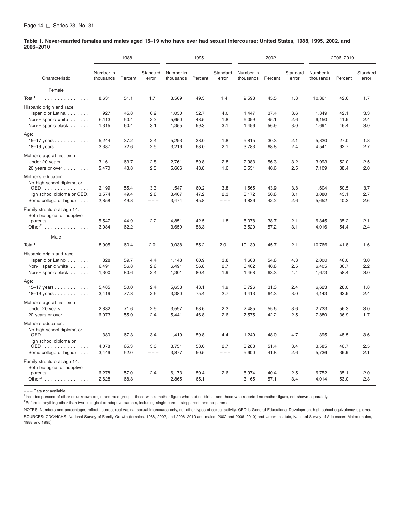#### <span id="page-20-0"></span>Table 1. Never-married females and males aged 15-19 who have ever had sexual intercourse: United States, 1988, 1995, 2002, and **2006–2010**

|                                                       |                        | 1988         |                   |                        | 1995         |                   |                        | 2002         |                   |                        | 2006-2010    |                   |
|-------------------------------------------------------|------------------------|--------------|-------------------|------------------------|--------------|-------------------|------------------------|--------------|-------------------|------------------------|--------------|-------------------|
| Characteristic                                        | Number in<br>thousands | Percent      | Standard<br>error | Number in<br>thousands | Percent      | Standard<br>error | Number in<br>thousands | Percent      | Standard<br>error | Number in<br>thousands | Percent      | Standard<br>error |
| Female                                                |                        |              |                   |                        |              |                   |                        |              |                   |                        |              |                   |
| Total <sup>1</sup>                                    | 8,631                  | 51.1         | 1.7               | 8,509                  | 49.3         | 1.4               | 9,598                  | 45.5         | 1.8               | 10,361                 | 42.6         | 1.7               |
| Hispanic origin and race:                             |                        |              |                   |                        |              |                   |                        |              |                   |                        |              |                   |
| Hispanic or Latina                                    | 927                    | 45.8         | 6.2               | 1,050                  | 52.7         | 4.0               | 1,447                  | 37.4         | 3.6               | 1,849                  | 42.1         | 3.3               |
| Non-Hispanic white                                    | 6,113                  | 50.4         | 2.2               | 5,650                  | 48.5         | 1.8               | 6,099                  | 45.1         | 2.6               | 6,150                  | 41.9         | 2.4               |
| Non-Hispanic black                                    | 1,315                  | 60.4         | 3.1               | 1,355                  | 59.3         | 3.1               | 1,496                  | 56.9         | 3.0               | 1,691                  | 46.4         | 3.0               |
| Age:                                                  |                        |              |                   |                        |              |                   |                        |              |                   |                        |              |                   |
| 15-17 years.                                          | 5,244                  | 37.2         | 2.4               | 5,293                  | 38.0         | 1.8               | 5,815                  | 30.3         | 2.1               | 5,820                  | 27.0         | 1.8               |
| 18-19 years                                           | 3,387                  | 72.6         | 2.5               | 3,216                  | 68.0         | 2.1               | 3,783                  | 68.8         | 2.4               | 4,541                  | 62.7         | 2.7               |
| Mother's age at first birth:                          |                        |              |                   |                        |              |                   |                        |              |                   |                        |              |                   |
| Under 20 years                                        | 3,161                  | 63.7         | 2.8               | 2,761                  | 59.8         | 2.8               | 2,983                  | 56.3         | 3.2               | 3,093                  | 52.0         | 2.5               |
| 20 years or over                                      | 5,470                  | 43.8         | 2.3               | 5,666                  | 43.8         | 1.6               | 6,531                  | 40.6         | 2.5               | 7,109                  | 38.4         | 2.0               |
| Mother's education:                                   |                        |              |                   |                        |              |                   |                        |              |                   |                        |              |                   |
| No high school diploma or                             |                        |              |                   |                        |              |                   |                        |              |                   |                        |              |                   |
| GED.                                                  | 2,199                  | 55.4         | 3.3               | 1,547                  | 60.2         | 3.8               | 1,565                  | 43.9         | 3.8               | 1,604                  | 50.5         | 3.7               |
| High school diploma or GED.<br>Some college or higher | 3,574<br>2,858         | 49.4<br>49.8 | 2.8<br>$---$      | 3,407<br>3,474         | 47.2<br>45.8 | 2.3<br>$---$      | 3,172<br>4,826         | 50.8<br>42.2 | 3.1<br>2.6        | 3,080<br>5,652         | 43.1<br>40.2 | 2.7<br>2.6        |
|                                                       |                        |              |                   |                        |              |                   |                        |              |                   |                        |              |                   |
| Family structure at age 14:                           |                        |              |                   |                        |              |                   |                        |              |                   |                        |              |                   |
| Both biological or adoptive<br>parents                | 5,547                  | 44.9         | 2.2               | 4,851                  | 42.5         | 1.8               | 6,078                  | 38.7         | 2.1               | 6,345                  | 35.2         | 2.1               |
| Other <sup>2</sup>                                    | 3,084                  | 62.2         | $---$             | 3,659                  | 58.3         | $---$             | 3,520                  | 57.2         | 3.1               | 4,016                  | 54.4         | 2.4               |
|                                                       |                        |              |                   |                        |              |                   |                        |              |                   |                        |              |                   |
| Male                                                  |                        |              |                   |                        |              |                   |                        |              |                   |                        |              |                   |
| Total <sup>1</sup>                                    | 8,905                  | 60.4         | 2.0               | 9,038                  | 55.2         | 2.0               | 10,139                 | 45.7         | 2.1               | 10,766                 | 41.8         | 1.6               |
| Hispanic origin and race:                             |                        |              |                   |                        |              |                   |                        |              |                   |                        |              |                   |
| Hispanic or Latino                                    | 828                    | 59.7         | 4.4               | 1.148                  | 60.9         | 3.8               | 1,603                  | 54.8         | 4.3               | 2,000                  | 46.0         | 3.0               |
| Non-Hispanic white                                    | 6,491                  | 56.8         | 2.6               | 6,491                  | 56.8         | 2.7               | 6.462                  | 40.8         | 2.5               | 6,405                  | 36.7         | 2.2               |
| Non-Hispanic black                                    | 1,300                  | 80.6         | 2.4               | 1,301                  | 80.4         | 1.9               | 1,468                  | 63.3         | 4.4               | 1,673                  | 58.4         | 3.0               |
| Age:                                                  |                        |              |                   |                        |              |                   |                        |              |                   |                        |              |                   |
| 15-17 years                                           | 5,485                  | 50.0         | 2.4               | 5,658                  | 43.1         | 1.9               | 5.726                  | 31.3         | 2.4               | 6,623                  | 28.0         | 1.8               |
| 18-19 years.                                          | 3,419                  | 77.3         | 2.6               | 3,380                  | 75.4         | 2.7               | 4,413                  | 64.3         | 3.0               | 4,143                  | 63.9         | 2.4               |
| Mother's age at first birth:                          |                        |              |                   |                        |              |                   |                        |              |                   |                        |              |                   |
| Under 20 years                                        | 2,832                  | 71.6         | 2.9               | 3,597                  | 68.6         | 2.3               | 2,485                  | 55.6         | 3.6               | 2,733                  | 56.3         | 3.0               |
| 20 years or over                                      | 6,073                  | 55.0         | 2.4               | 5,441                  | 46.8         | 2.6               | 7,575                  | 42.2         | 2.5               | 7,880                  | 36.9         | 1.7               |
| Mother's education:                                   |                        |              |                   |                        |              |                   |                        |              |                   |                        |              |                   |
| No high school diploma or                             |                        |              |                   |                        |              |                   |                        |              |                   |                        |              |                   |
| GED.                                                  | 1,380                  | 67.3         | 3.4               | 1,419                  | 59.8         | 4.4               | 1,240                  | 48.0         | 4.7               | 1,395                  | 48.5         | 3.6               |
| High school diploma or                                | 4,078                  | 65.3         | 3.0               | 3,751                  | 58.0         | 2.7               | 3,283                  | 51.4         | 3.4               | 3,585                  | 46.7         | 2.5               |
| GED.<br>Some college or higher                        | 3,446                  | 52.0         | $---$             | 3,877                  | 50.5         | $---$             | 5,600                  | 41.8         | 2.6               | 5,736                  | 36.9         | 2.1               |
|                                                       |                        |              |                   |                        |              |                   |                        |              |                   |                        |              |                   |
| Family structure at age 14:                           |                        |              |                   |                        |              |                   |                        |              |                   |                        |              |                   |
| Both biological or adoptive<br>parents                | 6,278                  | 57.0         | 2.4               | 6,173                  | 50.4         | 2.6               | 6,974                  | 40.4         | 2.5               | 6,752                  | 35.1         | 2.0               |
| Other <sup>2</sup>                                    | 2,628                  | 68.3         | $---$             | 2,865                  | 65.1         | $- - -$           | 3,165                  | 57.1         | 3.4               | 4,014                  | 53.0         | 2.3               |
|                                                       |                        |              |                   |                        |              |                   |                        |              |                   |                        |              |                   |

– – – Data not available.

<sup>1</sup>Includes persons of other or unknown origin and race groups, those with a mother-figure who had no births, and those who reported no mother-figure, not shown separately.

<sup>2</sup>Refers to anything other than two biological or adoptive parents, including single parent, stepparent, and no parents.

NOTES: Numbers and percentages reflect heterosexual vaginal sexual intercourse only, not other types of sexual activity. GED is General Educational Development high school equivalency diploma. SOURCES: CDC/NCHS, National Survey of Family Growth (females, 1988, 2002, and 2006-2010 and males, 2002 and 2006-2010) and Urban Institute, National Survey of Adolescent Males (males, 1988 and 1995).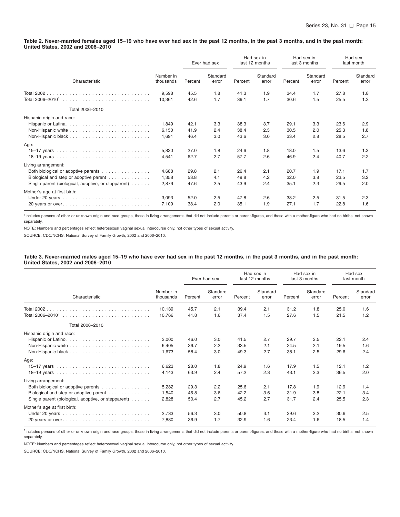#### <span id="page-21-0"></span>Table 2. Never-married females aged 15-19 who have ever had sex in the past 12 months, in the past 3 months, and in the past month: **United States, 2002 and 2006–2010**

|                                                                                                                                                             |                         |                      | Ever had sex      |                      | Had sex in<br>last 12 months |                      | Had sex in<br>last 3 months | Had sex<br>last month |                   |
|-------------------------------------------------------------------------------------------------------------------------------------------------------------|-------------------------|----------------------|-------------------|----------------------|------------------------------|----------------------|-----------------------------|-----------------------|-------------------|
| Characteristic                                                                                                                                              | Number in<br>thousands  | Percent              | Standard<br>error | Percent              | Standard<br>error            | Percent              | Standard<br>error           | Percent               | Standard<br>error |
| Total 2002.<br>Total 2006-2010 <sup>1</sup>                                                                                                                 | 9,598<br>10,361         | 45.5<br>42.6         | 1.8<br>1.7        | 41.3<br>39.1         | 1.9<br>1.7                   | 34.4<br>30.6         | 1.7<br>1.5                  | 27.8<br>25.5          | 1.8<br>1.3        |
| Total 2006-2010                                                                                                                                             |                         |                      |                   |                      |                              |                      |                             |                       |                   |
| Hispanic origin and race:<br>Hispanic or Latina                                                                                                             | 1,849<br>6,150<br>1,691 | 42.1<br>41.9<br>46.4 | 3.3<br>2.4<br>3.0 | 38.3<br>38.4<br>43.6 | 3.7<br>2.3<br>3.0            | 29.1<br>30.5<br>33.4 | 3.3<br>2.0<br>2.8           | 23.6<br>25.3<br>28.5  | 2.9<br>1.8<br>2.7 |
| Age:                                                                                                                                                        | 5,820<br>4,541          | 27.0<br>62.7         | 1.8<br>2.7        | 24.6<br>57.7         | 1.8<br>2.6                   | 18.0<br>46.9         | 1.5<br>2.4                  | 13.6<br>40.7          | 1.3<br>2.2        |
| Living arrangement:<br>Both biological or adoptive parents<br>Biological and step or adoptive parent<br>Single parent (biological, adoptive, or stepparent) | 4,688<br>1,358<br>2,876 | 29.8<br>53.8<br>47.6 | 2.1<br>4.1<br>2.5 | 26.4<br>49.8<br>43.9 | 2.1<br>4.2<br>2.4            | 20.7<br>32.0<br>35.1 | 1.9<br>3.8<br>2.3           | 17.1<br>23.5<br>29.5  | 1.7<br>3.2<br>2.0 |
| Mother's age at first birth:                                                                                                                                | 3,093<br>7,109          | 52.0<br>38.4         | 2.5<br>2.0        | 47.8<br>35.1         | 2.6<br>1.9                   | 38.2<br>27.1         | 2.5<br>1.7                  | 31.5<br>22.8          | 2.3<br>1.6        |

<sup>1</sup>Includes persons of other or unknown origin and race groups, those in living arrangements that did not include parents or parent-figures, and those with a mother-figure who had no births, not shown separately.

NOTE: Numbers and percentages reflect heterosexual vaginal sexual intercourse only, not other types of sexual activity.

SOURCE: CDC/NCHS, National Survey of Family Growth, 2002 and 2006–2010.

#### Table 3. Never-married males aged 15–19 who have ever had sex in the past 12 months, in the past 3 months, and in the past month: **United States, 2002 and 2006–2010**

|                                                                                                                                                             |                         |                      | Ever had sex      |                      | Had sex in<br>last 12 months |                      | Had sex in<br>last 3 months | Had sex<br>last month |                   |
|-------------------------------------------------------------------------------------------------------------------------------------------------------------|-------------------------|----------------------|-------------------|----------------------|------------------------------|----------------------|-----------------------------|-----------------------|-------------------|
| Characteristic                                                                                                                                              | Number in<br>thousands  | Percent              | Standard<br>error | Percent              | Standard<br>error            | Percent              | Standard<br>error           | Percent               | Standard<br>error |
| Total 2002.<br>Total 2006-2010 <sup>1</sup>                                                                                                                 | 10,139<br>10.766        | 45.7<br>41.8         | 2.1<br>1.6        | 39.4<br>37.4         | 2.1<br>1.5                   | 31.2<br>27.6         | 1.8<br>1.5                  | 25.0<br>21.5          | 1.6<br>1.2        |
| Total 2006-2010                                                                                                                                             |                         |                      |                   |                      |                              |                      |                             |                       |                   |
| Hispanic origin and race:                                                                                                                                   | 2,000<br>6,405<br>1,673 | 46.0<br>36.7<br>58.4 | 3.0<br>2.2<br>3.0 | 41.5<br>33.5<br>49.3 | 2.7<br>2.1<br>2.7            | 29.7<br>24.5<br>38.1 | 2.5<br>2.1<br>2.5           | 22.1<br>19.5<br>29.6  | 2.4<br>1.6<br>2.4 |
| Age:                                                                                                                                                        | 6,623<br>4,143          | 28.0<br>63.9         | 1.8<br>2.4        | 24.9<br>57.2         | 1.6<br>2.3                   | 17.9<br>43.1         | 1.5<br>2.3                  | 12.1<br>36.5          | 1.2<br>2.0        |
| Living arrangement:<br>Both biological or adoptive parents<br>Biological and step or adoptive parent<br>Single parent (biological, adoptive, or stepparent) | 5,282<br>1,540<br>2,828 | 29.3<br>46.8<br>50.4 | 2.2<br>3.6<br>2.7 | 25.6<br>42.2<br>45.2 | 2.1<br>3.6<br>2.7            | 17.8<br>31.9<br>31.7 | 1.9<br>3.8<br>2.4           | 12.9<br>22.1<br>25.5  | 1.4<br>3.4<br>2.3 |
| Mother's age at first birth:<br>20 years or over                                                                                                            | 2,733<br>7,880          | 56.3<br>36.9         | 3.0<br>1.7        | 50.8<br>32.9         | 3.1<br>1.6                   | 39.6<br>23.4         | 3.2<br>1.6                  | 30.6<br>18.5          | 2.5<br>1.4        |

<sup>1</sup>Includes persons of other or unknown origin and race groups, those in living arrangements that did not include parents or parent-figures, and those with a mother-figure who had no births, not shown separately.

NOTE: Numbers and percentages reflect heterosexual vaginal sexual intercourse only, not other types of sexual activity.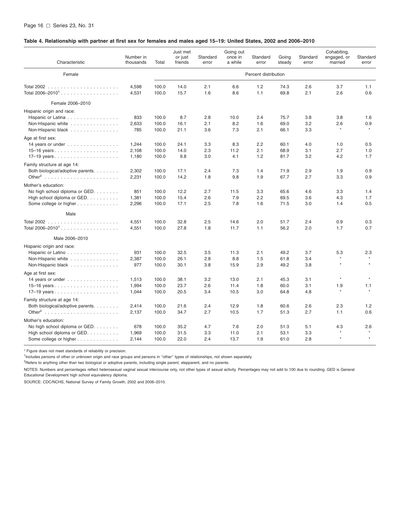#### <span id="page-22-0"></span>Table 4. Relationship with partner at first sex for females and males aged 15-19: United States, 2002 and 2006-2010

| Characteristic                                  | Number in<br>thousands | Total          | Just met<br>or just<br>friends | Standard<br>error | Going out<br>once in<br>a while | Standard<br>error    | Going<br>steady | Standard<br>error | Cohabiting,<br>engaged, or<br>married | Standard<br>error |
|-------------------------------------------------|------------------------|----------------|--------------------------------|-------------------|---------------------------------|----------------------|-----------------|-------------------|---------------------------------------|-------------------|
| Female                                          |                        |                |                                |                   |                                 | Percent distribution |                 |                   |                                       |                   |
| Total 2006–2010 <sup>1</sup>                    | 4,598<br>4,531         | 100.0<br>100.0 | 14.0<br>15.7                   | 2.1<br>1.6        | 6.6<br>8.6                      | 1.2<br>1.1           | 74.3<br>69.8    | 2.6<br>2.1        | 3.7<br>2.6                            | 1.1<br>0.6        |
| Female 2006-2010                                |                        |                |                                |                   |                                 |                      |                 |                   |                                       |                   |
| Hispanic origin and race:                       |                        |                |                                |                   |                                 |                      |                 |                   |                                       |                   |
| Hispanic or Latina                              | 833                    | 100.0          | 8.7                            | 2.8               | 10.0                            | 2.4                  | 75.7            | 3.8               | 3.8                                   | 1.6               |
| Non-Hispanic white                              | 2,633                  | 100.0          | 16.1                           | 2.1               | 8.2                             | 1.6                  | 69.0            | 3.2               | 2.6                                   | 0.9               |
| Non-Hispanic black                              | 785                    | 100.0          | 21.1                           | 3.6               | 7.3                             | 2.1                  | 66.1            | 3.3               | $\star$                               | $\star$           |
| Age at first sex:                               |                        |                |                                |                   |                                 |                      |                 |                   |                                       |                   |
| 14 years or under $\ldots \ldots \ldots \ldots$ | 1,244                  | 100.0          | 24.1                           | 3.3               | 8.3                             | 2.2                  | 60.1            | 4.0               | 1.0                                   | 0.5               |
|                                                 | 2,108                  | 100.0          | 14.0                           | 2.3               | 11.2                            | 2.1                  | 68.9            | 3.1               | 2.7                                   | 1.0               |
|                                                 | 1,180                  | 100.0          | 9.8                            | 3.0               | 4.1                             | 1.2                  | 81.7            | 3.2               | 4.2                                   | 1.7               |
| Family structure at age 14:                     |                        |                |                                |                   |                                 |                      |                 |                   |                                       |                   |
| Both biological/adoptive parents.               | 2.302                  | 100.0          | 17.1                           | 2.4               | 7.3                             | 1.4                  | 71.9            | 2.9               | 1.9                                   | 0.9               |
|                                                 | 2,231                  | 100.0          | 14.2                           | 1.8               | 9.8                             | 1.9                  | 67.7            | 2.7               | 3.3                                   | 0.9               |
| Mother's education:                             |                        |                |                                |                   |                                 |                      |                 |                   |                                       |                   |
| No high school diploma or GED.                  | 851                    | 100.0          | 12.2                           | 2.7               | 11.5                            | 3.3                  | 65.6            | 4.6               | 3.3                                   | 1.4               |
| High school diploma or GED.                     | 1,381                  | 100.0          | 15.4                           | 2.6               | 7.9                             | 2.2                  | 69.5            | 3.6               | 4.3                                   | 1.7               |
| Some college or higher                          | 2,296                  | 100.0          | 17.1                           | 2.5               | 7.8                             | 1.6                  | 71.5            | 3.0               | 1.4                                   | 0.5               |
| Male                                            |                        |                |                                |                   |                                 |                      |                 |                   |                                       |                   |
|                                                 | 4,551                  | 100.0          | 32.8                           | 2.5               | 14.6                            | 2.0                  | 51.7            | 2.4               | 0.9                                   | 0.3               |
|                                                 | 4,551                  | 100.0          | 27.8                           | 1.8               | 11.7                            | 1.1                  | 56.2            | 2.0               | 1.7                                   | 0.7               |
| Male 2006-2010                                  |                        |                |                                |                   |                                 |                      |                 |                   |                                       |                   |
| Hispanic origin and race:                       |                        |                |                                |                   |                                 |                      |                 |                   |                                       |                   |
| Hispanic or Latino                              | 931                    | 100.0          | 32.5                           | 3.5               | 11.3                            | 2.1                  | 49.2            | 3.7               | 5.3                                   | 2.3               |
| Non-Hispanic white                              | 2,387                  | 100.0          | 26.1                           | 2.8               | 8.8                             | 1.5                  | 61.8            | 3.4               | $\star$                               |                   |
| Non-Hispanic black                              | 977                    | 100.0          | 30.1                           | 3.8               | 15.9                            | 2.9                  | 49.2            | 3.8               | $\star$                               | $\star$           |
| Age at first sex:                               |                        |                |                                |                   |                                 |                      |                 |                   |                                       |                   |
| 14 years or under $\ldots \ldots \ldots \ldots$ | 1,513                  | 100.0          | 38.1                           | 3.2               | 13.0                            | 2.1                  | 45.3            | 3.1               | $\star$                               | $\star$           |
|                                                 | 1,994                  | 100.0          | 23.7                           | 2.6               | 11.4                            | 1.8                  | 60.0            | 3.1               | 1.9                                   | 1.1               |
|                                                 | 1,044                  | 100.0          | 20.5                           | 3.4               | 10.5                            | 3.0                  | 64.8            | 4.8               | $\star$                               | $\star$           |
| Family structure at age 14:                     |                        |                |                                |                   |                                 |                      |                 |                   |                                       |                   |
| Both biological/adoptive parents.               | 2,414                  | 100.0          | 21.6                           | 2.4               | 12.9                            | 1.8                  | 60.6            | 2.6               | 2.3                                   | 1.2               |
|                                                 | 2,137                  | 100.0          | 34.7                           | 2.7               | 10.5                            | 1.7                  | 51.3            | 2.7               | 1.1                                   | 0.6               |
| Mother's education:                             |                        |                |                                |                   |                                 |                      |                 |                   |                                       |                   |
| No high school diploma or GED.                  | 678                    | 100.0          | 35.2                           | 4.7               | 7.6                             | 2.0                  | 51.3            | 5.1               | 4.3                                   | 2.6               |
| High school diploma or GED.                     | 1,969                  | 100.0          | 31.5                           | 3.3               | 11.0                            | 2.1                  | 53.1            | 3.3               | $\star$                               | $\star$           |
| Some college or higher                          | 2,144                  | 100.0          | 22.0                           | 2.4               | 13.7                            | 1.9                  | 61.0            | 2.8               | $\ddot{\phantom{1}}$                  |                   |

\* Figure does not meet standards of reliability or precision.

1 Includes persons of other or unknown origin and race groups and persons in ''other'' types of relationships, not shown separately.

<sup>2</sup>Refers to anything other than two biological or adoptive parents, including single parent, stepparent, and no parents.

NOTES: Numbers and percentages reflect heterosexual vaginal sexual intercourse only, not other types of sexual activity. Percentages may not add to 100 due to rounding. GED is General Educational Development high school equivalency diploma.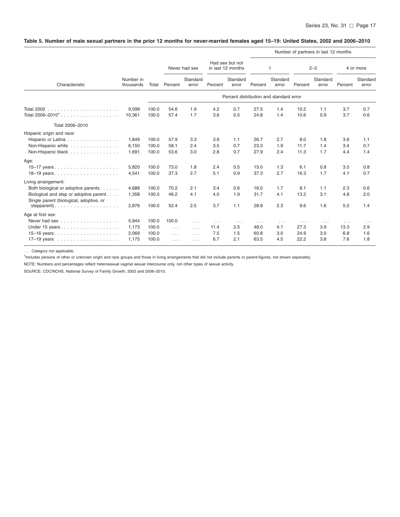# <span id="page-23-0"></span>Table 5. Number of male sexual partners in the prior 12 months for never-married females aged 15-19: United States, 2002 and 2006-2010

|                                                                                                                                 |                                  |                                  |                                           |                                              |                                |                                         |                                  |                                           |                                  | Number of partners in last 12 months |                                            |                                           |
|---------------------------------------------------------------------------------------------------------------------------------|----------------------------------|----------------------------------|-------------------------------------------|----------------------------------------------|--------------------------------|-----------------------------------------|----------------------------------|-------------------------------------------|----------------------------------|--------------------------------------|--------------------------------------------|-------------------------------------------|
|                                                                                                                                 |                                  |                                  |                                           | Never had sex                                |                                | Had sex but not<br>in last 12 months    |                                  | 1                                         |                                  | $2 - 3$                              |                                            | 4 or more                                 |
| Characteristic<br>Total 2006-2010<br>Single parent (biological, adoptive, or                                                    | Number in<br>thousands           | Total                            | Percent                                   | Standard<br>error                            | Percent                        | Standard<br>error                       | Percent                          | Standard<br>error                         | Percent                          | Standard<br>error                    | Percent                                    | Standard<br>error                         |
|                                                                                                                                 |                                  |                                  |                                           |                                              |                                | Percent distribution and standard error |                                  |                                           |                                  |                                      |                                            |                                           |
| <b>Total 2002</b>                                                                                                               | 9,598<br>10,361                  | 100.0<br>100.0                   | 54.6<br>57.4                              | 1.9<br>1.7                                   | 4.2<br>3.6                     | 0.7<br>0.5                              | 27.5<br>24.8                     | 1.4<br>1.4                                | 10.2<br>10.6                     | 1.1<br>0.9                           | 3.7<br>3.7                                 | 0.7<br>0.6                                |
|                                                                                                                                 |                                  |                                  |                                           |                                              |                                |                                         |                                  |                                           |                                  |                                      |                                            |                                           |
| Hispanic origin and race:<br>Hispanic or Latina<br>Non-Hispanic white<br>Non-Hispanic black                                     | 1,849<br>6,150<br>1,691          | 100.0<br>100.0<br>100.0          | 57.9<br>58.1<br>53.6                      | 3.3<br>2.4<br>3.0                            | 3.8<br>3.5<br>2.8              | 1.1<br>0.7<br>0.7                       | 26.7<br>23.3<br>27.9             | 2.7<br>1.9<br>2.4                         | 8.0<br>11.7<br>11.3              | 1.8<br>1.4<br>1.7                    | 3.6<br>3.4<br>4.4                          | 1.1<br>0.7<br>1.4                         |
| Age:<br>15-17 years<br>18-19 years                                                                                              | 5,820<br>4,541                   | 100.0<br>100.0                   | 73.0<br>37.3                              | 1.8<br>2.7                                   | 2.4<br>5.1                     | 0.5<br>0.9                              | 15.0<br>37.3                     | 1.3<br>2.7                                | 6.1<br>16.3                      | 0.8<br>1.7                           | 3.5<br>4.1                                 | 0.8<br>0.7                                |
| Living arrangement:<br>Both biological or adoptive parents<br>Biological and step or adoptive parent<br>stepparent). $\ldots$ . | 4,688<br>1,358<br>2,876          | 100.0<br>100.0<br>100.0          | 70.2<br>46.2<br>52.4                      | 2.1<br>4.1<br>2.5                            | 3.4<br>4.0<br>3.7              | 0.6<br>1.9<br>1.1                       | 16.0<br>31.7<br>28.8             | 1.7<br>4.1<br>2.3                         | 8.1<br>13.2<br>9.6               | 1.1<br>3.1<br>1.6                    | 2.3<br>4.8<br>5.5                          | 0.6<br>2.0<br>1.4                         |
| Age at first sex:<br>Never had sex<br>Under 15 years                                                                            | 5,944<br>1,173<br>2,069<br>1,175 | 100.0<br>100.0<br>100.0<br>100.0 | 100.0<br>$\cdots$<br>$\cdots$<br>$\ldots$ | $\cdots$<br>$\cdots$<br>$\ldots$<br>$\ldots$ | $\cdots$<br>11.4<br>7.5<br>6.7 | $\cdots$<br>2.5<br>1.5<br>2.1           | $\cdots$<br>48.0<br>60.8<br>63.5 | $\sim$ $\sim$ $\sim$<br>4.1<br>3.0<br>4.5 | $\cdots$<br>27.3<br>24.9<br>22.2 | $\cdots$<br>3.9<br>3.0<br>3.8        | $\sim$ $\sim$ $\sim$<br>13.3<br>6.8<br>7.6 | $\sim$ $\sim$ $\sim$<br>2.9<br>1.6<br>1.8 |

... Category not applicable.

<sup>1</sup>Includes persons of other or unknown origin and race groups and those in living arrangements that did not include parents or parent-figures, not shown separately.

NOTE: Numbers and percentages reflect heterosexual vaginal sexual intercourse only, not other types of sexual activity.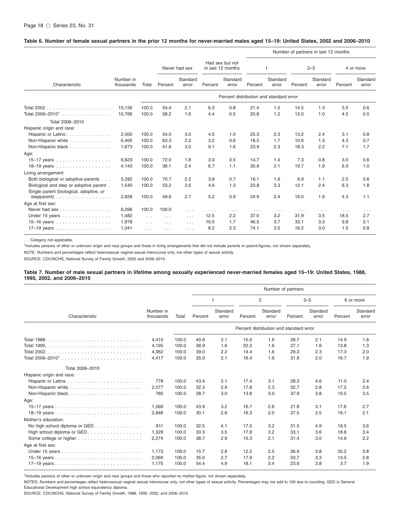#### <span id="page-24-0"></span>Table 6. Number of female sexual partners in the prior 12 months for never-married males aged 15-19: United States, 2002 and 2006-2010

|                                                                                             |                        |          |                      |                      |                                      |                   |                      |                                         |          | Number of partners in last 12 months |          |                   |
|---------------------------------------------------------------------------------------------|------------------------|----------|----------------------|----------------------|--------------------------------------|-------------------|----------------------|-----------------------------------------|----------|--------------------------------------|----------|-------------------|
|                                                                                             |                        | Total    |                      | Never had sex        | Had sex but not<br>in last 12 months |                   | 1                    |                                         | $2 - 3$  |                                      |          | 4 or more         |
| Characteristic                                                                              | Number in<br>thousands |          | Percent              | Standard<br>error    | Percent                              | Standard<br>error | Percent              | Standard<br>error                       | Percent  | Standard<br>error                    | Percent  | Standard<br>error |
|                                                                                             |                        |          |                      |                      |                                      |                   |                      | Percent distribution and standard error |          |                                      |          |                   |
|                                                                                             | 10.139                 | 100.0    | 54.4                 | 2.1                  | 6.3                                  | 0.8               | 21.4                 | 1.5                                     | 14.5     | 1.3                                  | 3.5      | 0.6               |
| Total 2006–2010 <sup>1</sup>                                                                | 10,766                 | 100.0    | 58.2                 | 1.6                  | 4.4                                  | 0.5               | 20.8                 | 1.2                                     | 12.0     | 1.0                                  | 4.5      | 0.5               |
| Total 2006-2010                                                                             |                        |          |                      |                      |                                      |                   |                      |                                         |          |                                      |          |                   |
| Hispanic origin and race:                                                                   |                        |          |                      |                      |                                      |                   |                      |                                         |          |                                      |          |                   |
| Hispanic or Latino.                                                                         | 2,000                  | 100.0    | 54.0                 | 3.0                  | 4.5                                  | 1.0               | 25.3                 | 2.3                                     | 13.2     | 2.4                                  | 3.1      | 0.8               |
| Non-Hispanic white                                                                          | 6,405                  | 100.0    | 63.3                 | 2.2                  | 3.2                                  | 0.6               | 18.5                 | 1.7                                     | 10.6     | 1.3                                  | 4.3      | 0.7               |
| Non-Hispanic black                                                                          | 1,673                  | 100.0    | 41.6                 | 3.0                  | 9.1                                  | 1.6               | 23.9                 | 2.3                                     | 18.3     | 2.2                                  | 7.1      | 1.7               |
| Age:                                                                                        |                        |          |                      |                      |                                      |                   |                      |                                         |          |                                      |          |                   |
| 15-17 years                                                                                 | 6,623                  | 100.0    | 72.0                 | 1.8                  | 3.0                                  | 0.5               | 14.7                 | 1.4                                     | 7.3      | 0.8                                  | 3.0      | 0.6               |
| 18-19 years                                                                                 | 4,143                  | 100.0    | 36.1                 | 2.4                  | 6.7                                  | 1.1               | 30.6                 | 2.1                                     | 19.7     | 1.9                                  | 6.9      | 1.0               |
| Living arrangement:                                                                         |                        |          |                      |                      |                                      |                   |                      |                                         |          |                                      |          |                   |
| Both biological or adoptive parents                                                         | 5,282                  | 100.0    | 70.7                 | 2.2                  | 3.8                                  | 0.7               | 16.1                 | 1.6                                     | 6.9      | 1.1                                  | 2.5      | 0.6               |
| Biological and step or adoptive parent.                                                     | 1,540                  | 100.0    | 53.2                 | 3.6                  | 4.6                                  | 1.3               | 23.8                 | 3.3                                     | 12.1     | 2.4                                  | 6.3      | 1.8               |
| Single parent (biological, adoptive, or<br>stepparent) $\ldots \ldots \ldots \ldots \ldots$ | 2,828                  | 100.0    | 49.6                 | 2.7                  | 5.2                                  | 0.9               | 24.9                 | 2.4                                     | 16.0     | 1.9                                  | 4.3      | 1.1               |
| Age at first sex:                                                                           |                        |          |                      |                      |                                      |                   |                      |                                         |          |                                      |          |                   |
| Never had sex                                                                               | 6,266                  | 100.0    | 100.0                | $\cdots$             | $\cdots$                             | $\cdots$          | $\sim$ $\sim$ $\sim$ | $\cdots$                                | $\cdots$ | $\sim$ $\sim$ $\sim$                 | $\cdots$ | $\cdots$          |
| Under 15 years                                                                              | 1,482                  | $\cdots$ | $\cdots$             | $\sim$ $\sim$ $\sim$ | 12.5                                 | 2.2               | 37.0                 | 3.2                                     | 31.9     | 3.5                                  | 18.5     | 2.7               |
| 15-16 years                                                                                 | 1,978                  | $\ldots$ | $\sim$ $\sim$ $\sim$ | $\cdots$             | 10.5                                 | 1.7               | 46.5                 | 3.7                                     | 33.1     | 3.3                                  | 9.8      | 2.1               |
| 17-19 years                                                                                 | 1,041                  | $\cdots$ | $\cdots$             | $\cdots$             | 8.2                                  | 2.3               | 74.1                 | 3.5                                     | 16.2     | 3.0                                  | 1.5      | 0.8               |

. . . Category not applicable.

<sup>1</sup>Includes persons of other or unknown origin and race groups and those in living arrangements that did not include parents or parent-figures, not shown separately.

NOTE: Numbers and percentages reflect heterosexual vaginal sexual intercourse only, not other types of sexual activity.

SOURCE: CDC/NCHS, National Survey of Family Growth, 2002 and 2006–2010.

#### Table 7. Number of male sexual partners in lifetime among sexually experienced never-married females aged 15-19: United States, 1988, **1995, 2002, and 2006–2010**

|                                |                        |       | Number of partners |                   |                |                                         |         |                   |           |                   |  |  |  |
|--------------------------------|------------------------|-------|--------------------|-------------------|----------------|-----------------------------------------|---------|-------------------|-----------|-------------------|--|--|--|
|                                |                        |       | $\mathbf{1}$       |                   | $\overline{c}$ |                                         | $3 - 5$ |                   | 6 or more |                   |  |  |  |
| Characteristic                 | Number in<br>thousands | Total | Percent            | Standard<br>error | Percent        | Standard<br>error                       | Percent | Standard<br>error | Percent   | Standard<br>error |  |  |  |
|                                |                        |       |                    |                   |                | Percent distribution and standard error |         |                   |           |                   |  |  |  |
|                                | 4.410                  | 100.0 | 40.9               | 2.1               | 15.6           | 1.6                                     | 28.7    | 2.1               | 14.9      | 1.8               |  |  |  |
|                                | 4.195                  | 100.0 | 36.9               | 1.6               | 22.2           | 1.6                                     | 27.1    | 1.6               | 13.8      | 1.3               |  |  |  |
|                                | 4,362                  | 100.0 | 39.0               | 2.2               | 14.4           | 1.6                                     | 29.3    | 2.3               | 17.3      | 2.0               |  |  |  |
|                                | 4,417                  | 100.0 | 35.0               | 2.1               | 16.4           | 1.6                                     | 31.9    | 2.0               | 16.7      | 1.9               |  |  |  |
| Total 2006-2010                |                        |       |                    |                   |                |                                         |         |                   |           |                   |  |  |  |
| Hispanic origin and race:      |                        |       |                    |                   |                |                                         |         |                   |           |                   |  |  |  |
|                                | 778                    | 100.0 | 43.4               | 5.1               | 17.4           | 3.1                                     | 28.3    | 4.6               | 11.0      | 2.4               |  |  |  |
| Non-Hispanic white             | 2,577                  | 100.0 | 32.3               | 2.9               | 17.8           | 2.3                                     | 32.7    | 2.8               | 17.2      | 2.6               |  |  |  |
| Non-Hispanic black             | 785                    | 100.0 | 28.7               | 3.0               | 13.8           | 3.0                                     | 37.9    | 3.8               | 19.5      | 3.5               |  |  |  |
| Age:                           |                        |       |                    |                   |                |                                         |         |                   |           |                   |  |  |  |
|                                | 1,569                  | 100.0 | 43.9               | 3.2               | 16.7           | 2.6                                     | 21.8    | 3.1               | 17.6      | 2.7               |  |  |  |
|                                | 2,848                  | 100.0 | 30.1               | 2.6               | 16.3           | 2.0                                     | 37.5    | 2.5               | 16.1      | 2.1               |  |  |  |
| Mother's education:            |                        |       |                    |                   |                |                                         |         |                   |           |                   |  |  |  |
| No high school diploma or GED. | 811                    | 100.0 | 32.5               | 4.1               | 17.5           | 3.2                                     | 31.5    | 4.9               | 18.5      | 3.6               |  |  |  |
| High school diploma or GED.    | 1,329                  | 100.0 | 30.3               | 3.5               | 17.8           | 3.2                                     | 33.1    | 3.6               | 18.8      | 3.4               |  |  |  |
|                                | 2,274                  | 100.0 | 38.7               | 2.9               | 15.3           | 2.1                                     | 31.4    | 3.0               | 14.6      | 2.2               |  |  |  |
| Age at first sex:              |                        |       |                    |                   |                |                                         |         |                   |           |                   |  |  |  |
|                                | 1.173                  | 100.0 | 15.7               | 2.8               | 12.2           | 2.5                                     | 36.9    | 3.8               | 35.2      | 3.8               |  |  |  |
|                                | 2,069                  | 100.0 | 35.0               | 2.7               | 17.9           | 2.2                                     | 33.7    | 3.3               | 13.5      | 2.8               |  |  |  |
|                                | 1,175                  | 100.0 | 54.4               | 4.9               | 18.1           | 3.4                                     | 23.8    | 3.8               | 3.7       | 1.9               |  |  |  |

<sup>1</sup>Includes persons of other or unknown origin and race groups and those who reported no mother-figure, not shown separately.

NOTES: Numbers and percentages reflect heterosexual vaginal sexual intercourse only, not other types of sexual activity. Percentages may not add to 100 due to rounding. GED is General Educational Development high school equivalency diploma.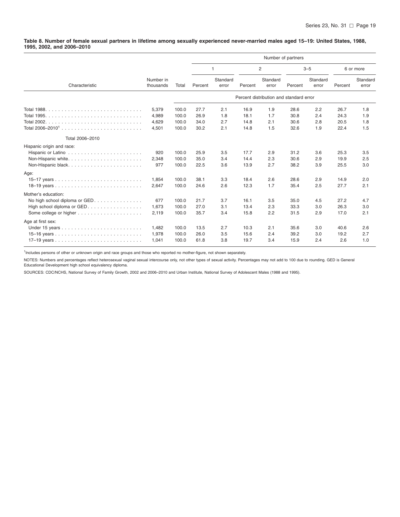<span id="page-25-0"></span>Table 8. Number of female sexual partners in lifetime among sexually experienced never-married males aged 15-19: United States, 1988, **1995, 2002, and 2006–2010**

|                                |                        |       |              | Number of partners |                |                                         |         |                   |           |                   |
|--------------------------------|------------------------|-------|--------------|--------------------|----------------|-----------------------------------------|---------|-------------------|-----------|-------------------|
|                                |                        |       | $\mathbf{1}$ |                    | $\overline{c}$ |                                         | $3 - 5$ |                   | 6 or more |                   |
| Characteristic                 | Number in<br>thousands | Total | Percent      | Standard<br>error  | Percent        | Standard<br>error                       | Percent | Standard<br>error | Percent   | Standard<br>error |
|                                |                        |       |              |                    |                | Percent distribution and standard error |         |                   |           |                   |
|                                | 5,379                  | 100.0 | 27.7         | 2.1                | 16.9           | 1.9                                     | 28.6    | 2.2               | 26.7      | 1.8               |
| <b>Total 1995.</b>             | 4,989                  | 100.0 | 26.9         | 1.8                | 18.1           | 1.7                                     | 30.8    | 2.4               | 24.3      | 1.9               |
|                                | 4,629                  | 100.0 | 34.0         | 2.7                | 14.8           | 2.1                                     | 30.6    | 2.8               | 20.5      | 1.8               |
|                                | 4,501                  | 100.0 | 30.2         | 2.1                | 14.8           | 1.5                                     | 32.6    | 1.9               | 22.4      | 1.5               |
| Total 2006-2010                |                        |       |              |                    |                |                                         |         |                   |           |                   |
| Hispanic origin and race:      |                        |       |              |                    |                |                                         |         |                   |           |                   |
|                                | 920                    | 100.0 | 25.9         | 3.5                | 17.7           | 2.9                                     | 31.2    | 3.6               | 25.3      | 3.5               |
|                                | 2,348                  | 100.0 | 35.0         | 3.4                | 14.4           | 2.3                                     | 30.6    | 2.9               | 19.9      | 2.5               |
|                                | 977                    | 100.0 | 22.5         | 3.6                | 13.9           | 2.7                                     | 38.2    | 3.9               | 25.5      | 3.0               |
| Age:                           |                        |       |              |                    |                |                                         |         |                   |           |                   |
|                                | 1,854                  | 100.0 | 38.1         | 3.3                | 18.4           | 2.6                                     | 28.6    | 2.9               | 14.9      | 2.0               |
|                                | 2,647                  | 100.0 | 24.6         | 2.6                | 12.3           | 1.7                                     | 35.4    | 2.5               | 27.7      | 2.1               |
| Mother's education:            |                        |       |              |                    |                |                                         |         |                   |           |                   |
| No high school diploma or GED. | 677                    | 100.0 | 21.7         | 3.7                | 16.1           | 3.5                                     | 35.0    | 4.5               | 27.2      | 4.7               |
| High school diploma or GED.    | 1.673                  | 100.0 | 27.0         | 3.1                | 13.4           | 2.3                                     | 33.3    | 3.0               | 26.3      | 3.0               |
|                                | 2,119                  | 100.0 | 35.7         | 3.4                | 15.8           | 2.2                                     | 31.5    | 2.9               | 17.0      | 2.1               |
| Age at first sex:              |                        |       |              |                    |                |                                         |         |                   |           |                   |
|                                | 1,482                  | 100.0 | 13.5         | 2.7                | 10.3           | 2.1                                     | 35.6    | 3.0               | 40.6      | 2.6               |
|                                | 1,978                  | 100.0 | 26.0         | 3.5                | 15.6           | 2.4                                     | 39.2    | 3.0               | 19.2      | 2.7               |
|                                | 1,041                  | 100.0 | 61.8         | 3.8                | 19.7           | 3.4                                     | 15.9    | 2.4               | 2.6       | 1.0               |

<sup>1</sup>Includes persons of other or unknown origin and race groups and those who reported no mother-figure, not shown separately.

NOTES: Numbers and percentages reflect heterosexual vaginal sexual intercourse only, not other types of sexual activity. Percentages may not add to 100 due to rounding. GED is General Educational Development high school equivalency diploma.

SOURCES: CDC/NCHS, National Survey of Family Growth, 2002 and 2006–2010 and Urban Institute, National Survey of Adolescent Males (1988 and 1995).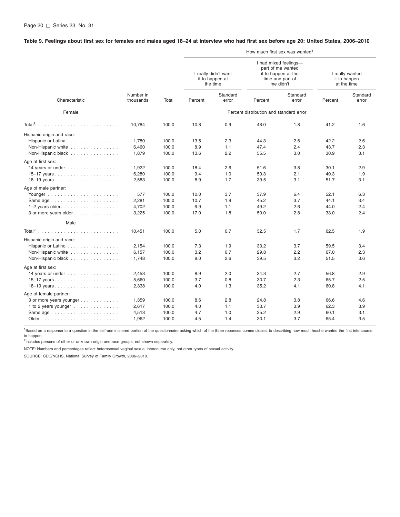#### <span id="page-26-0"></span>Table 9. Feelings about first sex for females and males aged 18-24 at interview who had first sex before age 20: United States, 2006-2010

|                                                             |                        |       |         |                                                     |                                         | How much first sex was wanted <sup>1</sup>                                                         |         |                                                |
|-------------------------------------------------------------|------------------------|-------|---------|-----------------------------------------------------|-----------------------------------------|----------------------------------------------------------------------------------------------------|---------|------------------------------------------------|
|                                                             |                        |       |         | I really didn't want<br>it to happen at<br>the time |                                         | I had mixed feelings-<br>part of me wanted<br>it to happen at the<br>time and part of<br>me didn't |         | I really wanted<br>it to happen<br>at the time |
| Characteristic                                              | Number in<br>thousands | Total | Percent | Standard<br>error                                   | Percent                                 | Standard<br>error                                                                                  | Percent | Standard<br>error                              |
| Female                                                      |                        |       |         |                                                     | Percent distribution and standard error |                                                                                                    |         |                                                |
|                                                             | 10,784                 | 100.0 | 10.8    | 0.9                                                 | 48.0                                    | 1.8                                                                                                | 41.2    | 1.6                                            |
| Hispanic origin and race:                                   |                        |       |         |                                                     |                                         |                                                                                                    |         |                                                |
| Hispanic or Latina                                          | 1,780                  | 100.0 | 13.5    | 2.3                                                 | 44.3                                    | 2.6                                                                                                | 42.2    | 2.6                                            |
| Non-Hispanic white                                          | 6,460                  | 100.0 | 8.9     | 1.1                                                 | 47.4                                    | 2.4                                                                                                | 43.7    | 2.3                                            |
| Non-Hispanic black                                          | 1,879                  | 100.0 | 13.6    | 2.2                                                 | 55.5                                    | 3.0                                                                                                | 30.9    | 3.1                                            |
| Age at first sex:                                           |                        |       |         |                                                     |                                         |                                                                                                    |         |                                                |
| 14 years or under $\ldots \ldots \ldots \ldots$             | 1,922                  | 100.0 | 18.4    | 2.6                                                 | 51.6                                    | 3.8                                                                                                | 30.1    | 2.9                                            |
|                                                             | 6,280                  | 100.0 | 9.4     | 1.0                                                 | 50.3                                    | 2.1                                                                                                | 40.3    | 1.9                                            |
| 18-19 years                                                 | 2,583                  | 100.0 | 8.9     | 1.7                                                 | 39.5                                    | 3.1                                                                                                | 51.7    | 3.1                                            |
| Age of male partner:                                        |                        |       |         |                                                     |                                         |                                                                                                    |         |                                                |
|                                                             | 577                    | 100.0 | 10.0    | 3.7                                                 | 37.9                                    | 6.4                                                                                                | 52.1    | 6.3                                            |
| Same age                                                    | 2,281                  | 100.0 | 10.7    | 1.9                                                 | 45.2                                    | 3.7                                                                                                | 44.1    | 3.4                                            |
| $1-2$ years older.                                          | 4,702                  | 100.0 | 6.9     | 1.1                                                 | 49.2                                    | 2.6                                                                                                | 44.0    | 2.4                                            |
| 3 or more years older                                       | 3,225                  | 100.0 | 17.0    | 1.8                                                 | 50.0                                    | 2.8                                                                                                | 33.0    | 2.4                                            |
| Male                                                        |                        |       |         |                                                     |                                         |                                                                                                    |         |                                                |
|                                                             | 10,451                 | 100.0 | 5.0     | 0.7                                                 | 32.5                                    | 1.7                                                                                                | 62.5    | 1.9                                            |
| Hispanic origin and race:                                   |                        |       |         |                                                     |                                         |                                                                                                    |         |                                                |
| Hispanic or Latino                                          | 2,154                  | 100.0 | 7.3     | 1.9                                                 | 33.2                                    | 3.7                                                                                                | 59.5    | 3.4                                            |
| Non-Hispanic white                                          | 6,157                  | 100.0 | 3.2     | 0.7                                                 | 29.8                                    | 2.2                                                                                                | 67.0    | 2.3                                            |
| Non-Hispanic black                                          | 1,748                  | 100.0 | 9.0     | 2.6                                                 | 39.5                                    | 3.2                                                                                                | 51.5    | 3.6                                            |
| Age at first sex:                                           |                        |       |         |                                                     |                                         |                                                                                                    |         |                                                |
| 14 years or under $\ldots \ldots \ldots \ldots$             | 2,453                  | 100.0 | 8.9     | 2.0                                                 | 34.3                                    | 2.7                                                                                                | 56.8    | 2.9                                            |
|                                                             | 5,660                  | 100.0 | 3.7     | 0.8                                                 | 30.7                                    | 2.3                                                                                                | 65.7    | 2.5                                            |
|                                                             | 2,338                  | 100.0 | 4.0     | 1.3                                                 | 35.2                                    | 4.1                                                                                                | 60.8    | 4.1                                            |
| Age of female partner:                                      |                        |       |         |                                                     |                                         |                                                                                                    |         |                                                |
| 3 or more years younger                                     | 1,359                  | 100.0 | 8.6     | 2.8                                                 | 24.8                                    | 3.8                                                                                                | 66.6    | 4.6                                            |
| 1 to 2 years younger                                        | 2,617                  | 100.0 | 4.0     | 1.1                                                 | 33.7                                    | 3.9                                                                                                | 62.3    | 3.9                                            |
| Same age $\ldots \ldots \ldots \ldots \ldots \ldots \ldots$ | 4,513                  | 100.0 | 4.7     | 1.0                                                 | 35.2                                    | 2.9                                                                                                | 60.1    | 3.1                                            |
|                                                             | 1,962                  | 100.0 | 4.5     | 1.4                                                 | 30.1                                    | 3.7                                                                                                | 65.4    | 3.5                                            |
|                                                             |                        |       |         |                                                     |                                         |                                                                                                    |         |                                                |

<sup>1</sup>Based on a response to a question in the self-administered portion of the questionnaire asking which of the three reponses comes closest to describing how much he/she wanted the first intercourse to happen.

<sup>2</sup>Includes persons of other or unknown origin and race groups, not shown separately.

NOTE: Numbers and percentages reflect heterosexual vaginal sexual intercourse only, not other types of sexual activity.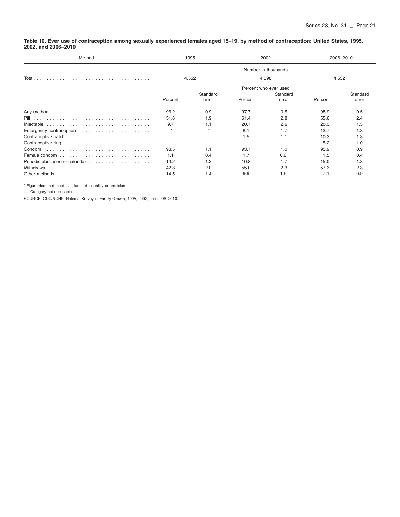<span id="page-27-0"></span>Table 10. Ever use of contraception among sexually experienced females aged 15-19, by method of contraception: United States, 1995, **2002, and 2006–2010**

| Method                                                                                     |          | 1995              |          | 2002                  | 2006-2010 |                   |  |
|--------------------------------------------------------------------------------------------|----------|-------------------|----------|-----------------------|-----------|-------------------|--|
|                                                                                            |          |                   |          |                       |           |                   |  |
| Total.                                                                                     |          | 4,552             |          | 4,598                 | 4,532     |                   |  |
|                                                                                            |          |                   |          | Percent who ever used |           |                   |  |
|                                                                                            | Percent  | Standard<br>error | Percent  | Standard<br>error     | Percent   | Standard<br>error |  |
|                                                                                            | 96.2     | 0.9               | 97.7     | 0.5                   | 98.9      | 0.5               |  |
|                                                                                            | 51.6     | 1.9               | 61.4     | 2.8                   | 55.6      | 2.4               |  |
| $Injectable. \ldots \ldots \ldots \ldots \ldots \ldots \ldots \ldots \ldots \ldots \ldots$ | 9.7      | 1.1               | 20.7     | 2.6                   | 20.3      | 1.5               |  |
|                                                                                            | $\star$  | $\star$           | 8.1      | 1.7                   | 13.7      | 1.3               |  |
|                                                                                            | $\cdots$ | $\cdots$          | 1.5      | 1.1                   | 10.3      | 1.3               |  |
|                                                                                            | $\cdots$ | $\cdots$          | $\cdots$ | $\cdots$              | 5.2       | 1.0               |  |
|                                                                                            | 93.5     | 1.1               | 93.7     | 1.0                   | 95.9      | 0.9               |  |
|                                                                                            | 1.1      | 0.4               | 1.7      | 0.8                   | 1.5       | 0.4               |  |
|                                                                                            | 13.2     | 1.3               | 10.8     | 1.7                   | 15.0      | 1.3               |  |
| Withdrawal                                                                                 | 42.3     | 2.0               | 55.0     | 2.3                   | 57.3      | 2.3               |  |
|                                                                                            | 14.5     | 1.4               | 9.9      | 1.6                   | 7.1       | 0.9               |  |

\* Figure does not meet standards of reliability or precision.

. . . Category not applicable.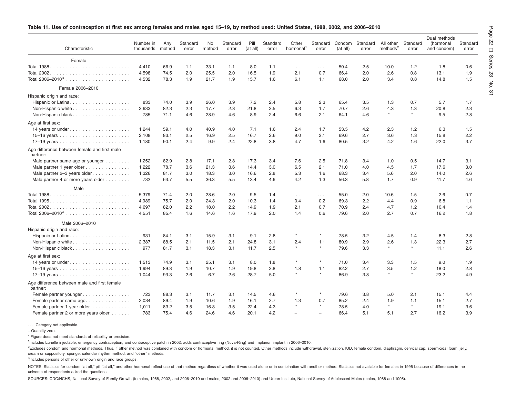| Characteristic                                           | Number in<br>thousands | Any<br>method | Standard<br>error | No<br>method | Standard<br>error | Pill<br>(at all) | Standard<br>error | Other<br>hormonal <sup>1</sup> | Standard<br>error    | Condom<br>(at all) | Standard<br>error | All other<br>methods <sup>2</sup> | Standard<br>error | Dual methods<br>(hormonal<br>and condom) | Standard<br>error |
|----------------------------------------------------------|------------------------|---------------|-------------------|--------------|-------------------|------------------|-------------------|--------------------------------|----------------------|--------------------|-------------------|-----------------------------------|-------------------|------------------------------------------|-------------------|
| Female                                                   |                        |               |                   |              |                   |                  |                   |                                |                      |                    |                   |                                   |                   |                                          |                   |
|                                                          | 4,410                  | 66.9          | 1.1               | 33.1         | 1.1               | 8.0              | 1.1               | $\sim$ $\sim$ $\sim$           | $\sim$ $\sim$ $\sim$ | 50.4               | 2.5               | 10.0                              | 1.2               | 1.8                                      | 0.6               |
|                                                          | 4,598                  | 74.5          | 2.0               | 25.5         | 2.0               | 16.5             | 1.9               | 2.1                            | 0.7                  | 66.4               | 2.0               | 2.6                               | 0.8               | 13.1                                     | 1.9               |
|                                                          | 4,532                  | 78.3          | 1.9               | 21.7         | 1.9               | 15.7             | 1.6               | 6.1                            | 1.1                  | 68.0               | 2.0               | 3.4                               | 0.8               | 14.8                                     | 1.5               |
| Female 2006-2010                                         |                        |               |                   |              |                   |                  |                   |                                |                      |                    |                   |                                   |                   |                                          |                   |
| Hispanic origin and race:                                |                        |               |                   |              |                   |                  |                   |                                |                      |                    |                   |                                   |                   |                                          |                   |
|                                                          | 833                    | 74.0          | 3.9               | 26.0         | 3.9               | 7.2              | 2.4               | 5.8                            | 2.3                  | 65.4               | 3.5               | 1.3                               | 0.7               | 5.7                                      | 1.7               |
| Non-Hispanic white                                       | 2.633                  | 82.3          | 2.3               | 17.7         | 2.3               | 21.8             | 2.5               | 6.3                            | 1.7                  | 70.7               | 2.6               | 4.3                               | 1.3               | 20.8                                     | 2.3               |
| Non-Hispanic black                                       | 785                    | 71.1          | 4.6               | 28.9         | 4.6               | 8.9              | 2.4               | 6.6                            | 2.1                  | 64.1               | 4.6               | $\star$                           | $\star$           | 9.5                                      | 2.8               |
| Age at first sex:                                        |                        |               |                   |              |                   |                  |                   |                                |                      |                    |                   |                                   |                   |                                          |                   |
|                                                          | 1,244                  | 59.1          | 4.0               | 40.9         | 4.0               | 7.1              | 1.6               | 2.4                            | 1.7                  | 53.5               | 4.2               | 2.3                               | 1.2               | 6.3                                      | 1.5               |
|                                                          | 2,108                  | 83.1          | 2.5               | 16.9         | 2.5               | 16.7             | 2.6               | 9.0                            | 2.1                  | 69.6               | 2.7               | 3.6                               | 1.3               | 15.8                                     | 2.2               |
|                                                          | 1,180                  | 90.1          | 2.4               | 9.9          | 2.4               | 22.8             | 3.8               | 4.7                            | 1.6                  | 80.5               | 3.2               | 4.2                               | 1.6               | 22.0                                     | 3.7               |
| Age difference between female and first male<br>partner: |                        |               |                   |              |                   |                  |                   |                                |                      |                    |                   |                                   |                   |                                          |                   |
| Male partner same age or younger                         | 1,252                  | 82.9          | 2.8               | 17.1         | 2.8               | 17.3             | 3.4               | 7.6                            | 2.5                  | 71.8               | 3.4               | 1.0                               | 0.5               | 14.7                                     | 3.1               |
| Male partner 1 year older                                | 1,222                  | 78.7          | 3.6               | 21.3         | 3.6               | 14.4             | 3.0               | 6.5                            | 2.1                  | 71.0               | 4.0               | 4.5                               | 1.7               | 17.6                                     | 3.0               |
| Male partner 2-3 years older                             | 1,326                  | 81.7          | 3.0               | 18.3         | 3.0               | 16.6             | 2.8               | 5.3                            | 1.6                  | 68.3               | 3.4               | 5.6                               | 2.0               | 14.0                                     | 2.6               |
| Male partner 4 or more years older                       | 732                    | 63.7          | 5.5               | 36.3         | 5.5               | 13.4             | 4.6               | 4.2                            | 1.3                  | 56.3               | 5.8               | 1.7                               | 0.9               | 11.7                                     | 4.6               |
| Male                                                     |                        |               |                   |              |                   |                  |                   |                                |                      |                    |                   |                                   |                   |                                          |                   |
|                                                          | 5,379                  | 71.4          | 2.0               | 28.6         | 2.0               | 9.5              | 1.4               | $\sim 100$                     | $\sim$ $\sim$ $\sim$ | 55.0               | 2.0               | 10.6                              | 1.5               | 2.6                                      | 0.7               |
|                                                          | 4,989                  | 75.7          | 2.0               | 24.3         | 2.0               | 10.3             | 1.4               | 0.4                            | 0.2                  | 69.3               | 2.2               | 4.4                               | 0.9               | 6.8                                      | 1.1               |
|                                                          | 4,697                  | 82.0          | 2.2               | 18.0         | 2.2               | 14.9             | 1.9               | 2.1                            | 0.7                  | 70.9               | 2.4               | 4.7                               | 1.2               | 10.4                                     | 1.4               |
|                                                          | 4,551                  | 85.4          | 1.6               | 14.6         | 1.6               | 17.9             | 2.0               | 1.4                            | 0.6                  | 79.6               | 2.0               | 2.7                               | 0.7               | 16.2                                     | 1.8               |
| Male 2006-2010                                           |                        |               |                   |              |                   |                  |                   |                                |                      |                    |                   |                                   |                   |                                          |                   |
| Hispanic origin and race:                                |                        |               |                   |              |                   |                  |                   |                                |                      |                    |                   |                                   |                   |                                          |                   |
|                                                          | 931                    | 84.1          | 3.1               | 15.9         | 3.1               | 9.1              | 2.8               | $\star$                        | $\star$              | 78.5               | 3.2               | 4.5                               | 1.4               | 8.3                                      | 2.8               |
| Non-Hispanic white                                       | 2,387                  | 88.5          | 2.1               | 11.5         | 2.1               | 24.8             | 3.1               | 2.4                            | 1.1                  | 80.9               | 2.9               | 2.6                               | 1.3               | 22.3                                     | 2.7               |
| Non-Hispanic black                                       | 977                    | 81.7          | 3.1               | 18.3         | 3.1               | 11.7             | 2.5               | $\star$                        | $^\star$             | 79.6               | 3.3               | $\star$                           | $\star$           | 11.1                                     | 2.6               |
| Age at first sex:                                        |                        |               |                   |              |                   |                  |                   |                                |                      |                    |                   |                                   |                   |                                          |                   |
|                                                          | 1,513                  | 74.9          | 3.1               | 25.1         | 3.1               | 8.0              | 1.8               | $\star$                        | $\star$              | 71.0               | 3.4               | 3.3                               | 1.5               | 9.0                                      | 1.9               |
|                                                          | 1,994                  | 89.3          | 1.9               | 10.7         | 1.9               | 19.8             | 2.8               | 1.8                            | 1.1                  | 82.2               | 2.7               | 3.5                               | 1.2               | 18.0                                     | 2.8               |
|                                                          | 1,044                  | 93.3          | 2.6               | 6.7          | 2.6               | 28.7             | 5.0               | $\star$                        | $\star$              | 86.9               | 3.8               | $\star$                           | $\star$           | 23.2                                     | 4.9               |
| Age difference between male and first female<br>partner: |                        |               |                   |              |                   |                  |                   |                                |                      |                    |                   |                                   |                   |                                          |                   |
| Female partner younger                                   | 723                    | 88.3          | 3.1               | 11.7         | 3.1               | 14.5             | 4.6               |                                |                      | 79.6               | 3.8               | 5.0                               | 2.1               | 15.1                                     | 4.4               |

#### <span id="page-28-0"></span>Table 11. Use of contraception at first sex among females and males aged 15-19, by method used: United States, 1988, 2002, and 2006-2010

... Category not applicable.

– Quantity zero.

\* Figure does not meet standards of reliability or precision.

<sup>1</sup>Includes Lunelle injectable, emergency contraception, and contraceptive patch in 2002; adds contraceptive ring (Nuva-Ring) and Implanon implant in 2006–2010.

<sup>2</sup>Excludes condom and hormonal methods. Thus, if other method was combined with condom or hormonal method, it is not counted. Other methods include withdrawal, sterilization, IUD, female condom, diaphragm, cervical cap, s cream or suppository, sponge, calendar rhythm method, and ''other'' methods.

Female partner same age................. 2,034 89.4 1.9 10.6 1.9 16.1 2.7 1.3 0.7 85.2 2.4 1.9 1.1 15.1 2.7 Female partner 1 year older ............ 1,011 83.2 3.5 16.8 3.5 22.4 4.3 \* \* 78.5 4.0 \* \* \* 19.1 3.6 Female partner 2 or more years older ...... 783 75.4 4.6 24.6 4.6 20.1 4.2 – – 66.4 5.1 5.1 2.7 16.2 3.9

<sup>3</sup>Includes persons of other or unknown origin and race groups.

NOTES: Statistics for condom "at all," pill "at all," and other hormonal reflect use of that method regardless of whether it was used alone or in combination with another method. Statistics not available for females in 199 universe of respondents asked the questions.

SOURCES: CDC/NCHS, National Survey of Family Growth (females, 1988, 2002, and 2006–2010 and males, 2002 and 2006–2010) and Urban Institute, National Survey of Adolescent Males (males, 1988 and 1995).

 $\overset{\textstyle\rm o}{=}$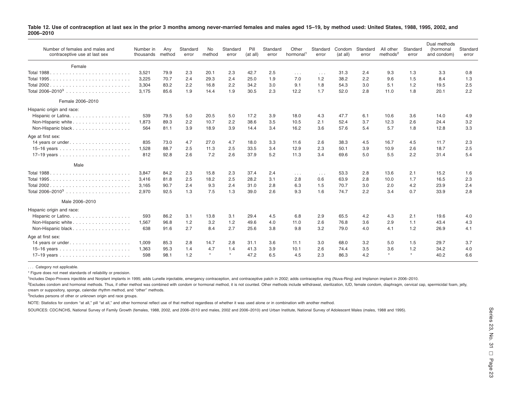<span id="page-29-0"></span>

| Table 12. Use of contraception at last sex in the prior 3 months among never-married females and males aged 15-19, by method used: United States, 1988, 1995, 2002, and |  |
|-------------------------------------------------------------------------------------------------------------------------------------------------------------------------|--|
| 2006-2010                                                                                                                                                               |  |

| Number of females and males and<br>contraceptive use at last sex | Number in<br>thousands | Any<br>method | Standard<br>error | No<br>method | Standard<br>error | Pill<br>(at all) | Standard<br>error | Other<br>hormonal <sup>1</sup> | Standard<br>error    | Condom<br>(at all) | Standard<br>error | All other<br>methods <sup>2</sup> | Standard<br>error | Dual methods<br>(hormonal<br>and condom) | Standard<br>error |
|------------------------------------------------------------------|------------------------|---------------|-------------------|--------------|-------------------|------------------|-------------------|--------------------------------|----------------------|--------------------|-------------------|-----------------------------------|-------------------|------------------------------------------|-------------------|
| Female                                                           |                        |               |                   |              |                   |                  |                   |                                |                      |                    |                   |                                   |                   |                                          |                   |
|                                                                  | 3.521                  | 79.9          | 2.3               | 20.1         | 2.3               | 42.7             | 2.5               | $\sim 100$                     | $\sim$ $\sim$ $\sim$ | 31.3               | 2.4               | 9.3                               | 1.3               | 3.3                                      | 0.8               |
|                                                                  | 3.225                  | 70.7          | 2.4               | 29.3         | 2.4               | 25.0             | 1.9               | 7.0                            | 1.2                  | 38.2               | 2.2               | 9.6                               | 1.5               | 8.4                                      | 1.3               |
|                                                                  | 3,304                  | 83.2          | 2.2               | 16.8         | 2.2               | 34.2             | 3.0               | 9.1                            | 1.8                  | 54.3               | 3.0               | 5.1                               | 1.2               | 19.5                                     | 2.5               |
|                                                                  | 3,175                  | 85.6          | 1.9               | 14.4         | 1.9               | 30.5             | 2.3               | 12.2                           | 1.7                  | 52.0               | 2.8               | 11.0                              | 1.8               | 20.1                                     | 2.2               |
| Female 2006-2010                                                 |                        |               |                   |              |                   |                  |                   |                                |                      |                    |                   |                                   |                   |                                          |                   |
| Hispanic origin and race:                                        |                        |               |                   |              |                   |                  |                   |                                |                      |                    |                   |                                   |                   |                                          |                   |
|                                                                  | 539                    | 79.5          | 5.0               | 20.5         | 5.0               | 17.2             | 3.9               | 18.0                           | 4.3                  | 47.7               | 6.1               | 10.6                              | 3.6               | 14.0                                     | 4.9               |
|                                                                  | 1.873                  | 89.3          | 2.2               | 10.7         | 2.2               | 38.6             | 3.5               | 10.5                           | 2.1                  | 52.4               | 3.7               | 12.3                              | 2.6               | 24.4                                     | 3.2               |
| Non-Hispanic black                                               | 564                    | 81.1          | 3.9               | 18.9         | 3.9               | 14.4             | 3.4               | 16.2                           | 3.6                  | 57.6               | 5.4               | 5.7                               | 1.8               | 12.8                                     | 3.3               |
| Age at first sex:                                                |                        |               |                   |              |                   |                  |                   |                                |                      |                    |                   |                                   |                   |                                          |                   |
|                                                                  | 835                    | 73.0          | 4.7               | 27.0         | 4.7               | 18.0             | 3.3               | 11.6                           | 2.6                  | 38.3               | 4.5               | 16.7                              | 4.5               | 11.7                                     | 2.3               |
|                                                                  | 1,528                  | 88.7          | 2.5               | 11.3         | 2.5               | 33.5             | 3.4               | 12.9                           | 2.3                  | 50.1               | 3.9               | 10.9                              | 2.6               | 18.7                                     | 2.5               |
|                                                                  | 812                    | 92.8          | 2.6               | 7.2          | 2.6               | 37.9             | 5.2               | 11.3                           | 3.4                  | 69.6               | 5.0               | 5.5                               | 2.2               | 31.4                                     | 5.4               |
| Male                                                             |                        |               |                   |              |                   |                  |                   |                                |                      |                    |                   |                                   |                   |                                          |                   |
|                                                                  | 3,847                  | 84.2          | 2.3               | 15.8         | 2.3               | 37.4             | 2.4               | $\sim$ $\sim$ $\sim$           | $\cdots$             | 53.3               | 2.8               | 13.6                              | 2.1               | 15.2                                     | 1.6               |
| Total 1995.                                                      | 3,416                  | 81.8          | 2.5               | 18.2         | 2.5               | 28.2             | 3.1               | 2.8                            | 0.6                  | 63.9               | 2.8               | 10.0                              | 1.7               | 16.5                                     | 2.3               |
| Total 2002.                                                      | 3,165                  | 90.7          | 2.4               | 9.3          | 2.4               | 31.0             | 2.8               | 6.3                            | 1.5                  | 70.7               | 3.0               | 2.0                               | 4.2               | 23.9                                     | 2.4               |
|                                                                  | 2,970                  | 92.5          | 1.3               | 7.5          | 1.3               | 39.0             | 2.6               | 9.3                            | 1.6                  | 74.7               | 2.2               | 3.4                               | 0.7               | 33.9                                     | 2.8               |
| Male 2006-2010                                                   |                        |               |                   |              |                   |                  |                   |                                |                      |                    |                   |                                   |                   |                                          |                   |
| Hispanic origin and race:                                        |                        |               |                   |              |                   |                  |                   |                                |                      |                    |                   |                                   |                   |                                          |                   |
|                                                                  | 593                    | 86.2          | 3.1               | 13.8         | 3.1               | 29.4             | 4.5               | 6.8                            | 2.9                  | 65.5               | 4.2               | 4.3                               | 2.1               | 19.6                                     | 4.0               |
| Non-Hispanic white                                               | 1.567                  | 96.8          | 1.2               | 3.2          | 1.2               | 49.6             | 4.0               | 11.0                           | 2.6                  | 76.8               | 3.6               | 2.9                               | 1.1               | 43.4                                     | 4.3               |
| Non-Hispanic black                                               | 638                    | 91.6          | 2.7               | 8.4          | 2.7               | 25.6             | 3.8               | 9.8                            | 3.2                  | 79.0               | 4.0               | 4.1                               | 1.2               | 26.9                                     | 4.1               |
| Age at first sex:                                                |                        |               |                   |              |                   |                  |                   |                                |                      |                    |                   |                                   |                   |                                          |                   |
|                                                                  | 1,009                  | 85.3          | 2.8               | 14.7         | 2.8               | 31.1             | 3.6               | 11.1                           | 3.0                  | 68.0               | 3.2               | 5.0                               | 1.5               | 29.7                                     | 3.7               |
|                                                                  | 1.363                  | 95.3          | 1.4               | 4.7          | 1.4               | 41.3             | 3.9               | 10.1                           | 2.6                  | 74.4               | 3.5               | 3.6                               | 1.2               | 34.2                                     | 4.0               |
|                                                                  | 598                    | 98.1          | 1.2               | $\star$      | $\star$           | 47.2             | 6.5               | 4.5                            | 2.3                  | 86.3               | 4.2               | $\star$                           | $\star$           | 40.2                                     | 6.6               |

. . . Category not applicable.

\* Figure does not meet standards of reliability or precision.

<sup>1</sup>Includes Depo-Provera injectible and Norplant implants in 1995; adds Lunelle injectable, emergency contraception, and contraceptive patch in 2002; adds contraceptive ring (Nuva-Ring) and Implanon implant in 2006–2010. <sup>2</sup>Excludes condom and hormonal methods. Thus, if other method was combined with condom or hormonal method, it is not counted. Other methods include withdrawal, sterilization, IUD, female condom, diaphragm, cervical cap, s cream or suppository, sponge, calendar rhythm method, and ''other'' methods.

<sup>3</sup>Includes persons of other or unknown origin and race groups.

NOTE: Statistics for condom "at all," pill "at all," and other hormonal reflect use of that method regardless of whether it was used alone or in combination with another method.

SOURCES: CDC/NCHS, National Survey of Family Growth (females, 1988, 2002, and 2006–2010 and males, 2002 and 2006–2010) and Urban Institute, National Survey of Adolescent Males (males, 1988 and 1995).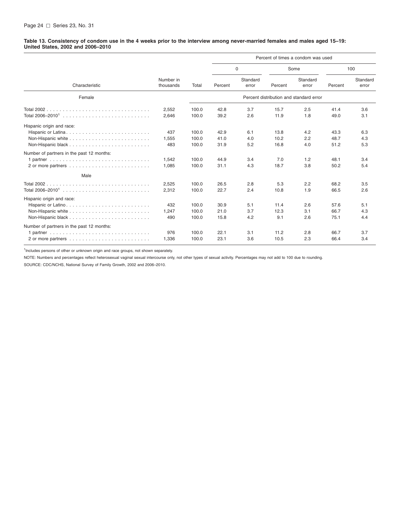<span id="page-30-0"></span>Table 13. Consistency of condom use in the 4 weeks prior to the interview among never-married females and males aged 15-19: **United States, 2002 and 2006–2010**

|                                                 |                        |                         | Percent of times a condom was used |                   |                      |                                         |                      |                   |  |  |
|-------------------------------------------------|------------------------|-------------------------|------------------------------------|-------------------|----------------------|-----------------------------------------|----------------------|-------------------|--|--|
|                                                 |                        |                         |                                    | 0                 | Some                 |                                         | 100                  |                   |  |  |
| Characteristic                                  | Number in<br>thousands | Total                   | Percent                            | Standard<br>error | Percent              | Standard<br>error                       | Percent              | Standard<br>error |  |  |
| Female                                          |                        |                         |                                    |                   |                      | Percent distribution and standard error |                      |                   |  |  |
| Total 2002.                                     | 2,552<br>2,646         | 100.0<br>100.0          | 42.8<br>39.2                       | 3.7<br>2.6        | 15.7<br>11.9         | 2.5<br>1.8                              | 41.4<br>49.0         | 3.6<br>3.1        |  |  |
| Hispanic origin and race:<br>Hispanic or Latina | 437<br>1,555<br>483    | 100.0<br>100.0<br>100.0 | 42.9<br>41.0<br>31.9               | 6.1<br>4.0<br>5.2 | 13.8<br>10.2<br>16.8 | 4.2<br>2.2<br>4.0                       | 43.3<br>48.7<br>51.2 | 6.3<br>4.3<br>5.3 |  |  |
| Number of partners in the past 12 months:       | 1,542<br>1,085         | 100.0<br>100.0          | 44.9<br>31.1                       | 3.4<br>4.3        | 7.0<br>18.7          | 1.2<br>3.8                              | 48.1<br>50.2         | 3.4<br>5.4        |  |  |
| Male                                            |                        |                         |                                    |                   |                      |                                         |                      |                   |  |  |
|                                                 | 2,525<br>2,312         | 100.0<br>100.0          | 26.5<br>22.7                       | 2.8<br>2.4        | 5.3<br>10.8          | 2.2<br>1.9                              | 68.2<br>66.5         | 3.5<br>2.6        |  |  |
| Hispanic origin and race:                       | 432<br>1,247<br>490    | 100.0<br>100.0<br>100.0 | 30.9<br>21.0<br>15.8               | 5.1<br>3.7<br>4.2 | 11.4<br>12.3<br>9.1  | 2.6<br>3.1<br>2.6                       | 57.6<br>66.7<br>75.1 | 5.1<br>4.3<br>4.4 |  |  |
| Number of partners in the past 12 months:       |                        |                         |                                    |                   |                      |                                         |                      |                   |  |  |
|                                                 | 976<br>1,336           | 100.0<br>100.0          | 22.1<br>23.1                       | 3.1<br>3.6        | 11.2<br>10.5         | 2.8<br>2.3                              | 66.7<br>66.4         | 3.7<br>3.4        |  |  |

<sup>1</sup>Includes persons of other or unknown origin and race groups, not shown separately.

NOTE: Numbers and percentages reflect heterosexual vaginal sexual intercourse only, not other types of sexual activity. Percentages may not add to 100 due to rounding.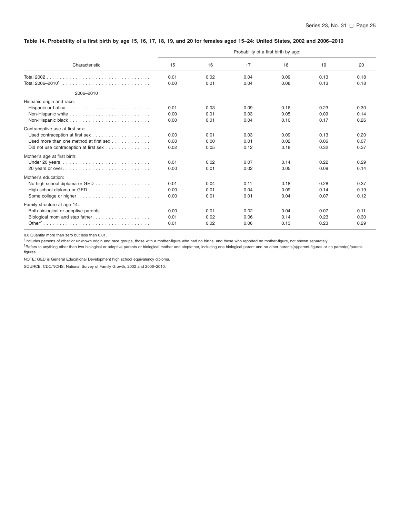#### <span id="page-31-0"></span>Table 14. Probability of a first birth by age 15, 16, 17, 18, 19, and 20 for females aged 15-24: United States, 2002 and 2006-2010

|                                        | Probability of a first birth by age: |      |      |      |      |      |  |  |  |  |  |
|----------------------------------------|--------------------------------------|------|------|------|------|------|--|--|--|--|--|
| Characteristic                         | 15                                   | 16   | 17   | 18   | 19   | 20   |  |  |  |  |  |
|                                        | 0.01                                 | 0.02 | 0.04 | 0.09 | 0.13 | 0.18 |  |  |  |  |  |
|                                        | 0.00                                 | 0.01 | 0.04 | 0.08 | 0.13 | 0.18 |  |  |  |  |  |
| 2006-2010                              |                                      |      |      |      |      |      |  |  |  |  |  |
| Hispanic origin and race:              |                                      |      |      |      |      |      |  |  |  |  |  |
| Hispanic or Latina                     | 0.01                                 | 0.03 | 0.09 | 0.16 | 0.23 | 0.30 |  |  |  |  |  |
|                                        | 0.00                                 | 0.01 | 0.03 | 0.05 | 0.09 | 0.14 |  |  |  |  |  |
|                                        | 0.00                                 | 0.01 | 0.04 | 0.10 | 0.17 | 0.26 |  |  |  |  |  |
| Contraceptive use at first sex:        |                                      |      |      |      |      |      |  |  |  |  |  |
|                                        | 0.00                                 | 0.01 | 0.03 | 0.09 | 0.13 | 0.20 |  |  |  |  |  |
| Used more than one method at first sex | 0.00                                 | 0.00 | 0.01 | 0.02 | 0.06 | 0.07 |  |  |  |  |  |
| Did not use contraception at first sex | 0.02                                 | 0.05 | 0.12 | 0.18 | 0.32 | 0.37 |  |  |  |  |  |
| Mother's age at first birth:           |                                      |      |      |      |      |      |  |  |  |  |  |
|                                        | 0.01                                 | 0.02 | 0.07 | 0.14 | 0.22 | 0.29 |  |  |  |  |  |
| 20 years or over                       | 0.00                                 | 0.01 | 0.02 | 0.05 | 0.09 | 0.14 |  |  |  |  |  |
| Mother's education:                    |                                      |      |      |      |      |      |  |  |  |  |  |
| No high school diploma or GED          | 0.01                                 | 0.04 | 0.11 | 0.18 | 0.28 | 0.37 |  |  |  |  |  |
|                                        | 0.00                                 | 0.01 | 0.04 | 0.09 | 0.14 | 0.19 |  |  |  |  |  |
|                                        | 0.00                                 | 0.01 | 0.01 | 0.04 | 0.07 | 0.12 |  |  |  |  |  |
|                                        |                                      |      |      |      |      |      |  |  |  |  |  |
| Family structure at age 14:            |                                      |      |      |      |      |      |  |  |  |  |  |
| Both biological or adoptive parents    | 0.00                                 | 0.01 | 0.02 | 0.04 | 0.07 | 0.11 |  |  |  |  |  |
| Biological mom and step father         | 0.01                                 | 0.02 | 0.06 | 0.14 | 0.23 | 0.30 |  |  |  |  |  |
|                                        | 0.01                                 | 0.02 | 0.06 | 0.13 | 0.23 | 0.29 |  |  |  |  |  |

0.0 Quantity more than zero but less than 0.01.

<sup>1</sup>Includes persons of other or unknown origin and race groups, those with a mother-figure who had no births, and those who reported no mother-figure, not shown separately.

<sup>2</sup>Refers to anything other than two biological or adoptive parents or biological mother and stepfather, including one biological parent and no other parents(s)/parent-figures or no parent(s)/parentfigures.

NOTE: GED is General Educational Development high school equivalency diploma.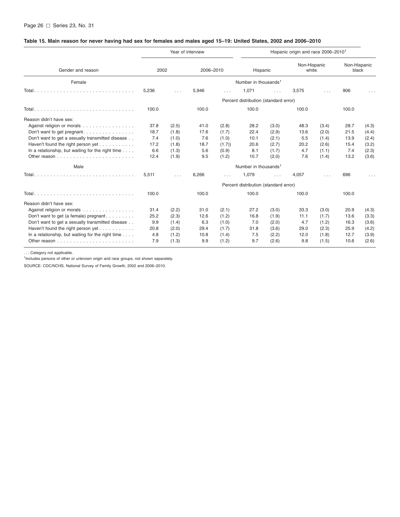## <span id="page-32-0"></span>Table 15. Main reason for never having had sex for females and males aged 15-19: United States, 2002 and 2006-2010

|                                                              |                                       |          | Year of interview |          | Hispanic origin and race 2006-2010 <sup>1</sup> |          |                       |          |                       |       |  |  |  |
|--------------------------------------------------------------|---------------------------------------|----------|-------------------|----------|-------------------------------------------------|----------|-----------------------|----------|-----------------------|-------|--|--|--|
| Gender and reason                                            | 2002                                  |          | 2006-2010         |          | Hispanic                                        |          | Non-Hispanic<br>white |          | Non-Hispanic<br>black |       |  |  |  |
| Female                                                       | Number in thousands <sup>1</sup>      |          |                   |          |                                                 |          |                       |          |                       |       |  |  |  |
|                                                              | 5,236                                 | $\cdots$ | 5,946             | $\cdots$ | 1,071                                           | $\cdots$ | 3,575                 | $\cdots$ | 906                   |       |  |  |  |
|                                                              | Percent distribution (standard error) |          |                   |          |                                                 |          |                       |          |                       |       |  |  |  |
|                                                              | 100.0                                 |          | 100.0             |          | 100.0                                           |          | 100.0                 |          | 100.0                 |       |  |  |  |
| Reason didn't have sex:                                      |                                       |          |                   |          |                                                 |          |                       |          |                       |       |  |  |  |
| Against religion or morals                                   | 37.8                                  | (2.5)    | 41.0              | (2.8)    | 28.2                                            | (3.0)    | 48.3                  | (3.4)    | 28.7                  | (4.3) |  |  |  |
| Don't want to get pregnant                                   | 18.7                                  | (1.8)    | 17.6              | (1.7)    | 22.4                                            | (2.9)    | 13.6                  | (2.0)    | 21.5                  | (4.4) |  |  |  |
| Don't want to get a sexually transmitted disease             | 7.4                                   | (1.0)    | 7.6               | (1.0)    | 10.1                                            | (2.1)    | 5.5                   | (1.4)    | 13.9                  | (2.4) |  |  |  |
| Haven't found the right person yet                           | 17.2                                  | (1.8)    | 18.7              | (1.7)    | 20.6                                            | (2.7)    | 20.2                  | (2.6)    | 15.4                  | (3.2) |  |  |  |
| In a relationship, but waiting for the right time            | 6.6                                   | (1.3)    | 5.6               | (0.9)    | 8.1                                             | (1.7)    | 4.7                   | (1.1)    | 7.4                   | (2.3) |  |  |  |
|                                                              | 12.4                                  | (1.9)    | 9.5               | (1.2)    | 10.7                                            | (2.0)    | 7.6                   | (1.4)    | 13.2                  | (3.6) |  |  |  |
| Male                                                         |                                       |          |                   |          | Number in thousands <sup>1</sup>                |          |                       |          |                       |       |  |  |  |
|                                                              | 5,511                                 | $\cdots$ | 6,266             |          | 1,079                                           | $\cdots$ | 4,057                 | $\cdots$ | 696                   |       |  |  |  |
|                                                              |                                       |          |                   |          | Percent distribution (standard error)           |          |                       |          |                       |       |  |  |  |
|                                                              | 100.0                                 |          | 100.0             |          | 100.0                                           |          | 100.0                 |          | 100.0                 |       |  |  |  |
| Reason didn't have sex:                                      |                                       |          |                   |          |                                                 |          |                       |          |                       |       |  |  |  |
| Against religion or morals                                   | 31.4                                  | (2.2)    | 31.0              | (2.1)    | 27.2                                            | (3.0)    | 33.3                  | (3.0)    | 20.9                  | (4.3) |  |  |  |
| Don't want to get (a female) pregnant                        | 25.2                                  | (2.3)    | 12.6              | (1.2)    | 16.8                                            | (1.9)    | 11.1                  | (1.7)    | 13.6                  | (3.3) |  |  |  |
| Don't want to get a sexually transmitted disease             | 9.9                                   | (1.4)    | 6.3               | (1.0)    | 7.0                                             | (2.0)    | 4.7                   | (1.2)    | 16.3                  | (3.6) |  |  |  |
| Haven't found the right person yet                           | 20.8                                  | (2.0)    | 29.4              | (1.7)    | 31.8                                            | (3.6)    | 29.0                  | (2.3)    | 25.9                  | (4.2) |  |  |  |
| In a relationship, but waiting for the right time $\ldots$ . | 4.8                                   | (1.2)    | 10.8              | (1.4)    | 7.5                                             | (2.2)    | 12.0                  | (1.8)    | 12.7                  | (3.9) |  |  |  |
|                                                              | 7.9                                   | (1.3)    | 9.9               | (1.2)    | 9.7                                             | (2.6)    | 9.8                   | (1.5)    | 10.6                  | (2.6) |  |  |  |

. . . Category not applicable.

. . . Category not applicable.<br><sup>1</sup>Includes persons of other or unknown origin and race groups, not shown separately.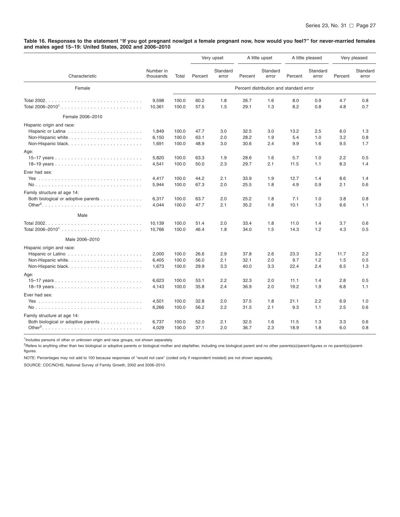<span id="page-33-0"></span>Table 16. Responses to the statement "If you got pregnant now/got a female pregnant now, how would you feel?" for never-married females **and males aged 15–19: United States, 2002 and 2006–2010**

|                                     |                        |       |         | Very upset        | A little upset |                                         | A little pleased |                   | Very pleased |                   |
|-------------------------------------|------------------------|-------|---------|-------------------|----------------|-----------------------------------------|------------------|-------------------|--------------|-------------------|
| Characteristic                      | Number in<br>thousands | Total | Percent | Standard<br>error | Percent        | Standard<br>error                       | Percent          | Standard<br>error | Percent      | Standard<br>error |
| Female                              |                        |       |         |                   |                | Percent distribution and standard error |                  |                   |              |                   |
|                                     | 9,598                  | 100.0 | 60.2    | 1.8               | 26.7           | 1.6                                     | 8.0              | 0.9               | 4.7          | 0.8               |
|                                     | 10,361                 | 100.0 | 57.5    | 1.5               | 29.1           | 1.3                                     | 8.2              | 0.8               | 4.8          | 0.7               |
| Female 2006-2010                    |                        |       |         |                   |                |                                         |                  |                   |              |                   |
| Hispanic origin and race:           |                        |       |         |                   |                |                                         |                  |                   |              |                   |
|                                     | 1,849                  | 100.0 | 47.7    | 3.0               | 32.5           | 3.0                                     | 13.2             | 2.5               | 6.0          | 1.3               |
| Non-Hispanic white                  | 6,150                  | 100.0 | 63.1    | 2.0               | 28.2           | 1.9                                     | 5.4              | 1.0               | 3.2          | 0.8               |
| Non-Hispanic black                  | 1,691                  | 100.0 | 48.9    | 3.0               | 30.6           | 2.4                                     | 9.9              | 1.6               | 9.5          | 1.7               |
| Age:                                |                        |       |         |                   |                |                                         |                  |                   |              |                   |
|                                     | 5,820                  | 100.0 | 63.3    | 1.9               | 28.6           | 1.6                                     | 5.7              | 1.0               | 2.2          | 0.5               |
|                                     | 4,541                  | 100.0 | 50.0    | 2.3               | 29.7           | 2.1                                     | 11.5             | 1.1               | 8.3          | 1.4               |
| Ever had sex:                       |                        |       |         |                   |                |                                         |                  |                   |              |                   |
|                                     | 4,417                  | 100.0 | 44.2    | 2.1               | 33.9           | 1.9                                     | 12.7             | 1.4               | 8.6          | 1.4               |
|                                     | 5,944                  | 100.0 | 67.3    | 2.0               | 25.5           | 1.8                                     | 4.9              | 0.9               | 2.1          | 0.6               |
| Family structure at age 14:         |                        |       |         |                   |                |                                         |                  |                   |              |                   |
| Both biological or adoptive parents | 6,317                  | 100.0 | 63.7    | 2.0               | 25.2           | 1.8                                     | 7.1              | 1.0               | 3.8          | 0.8               |
|                                     | 4,044                  | 100.0 | 47.7    | 2.1               | 35.2           | 1.8                                     | 10.1             | 1.3               | 6.6          | 1.1               |
| Male                                |                        |       |         |                   |                |                                         |                  |                   |              |                   |
| Total 2002.                         | 10,139                 | 100.0 | 51.4    | 2.0               | 33.4           | 1.8                                     | 11.0             | 1.4               | 3.7          | 0.6               |
|                                     | 10,766                 | 100.0 | 46.4    | 1.8               | 34.0           | 1.5                                     | 14.3             | 1.2               | 4.3          | 0.5               |
| Male 2006-2010                      |                        |       |         |                   |                |                                         |                  |                   |              |                   |
| Hispanic origin and race:           |                        |       |         |                   |                |                                         |                  |                   |              |                   |
|                                     | 2,000                  | 100.0 | 26.6    | 2.9               | 37.8           | 2.6                                     | 23.3             | 3.2               | 11.7         | 2.2               |
| Non-Hispanic white                  | 6,405                  | 100.0 | 56.0    | 2.1               | 32.1           | 2.0                                     | 9.7              | 1.2               | 1.5          | 0.5               |
|                                     | 1,673                  | 100.0 | 29.9    | 3.3               | 40.0           | 3.3                                     | 22.4             | 2.4               | 6.5          | 1.3               |
| Age:                                |                        |       |         |                   |                |                                         |                  |                   |              |                   |
| 15-17 years                         | 6,623                  | 100.0 | 53.1    | 2.2               | 32.3           | 2.0                                     | 11.1             | 1.4               | 2.8          | 0.5               |
|                                     | 4,143                  | 100.0 | 35.8    | 2.4               | 36.9           | 2.0                                     | 19.2             | 1.9               | 6.8          | 1.1               |
| Ever had sex:                       |                        |       |         |                   |                |                                         |                  |                   |              |                   |
|                                     | 4,501                  | 100.0 | 32.8    | 2.0               | 37.5           | 1.8                                     | 21.1             | 2.2               | 6.9          | 1.0               |
|                                     | 6,266                  | 100.0 | 56.2    | 2.2               | 31.5           | 2.1                                     | 9.3              | 1.1               | 2.5          | 0.6               |
| Family structure at age 14:         |                        |       |         |                   |                |                                         |                  |                   |              |                   |
| Both biological or adoptive parents | 6,737                  | 100.0 | 52.0    | 2.1               | 32.5           | 1.6                                     | 11.5             | 1.3               | 3.3          | 0.6               |
|                                     | 4,029                  | 100.0 | 37.1    | 2.0               | 36.7           | 2.3                                     | 18.9             | 1.8               | 6.0          | 0.8               |
|                                     |                        |       |         |                   |                |                                         |                  |                   |              |                   |

<sup>1</sup>Includes persons of other or unknown origin and race groups, not shown separately.

<sup>2</sup>Refers to anything other than two biological or adoptive parents or biological mother and stepfather, including one biological parent and no other parents(s)/parent-figures or no parent(s)/parentfigures.

NOTE: Percentages may not add to 100 because responses of ''would not care'' (coded only if respondent insisted) are not shown separately.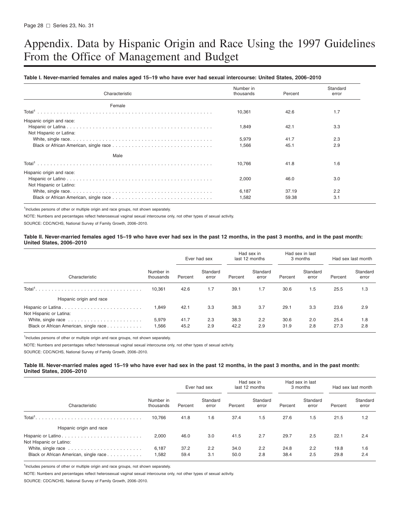# <span id="page-34-0"></span>Appendix. Data by Hispanic Origin and Race Using the 1997 Guidelines From the Office of Management and Budget

#### Table I. Never-married females and males aged 15-19 who have ever had sexual intercourse: United States, 2006-2010

| Characteristic                                       | Number in<br>thousands | Percent | Standard<br>error |
|------------------------------------------------------|------------------------|---------|-------------------|
| Female                                               |                        |         |                   |
|                                                      | 10,361                 | 42.6    | 1.7               |
| Hispanic origin and race:<br>Not Hispanic or Latina: | 1,849                  | 42.1    | 3.3               |
|                                                      | 5,979                  | 41.7    | 2.3               |
|                                                      | 1,566                  | 45.1    | 2.9               |
| Male                                                 |                        |         |                   |
|                                                      | 10.766                 | 41.8    | 1.6               |
| Hispanic origin and race:<br>Not Hispanic or Latino: | 2.000                  | 46.0    | 3.0               |
|                                                      | 6.187                  | 37.19   | 2.2               |
|                                                      | 1,582                  | 59.38   | 3.1               |

<sup>1</sup>Includes persons of other or multiple origin and race groups, not shown separately.

NOTE: Numbers and percentages reflect heterosexual vaginal sexual intercourse only, not other types of sexual activity.

SOURCE: CDC/NCHS, National Survey of Family Growth, 2006–2010.

#### Table II. Never-married females aged 15-19 who have ever had sex in the past 12 months, in the past 3 months, and in the past month: **United States, 2006–2010**

|                                               |                        | Ever had sex |                   | Had sex in<br>last 12 months |                   | Had sex in last<br>3 months |                   | Had sex last month |                   |
|-----------------------------------------------|------------------------|--------------|-------------------|------------------------------|-------------------|-----------------------------|-------------------|--------------------|-------------------|
| Characteristic                                | Number in<br>thousands | Percent      | Standard<br>error | Percent                      | Standard<br>error | Percent                     | Standard<br>error | Percent            | Standard<br>error |
| Total <sup>1</sup>                            | 10.361                 | 42.6         | 1.7               | 39.1                         | 1.7               | 30.6                        | 1.5               | 25.5               | 1.3               |
| Hispanic origin and race                      |                        |              |                   |                              |                   |                             |                   |                    |                   |
| Hispanic or Latina<br>Not Hispanic or Latina: | 1,849                  | 42.1         | 3.3               | 38.3                         | 3.7               | 29.1                        | 3.3               | 23.6               | 2.9               |
| Black or African American, single race        | 5,979<br>1,566         | 41.7<br>45.2 | 2.3<br>2.9        | 38.3<br>42.2                 | 2.2<br>2.9        | 30.6<br>31.9                | 2.0<br>2.8        | 25.4<br>27.3       | 1.8<br>2.8        |

<sup>1</sup>Includes persons of other or multiple origin and race groups, not shown separately.

NOTE: Numbers and percentages reflect heterosexual vaginal sexual intercourse only, not other types of sexual activity.

SOURCE: CDC/NCHS, National Survey of Family Growth, 2006–2010.

#### Table III. Never-married males aged 15–19 who have ever had sex in the past 12 months, in the past 3 months, and in the past month: **United States, 2006–2010**

|                                        |                        | Ever had sex |                   | Had sex in<br>last 12 months |                   | Had sex in last<br>3 months |                   | Had sex last month |                   |
|----------------------------------------|------------------------|--------------|-------------------|------------------------------|-------------------|-----------------------------|-------------------|--------------------|-------------------|
| Characteristic                         | Number in<br>thousands | Percent      | Standard<br>error | Percent                      | Standard<br>error | Percent                     | Standard<br>error | Percent            | Standard<br>error |
| Total <sup>1</sup>                     | 10.766                 | 41.8         | 1.6               | 37.4                         | 1.5               | 27.6                        | 1.5               | 21.5               | 1.2               |
| Hispanic origin and race               |                        |              |                   |                              |                   |                             |                   |                    |                   |
| Not Hispanic or Latino:                | 2,000                  | 46.0         | 3.0               | 41.5                         | 2.7               | 29.7                        | 2.5               | 22.1               | 2.4               |
| Black or African American, single race | 6,187<br>1,582         | 37.2<br>59.4 | 2.2<br>3.1        | 34.0<br>50.0                 | 2.2<br>2.8        | 24.8<br>38.4                | 2.2<br>2.5        | 19.8<br>29.8       | 1.6<br>2.4        |

<sup>1</sup>Includes persons of other or multiple origin and race groups, not shown separately.

NOTE: Numbers and percentages reflect heterosexual vaginal sexual intercourse only, not other types of sexual activity.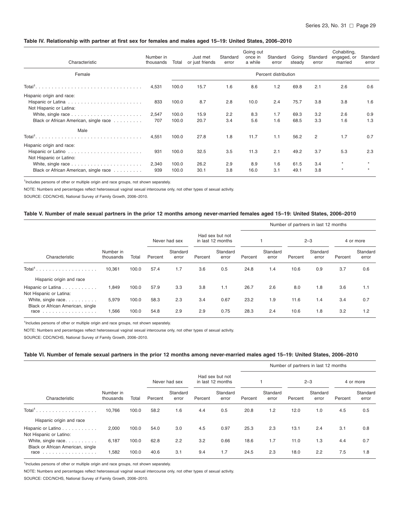#### <span id="page-35-0"></span>Table IV. Relationship with partner at first sex for females and males aged 15-19: United States, 2006-2010

| Characteristic                                       | Number in<br>thousands | Total          | Just met<br>or just friends | Standard<br>error | Going out<br>once in<br>a while | Standard<br>error | Going<br>steady | Standard<br>error | Cohabiting,<br>engaged, or<br>married | Standard<br>error |
|------------------------------------------------------|------------------------|----------------|-----------------------------|-------------------|---------------------------------|-------------------|-----------------|-------------------|---------------------------------------|-------------------|
| Female                                               |                        |                |                             |                   |                                 |                   |                 |                   |                                       |                   |
| $Total1$                                             | 4,531                  | 100.0          | 15.7                        | 1.6               | 8.6                             | 1.2               | 69.8            | 2.1               | 2.6                                   | 0.6               |
| Hispanic origin and race:                            |                        |                |                             |                   |                                 |                   |                 |                   |                                       |                   |
| Not Hispanic or Latina:                              | 833                    | 100.0          | 8.7                         | 2.8               | 10.0                            | 2.4               | 75.7            | 3.8               | 3.8                                   | 1.6               |
|                                                      | 2,547                  | 100.0          | 15.9                        | 2.2               | 8.3                             | 1.7               | 69.3            | 3.2               | 2.6                                   | 0.9               |
| Black or African American, single race               | 707                    | 100.0          | 20.7                        | 3.4               | 5.6                             | 1.6               | 68.5            | 3.3               | 1.6                                   | 1.3               |
| Male                                                 |                        |                |                             |                   |                                 |                   |                 |                   |                                       |                   |
|                                                      | 4,551                  | 100.0          | 27.8                        | 1.8               | 11.7                            | 1.1               | 56.2            | 2                 | 1.7                                   | 0.7               |
| Hispanic origin and race:<br>Not Hispanic or Latino: | 931                    | 100.0          | 32.5                        | 3.5               | 11.3                            | 2.1               | 49.2            | 3.7               | 5.3                                   | 2.3               |
| Black or African American, single race               | 2,340<br>939           | 100.0<br>100.0 | 26.2<br>30.1                | 2.9<br>3.8        | 8.9<br>16.0                     | 1.6<br>3.1        | 61.5<br>49.1    | 3.4<br>3.8        | $\star$<br>$\star$                    | $\pm$<br>$\star$  |

<sup>1</sup>Includes persons of other or multiple origin and race groups, not shown separately.

NOTE: Numbers and percentages reflect heterosexual vaginal sexual intercourse only, not other types of sexual activity.

SOURCE: CDC/NCHS, National Survey of Family Growth, 2006–2010.

#### Table V. Number of male sexual partners in the prior 12 months among never-married females aged 15-19: United States, 2006-2010

|                                                  |                        |       |               |                   |                                      |                   |         |                   |         | Number of partners in last 12 months |           |                   |
|--------------------------------------------------|------------------------|-------|---------------|-------------------|--------------------------------------|-------------------|---------|-------------------|---------|--------------------------------------|-----------|-------------------|
|                                                  |                        |       | Never had sex |                   | Had sex but not<br>in last 12 months |                   |         |                   | $2 - 3$ |                                      | 4 or more |                   |
| Characteristic                                   | Number in<br>thousands | Total | Percent       | Standard<br>error | Percent                              | Standard<br>error | Percent | Standard<br>error | Percent | Standard<br>error                    | Percent   | Standard<br>error |
| Total <sup>1</sup><br>.                          | 10,361                 | 100.0 | 57.4          | 1.7               | 3.6                                  | 0.5               | 24.8    | 1.4               | 10.6    | 0.9                                  | 3.7       | 0.6               |
| Hispanic origin and race                         |                        |       |               |                   |                                      |                   |         |                   |         |                                      |           |                   |
| Hispanic or Latina<br>Not Hispanic or Latina:    | 1.849                  | 100.0 | 57.9          | 3.3               | 3.8                                  | 1.1               | 26.7    | 2.6               | 8.0     | 1.8                                  | 3.6       | 1.1               |
| White, single race                               | 5,979                  | 100.0 | 58.3          | 2.3               | 3.4                                  | 0.67              | 23.2    | 1.9               | 11.6    | 1.4                                  | 3.4       | 0.7               |
| Black or African American, single<br><b>race</b> | 1,566                  | 100.0 | 54.8          | 2.9               | 2.9                                  | 0.75              | 28.3    | 2.4               | 10.6    | 1.8                                  | 3.2       | 1.2               |

<sup>1</sup>Includes persons of other or multiple origin and race groups, not shown separately.

NOTE: Numbers and percentages reflect heterosexual vaginal sexual intercourse only, not other types of sexual activity.

SOURCE: CDC/NCHS, National Survey of Family Growth, 2006–2010.

#### Table VI. Number of female sexual partners in the prior 12 months among never-married males aged 15-19: United States, 2006-2010

|                                                |                        |       |         |                   |         |                                      |         |                   |         | Number of partners in last 12 months |         |                   |  |
|------------------------------------------------|------------------------|-------|---------|-------------------|---------|--------------------------------------|---------|-------------------|---------|--------------------------------------|---------|-------------------|--|
|                                                |                        |       |         | Never had sex     |         | Had sex but not<br>in last 12 months |         |                   |         | $2 - 3$                              |         | 4 or more         |  |
| Characteristic                                 | Number in<br>thousands | Total | Percent | Standard<br>error | Percent | Standard<br>error                    | Percent | Standard<br>error | Percent | Standard<br>error                    | Percent | Standard<br>error |  |
| Total <sup>1</sup><br>.                        | 10,766                 | 100.0 | 58.2    | 1.6               | 4.4     | 0.5                                  | 20.8    | 1.2               | 12.0    | 1.0                                  | 4.5     | 0.5               |  |
| Hispanic origin and race                       |                        |       |         |                   |         |                                      |         |                   |         |                                      |         |                   |  |
| Hispanic or Latino<br>Not Hispanic or Latino:  | 2,000                  | 100.0 | 54.0    | 3.0               | 4.5     | 0.97                                 | 25.3    | 2.3               | 13.1    | 2.4                                  | 3.1     | 0.8               |  |
| White, single race                             | 6,187                  | 100.0 | 62.8    | 2.2               | 3.2     | 0.66                                 | 18.6    | 1.7               | 11.0    | 1.3                                  | 4.4     | 0.7               |  |
| Black or African American, single<br>race<br>. | 1,582                  | 100.0 | 40.6    | 3.1               | 9.4     | 1.7                                  | 24.5    | 2.3               | 18.0    | 2.2                                  | 7.5     | 1.8               |  |

<sup>1</sup>Includes persons of other or multiple origin and race groups, not shown separately.

NOTE: Numbers and percentages reflect heterosexual vaginal sexual intercourse only, not other types of sexual activity.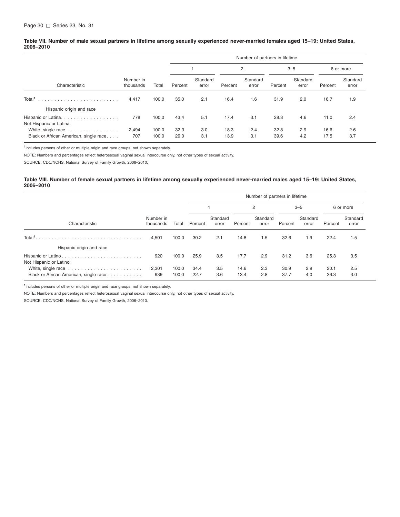#### <span id="page-36-0"></span>Table VII. Number of male sexual partners in lifetime among sexually experienced never-married females aged 15-19: United States, **2006–2010**

|                                                              |                        |                | Number of partners in lifetime |                   |              |                   |              |                   |              |                   |  |  |
|--------------------------------------------------------------|------------------------|----------------|--------------------------------|-------------------|--------------|-------------------|--------------|-------------------|--------------|-------------------|--|--|
|                                                              |                        |                |                                |                   | 2            |                   | $3 - 5$      |                   | 6 or more    |                   |  |  |
| Characteristic                                               | Number in<br>thousands | Total          | Percent                        | Standard<br>error | Percent      | Standard<br>error | Percent      | Standard<br>error | Percent      | Standard<br>error |  |  |
| Total <sup>1</sup><br>Hispanic origin and race               | 4.417                  | 100.0          | 35.0                           | 2.1               | 16.4         | 1.6               | 31.9         | 2.0               | 16.7         | 1.9               |  |  |
| Hispanic or Latina.<br>Not Hispanic or Latina:               | 778                    | 100.0          | 43.4                           | 5.1               | 17.4         | 3.1               | 28.3         | 4.6               | 11.0         | 2.4               |  |  |
| White, single race<br>Black or African American, single race | 2.494<br>707           | 100.0<br>100.0 | 32.3<br>29.0                   | 3.0<br>3.1        | 18.3<br>13.9 | 2.4<br>3.1        | 32.8<br>39.6 | 2.9<br>4.2        | 16.6<br>17.5 | 2.6<br>3.7        |  |  |

<sup>1</sup>Includes persons of other or multiple origin and race groups, not shown separately.

NOTE: Numbers and percentages reflect heterosexual vaginal sexual intercourse only, not other types of sexual activity.

SOURCE: CDC/NCHS, National Survey of Family Growth, 2006–2010.

#### Table VIII. Number of female sexual partners in lifetime among sexually experienced never-married males aged 15-19: United States, **2006–2010**

|                                        |                        | Number of partners in lifetime |              |                   |              |                   |              |                   |              |                   |  |  |  |
|----------------------------------------|------------------------|--------------------------------|--------------|-------------------|--------------|-------------------|--------------|-------------------|--------------|-------------------|--|--|--|
|                                        |                        |                                |              |                   | 2            |                   | $3 - 5$      |                   | 6 or more    |                   |  |  |  |
| Characteristic                         | Number in<br>thousands | Total                          | Percent      | Standard<br>error | Percent      | Standard<br>error | Percent      | Standard<br>error | Percent      | Standard<br>error |  |  |  |
|                                        | 4,501                  | 100.0                          | 30.2         | 2.1               | 14.8         | 1.5               | 32.6         | 1.9               | 22.4         | 1.5               |  |  |  |
| Hispanic origin and race               |                        |                                |              |                   |              |                   |              |                   |              |                   |  |  |  |
| Not Hispanic or Latino:                | 920                    | 100.0                          | 25.9         | 3.5               | 17.7         | 2.9               | 31.2         | 3.6               | 25.3         | 3.5               |  |  |  |
| Black or African American, single race | 2,301<br>939           | 100.0<br>100.0                 | 34.4<br>22.7 | 3.5<br>3.6        | 14.6<br>13.4 | 2.3<br>2.8        | 30.9<br>37.7 | 2.9<br>4.0        | 20.1<br>26.3 | 2.5<br>3.0        |  |  |  |

<sup>1</sup>Includes persons of other or multiple origin and race groups, not shown separately.

NOTE: Numbers and percentages reflect heterosexual vaginal sexual intercourse only, not other types of sexual activity.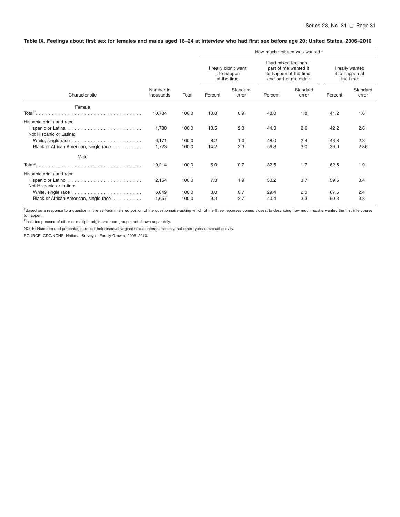#### <span id="page-37-0"></span>Table IX. Feelings about first sex for females and males aged 18-24 at interview who had first sex before age 20: United States, 2006-2010

|                                                      |                        |       | How much first sex was wanted <sup>1</sup> |                                                     |         |                                                                                                 |                                                |                   |  |  |  |  |  |
|------------------------------------------------------|------------------------|-------|--------------------------------------------|-----------------------------------------------------|---------|-------------------------------------------------------------------------------------------------|------------------------------------------------|-------------------|--|--|--|--|--|
|                                                      |                        |       |                                            | I really didn't want<br>it to happen<br>at the time |         | I had mixed feelings-<br>part of me wanted it<br>to happen at the time<br>and part of me didn't | I really wanted<br>it to happen at<br>the time |                   |  |  |  |  |  |
| Characteristic                                       | Number in<br>thousands | Total | Percent                                    | Standard<br>error                                   | Percent | Standard<br>error                                                                               | Percent                                        | Standard<br>error |  |  |  |  |  |
| Female                                               |                        |       |                                            |                                                     |         |                                                                                                 |                                                |                   |  |  |  |  |  |
|                                                      | 10,784                 | 100.0 | 10.8                                       | 0.9                                                 | 48.0    | 1.8                                                                                             | 41.2                                           | 1.6               |  |  |  |  |  |
| Hispanic origin and race:                            |                        |       |                                            |                                                     |         |                                                                                                 |                                                |                   |  |  |  |  |  |
| Not Hispanic or Latina:                              | 1,780                  | 100.0 | 13.5                                       | 2.3                                                 | 44.3    | 2.6                                                                                             | 42.2                                           | 2.6               |  |  |  |  |  |
|                                                      | 6,171                  | 100.0 | 8.2                                        | 1.0                                                 | 48.0    | 2.4                                                                                             | 43.8                                           | 2.3               |  |  |  |  |  |
| Black or African American, single race               | 1,723                  | 100.0 | 14.2                                       | 2.3                                                 | 56.8    | 3.0                                                                                             | 29.0                                           | 2.86              |  |  |  |  |  |
| Male                                                 |                        |       |                                            |                                                     |         |                                                                                                 |                                                |                   |  |  |  |  |  |
|                                                      | 10,214                 | 100.0 | 5.0                                        | 0.7                                                 | 32.5    | 1.7                                                                                             | 62.5                                           | 1.9               |  |  |  |  |  |
| Hispanic origin and race:<br>Not Hispanic or Latino: | 2,154                  | 100.0 | 7.3                                        | 1.9                                                 | 33.2    | 3.7                                                                                             | 59.5                                           | 3.4               |  |  |  |  |  |
|                                                      | 6,049                  | 100.0 | 3.0                                        | 0.7                                                 | 29.4    | 2.3                                                                                             | 67.5                                           | 2.4               |  |  |  |  |  |
| Black or African American, single race               | 1,657                  | 100.0 | 9.3                                        | 2.7                                                 | 40.4    | 3.3                                                                                             | 50.3                                           | 3.8               |  |  |  |  |  |

<sup>1</sup>Based on a response to a question in the self-administered portion of the questionnaire asking which of the three reponses comes closest to describing how much he/she wanted the first intercourse to happen. to happen.<br><sup>2</sup>Includes persons of other or multiple origin and race groups, not shown separately.

NOTE: Numbers and percentages reflect heterosexual vaginal sexual intercourse only, not other types of sexual activity.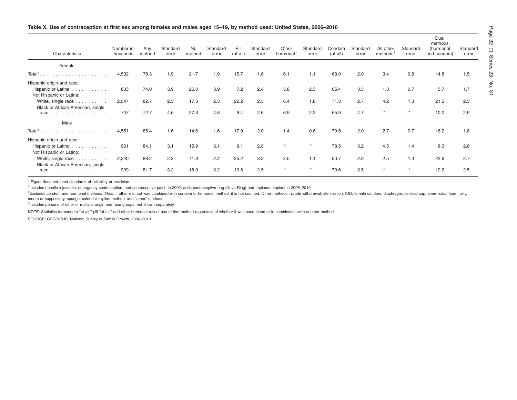<span id="page-38-0"></span>

| Characteristic                                                               | Number in<br>thousands | Any<br>method | Standard<br>error | No<br>method | Standard<br>error | Pill<br>(at all) | Standard<br>error | Other<br>hormonal <sup>1</sup> | Standard<br>error | Condom<br>(at all) | Standard<br>error | All other<br>methods <sup>2</sup> | Standard<br>error | Dual<br>methods<br>(hormonal<br>and condom) | Standard<br>error |
|------------------------------------------------------------------------------|------------------------|---------------|-------------------|--------------|-------------------|------------------|-------------------|--------------------------------|-------------------|--------------------|-------------------|-----------------------------------|-------------------|---------------------------------------------|-------------------|
| Female                                                                       |                        |               |                   |              |                   |                  |                   |                                |                   |                    |                   |                                   |                   |                                             |                   |
|                                                                              | 4,532                  | 78.3          | 1.9               | 21.7         | 1.9               | 15.7             | 1.6               | 6.1                            | 1.1               | 68.0               | 2.0               | 3.4                               | 0.8               | 14.8                                        | 1.5               |
| Hispanic origin and race:<br>Hispanic or Latina<br>Not Hispanic or Latina:   | 833                    | 74.0          | 3.9               | 26.0         | 3.9               | 7.2              | 2.4               | 5.8                            | 2.3               | 65.4               | 3.5               | 1.3                               | 0.7               | 5.7                                         | 1.7               |
| White, single race                                                           | 2,547                  | 82.7          | 2.3               | 17.3         | 2.3               | 22.2             | 2.5               | 6.4                            | 1.8               | 71.3               | 2.7               | 4.2                               | 1.3               | 21.3                                        | 2.3               |
| Black or African American, single<br>$race. \ldots. \ldots. \ldots. \ldots.$ | 707                    | 72.7          | 4.6               | 27.3         | 4.6               | 9.4              | 2.6               | 6.9                            | 2.2               | 65.9               | 4.7               |                                   |                   | 10.0                                        | 2.9               |
| Male                                                                         |                        |               |                   |              |                   |                  |                   |                                |                   |                    |                   |                                   |                   |                                             |                   |
|                                                                              | 4,551                  | 85.4          | 1.6               | 14.6         | 1.6               | 17.9             | 2.0               | 1.4                            | 0.6               | 79.6               | 2.0               | 2.7                               | 0.7               | 16.2                                        | 1.8               |
| Hispanic origin and race:<br>Hispanic or Latino<br>Not Hispanic or Latino:   | 931                    | 84.1          | 3.1               | 15.9         | 3.1               | 9.1              | 2.8               | $\star$                        |                   | 78.5               | 3.2               | 4.5                               | 1.4               | 8.3                                         | 2.8               |
| White, single race                                                           | 2,340                  | 88.2          | 2.2               | 11.8         | 2.2               | 25.2             | 3.2               | 2.5                            | 1.1               | 80.7               | 2.9               | 2.5                               | 1.3               | 22.6                                        | 2.7               |
| Black or African American, single<br>$race. \ldots \ldots \ldots \ldots$     | 939                    | 81.7          | 3.2               | 18.3         | 3.2               | 10.8             | 2.5               | $\star$                        |                   | 79.6               | 3.5               |                                   |                   | 10.2                                        | 2.5               |

\* Figure does not meet standards of reliability or precision.

1Includes Lunelle injectable, emergency contraception, and contraceptive patch in 2002; adds contraceptive ring (Nuva-Ring) and Implanon implant in 2006–2010.

<sup>2</sup>Excludes condom and hormonal methods. Thus, if other method was combined with condom or hormonal method, it is not counted. Other methods include withdrawal, sterilization, IUD, female condom, diaphragm, cervical cap, s cream or suppository, sponge, calendar rhythm method, and ''other'' methods.

<sup>3</sup>Includes persons of other or multiple origin and race groups, not shown separately.

NOTE: Statistics for condom "at all," pill "at all," and other hormonal reflect use of that method regardless of whether it was used alone or in combination with another method.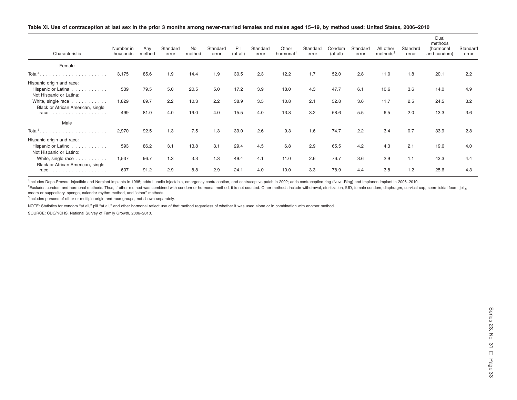<span id="page-39-0"></span>

| Table XI. Use of contraception at last sex in the prior 3 months among never-married females and males aged 15-19, by method used: United States, 2006-2010 |  |
|-------------------------------------------------------------------------------------------------------------------------------------------------------------|--|
|                                                                                                                                                             |  |

| Characteristic                                                             | Number in<br>thousands | Any<br>method | Standard<br>error | <b>No</b><br>method | Standard<br>error | Pill<br>(at all) | Standard<br>error | Other<br>hormonal <sup>1</sup> | Standard<br>error | Condom<br>(at all) | Standard<br>error | All other<br>methods <sup>2</sup> | Standard<br>error | Dual<br>methods<br>(hormonal<br>and condom) | Standard<br>error |
|----------------------------------------------------------------------------|------------------------|---------------|-------------------|---------------------|-------------------|------------------|-------------------|--------------------------------|-------------------|--------------------|-------------------|-----------------------------------|-------------------|---------------------------------------------|-------------------|
| Female                                                                     |                        |               |                   |                     |                   |                  |                   |                                |                   |                    |                   |                                   |                   |                                             |                   |
|                                                                            | 3,175                  | 85.6          | 1.9               | 14.4                | 1.9               | 30.5             | 2.3               | 12.2                           | 1.7               | 52.0               | 2.8               | 11.0                              | 1.8               | 20.1                                        | 2.2               |
| Hispanic origin and race:<br>Hispanic or Latina<br>Not Hispanic or Latina: | 539                    | 79.5          | 5.0               | 20.5                | 5.0               | 17.2             | 3.9               | 18.0                           | 4.3               | 47.7               | 6.1               | 10.6                              | 3.6               | 14.0                                        | 4.9               |
| White, single race                                                         | 1,829                  | 89.7          | 2.2               | 10.3                | 2.2               | 38.9             | 3.5               | 10.8                           | 2.1               | 52.8               | 3.6               | 11.7                              | 2.5               | 24.5                                        | 3.2               |
| Black or African American, single<br>$race.$                               | 499                    | 81.0          | 4.0               | 19.0                | 4.0               | 15.5             | 4.0               | 13.8                           | 3.2               | 58.6               | 5.5               | 6.5                               | 2.0               | 13.3                                        | 3.6               |
| Male                                                                       |                        |               |                   |                     |                   |                  |                   |                                |                   |                    |                   |                                   |                   |                                             |                   |
|                                                                            | 2,970                  | 92.5          | 1.3               | 7.5                 | 1.3               | 39.0             | 2.6               | 9.3                            | 1.6               | 74.7               | 2.2               | 3.4                               | 0.7               | 33.9                                        | 2.8               |
| Hispanic origin and race:<br>Hispanic or Latino<br>Not Hispanic or Latino: | 593                    | 86.2          | 3.1               | 13.8                | 3.1               | 29.4             | 4.5               | 6.8                            | 2.9               | 65.5               | 4.2               | 4.3                               | 2.1               | 19.6                                        | 4.0               |
| White, single race                                                         | 1,537                  | 96.7          | 1.3               | 3.3                 | 1.3               | 49.4             | 4.1               | 11.0                           | 2.6               | 76.7               | 3.6               | 2.9                               | 1.1               | 43.3                                        | 4.4               |
| Black or African American, single<br>$race.$                               | 607                    | 91.2          | 2.9               | 8.8                 | 2.9               | 24.1             | 4.0               | 10.0                           | 3.3               | 78.9               | 4.4               | 3.8                               | 1.2               | 25.6                                        | 4.3               |

<sup>1</sup>Includes Depo-Provera injectible and Norplant implants in 1995; adds Lunelle injectable, emergency contraception, and contraceptive patch in 2002; adds contraceptive ring (Nuva-Ring) and Implanon implant in 2006–2010.

<sup>2</sup>Excludes condom and hormonal methods. Thus, if other method was combined with condom or hormonal method, it is not counted. Other methods include withdrawal, sterilization, IUD, female condom, diaphragm, cervical cap, s cream or suppository, sponge, calendar rhythm method, and ''other'' methods.

<sup>3</sup>Includes persons of other or multiple origin and race groups, not shown separately.

NOTE: Statistics for condom "at all," pill "at all," and other hormonal reflect use of that method regardless of whether it was used alone or in combination with another method.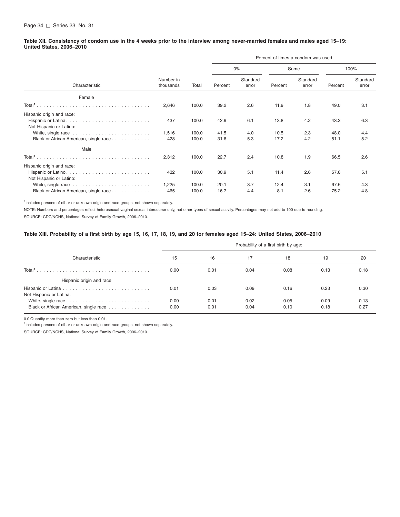#### <span id="page-40-0"></span>Table XII. Consistency of condom use in the 4 weeks prior to the interview among never-married females and males aged 15-19: **United States, 2006–2010**

|                                                                                                |                        |                         | Percent of times a condom was used |                   |                      |                   |                      |                   |  |  |
|------------------------------------------------------------------------------------------------|------------------------|-------------------------|------------------------------------|-------------------|----------------------|-------------------|----------------------|-------------------|--|--|
|                                                                                                |                        | Total                   | $0\%$                              |                   |                      | Some              | 100%                 |                   |  |  |
| Characteristic                                                                                 | Number in<br>thousands |                         | Percent                            | Standard<br>error | Percent              | Standard<br>error | Percent              | Standard<br>error |  |  |
| Female                                                                                         |                        |                         |                                    |                   |                      |                   |                      |                   |  |  |
|                                                                                                | 2,646                  | 100.0                   | 39.2                               | 2.6               | 11.9                 | 1.8               | 49.0                 | 3.1               |  |  |
| Hispanic origin and race:<br>Not Hispanic or Latina:<br>Black or African American, single race | 437<br>1,516<br>428    | 100.0<br>100.0<br>100.0 | 42.9<br>41.5<br>31.6               | 6.1<br>4.0<br>5.3 | 13.8<br>10.5<br>17.2 | 4.2<br>2.3<br>4.2 | 43.3<br>48.0<br>51.1 | 6.3<br>4.4<br>5.2 |  |  |
| Male                                                                                           |                        |                         |                                    |                   |                      |                   |                      |                   |  |  |
|                                                                                                | 2,312                  | 100.0                   | 22.7                               | 2.4               | 10.8                 | 1.9               | 66.5                 | 2.6               |  |  |
| Hispanic origin and race:<br>Not Hispanic or Latino:                                           | 432                    | 100.0                   | 30.9                               | 5.1               | 11.4                 | 2.6               | 57.6                 | 5.1               |  |  |
| Black or African American, single race                                                         | 1,225<br>465           | 100.0<br>100.0          | 20.1<br>16.7                       | 3.7<br>4.4        | 12.4<br>8.1          | 3.1<br>2.6        | 67.5<br>75.2         | 4.3<br>4.8        |  |  |

<sup>1</sup>Includes persons of other or unknown origin and race groups, not shown separately.

NOTE: Numbers and percentages reflect heterosexual vaginal sexual intercourse only, not other types of sexual activity. Percentages may not add to 100 due to rounding.

SOURCE: CDC/NCHS, National Survey of Family Growth, 2006–2010.

#### Table XIII. Probability of a first birth by age 15, 16, 17, 18, 19, and 20 for females aged 15-24: United States, 2006-2010

|                                        | Probability of a first birth by age: |              |              |              |              |              |  |  |  |  |
|----------------------------------------|--------------------------------------|--------------|--------------|--------------|--------------|--------------|--|--|--|--|
| Characteristic                         | 15                                   | 16           | 17           | 18           | 19           | 20           |  |  |  |  |
| Total <sup>1</sup>                     | 0.00                                 | 0.01         | 0.04         | 0.08         | 0.13         | 0.18         |  |  |  |  |
| Hispanic origin and race               |                                      |              |              |              |              |              |  |  |  |  |
| Not Hispanic or Latina:                | 0.01                                 | 0.03         | 0.09         | 0.16         | 0.23         | 0.30         |  |  |  |  |
| Black or African American, single race | 0.00<br>0.00                         | 0.01<br>0.01 | 0.02<br>0.04 | 0.05<br>0.10 | 0.09<br>0.18 | 0.13<br>0.27 |  |  |  |  |

0.0 Quantity more than zero but less than 0.01.

<sup>1</sup>Includes persons of other or unknown origin and race groups, not shown separately.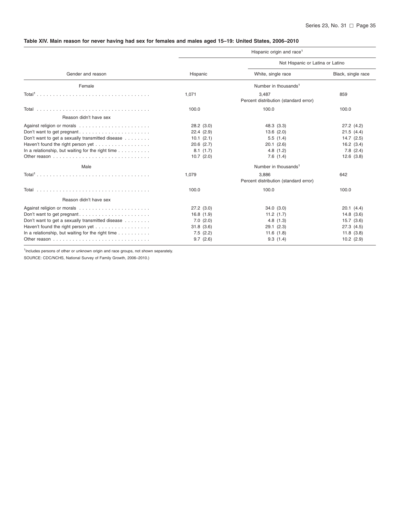# <span id="page-41-0"></span>Table XIV. Main reason for never having had sex for females and males aged 15-19: United States, 2006-2010

|                                                                                                                                                                                                          |                                                                                                       | Hispanic origin and race <sup>1</sup>                                                                                                                                   |                                                                                                |  |  |  |  |
|----------------------------------------------------------------------------------------------------------------------------------------------------------------------------------------------------------|-------------------------------------------------------------------------------------------------------|-------------------------------------------------------------------------------------------------------------------------------------------------------------------------|------------------------------------------------------------------------------------------------|--|--|--|--|
|                                                                                                                                                                                                          |                                                                                                       | Not Hispanic or Latina or Latino                                                                                                                                        |                                                                                                |  |  |  |  |
| Gender and reason                                                                                                                                                                                        | Hispanic                                                                                              | White, single race                                                                                                                                                      | Black, single race                                                                             |  |  |  |  |
| Female                                                                                                                                                                                                   |                                                                                                       | Number in thousands <sup>1</sup>                                                                                                                                        |                                                                                                |  |  |  |  |
|                                                                                                                                                                                                          | 1,071                                                                                                 | 3,487<br>Percent distribution (standard error)                                                                                                                          | 859                                                                                            |  |  |  |  |
|                                                                                                                                                                                                          | 100.0                                                                                                 | 100.0                                                                                                                                                                   | 100.0                                                                                          |  |  |  |  |
| Reason didn't have sex                                                                                                                                                                                   |                                                                                                       |                                                                                                                                                                         |                                                                                                |  |  |  |  |
| Don't want to get pregnant<br>Don't want to get a sexually transmitted disease<br>Haven't found the right person yet<br>In a relationship, but waiting for the right time $\ldots \ldots \ldots$<br>Male | 28.2(3.0)<br>22.4(2.9)<br>10.1(2.1)<br>$20.6$ $(2.7)$<br>8.1(1.7)<br>$10.7$ $(2.0)$<br>1.079<br>100.0 | 48.3 (3.3)<br>13.6(2.0)<br>5.5(1.4)<br>20.1(2.6)<br>4.8(1.2)<br>7.6(1.4)<br>Number in thousands <sup>1</sup><br>3.886<br>Percent distribution (standard error)<br>100.0 | 27.2(4.2)<br>21.5(4.4)<br>14.7(2.5)<br>$16.2$ $(3.4)$<br>7.8(2.4)<br>12.6(3.8)<br>642<br>100.0 |  |  |  |  |
|                                                                                                                                                                                                          |                                                                                                       |                                                                                                                                                                         |                                                                                                |  |  |  |  |
| Reason didn't have sex                                                                                                                                                                                   |                                                                                                       |                                                                                                                                                                         |                                                                                                |  |  |  |  |
|                                                                                                                                                                                                          | 27.2(3.0)                                                                                             | 34.0(3.0)                                                                                                                                                               | 20.1(4.4)                                                                                      |  |  |  |  |
| Don't want to get pregnant                                                                                                                                                                               | 16.8(1.9)                                                                                             | 11.2(1.7)                                                                                                                                                               | 14.8(3.6)                                                                                      |  |  |  |  |
| Don't want to get a sexually transmitted disease                                                                                                                                                         | 7.0(2.0)                                                                                              | 4.8(1.3)                                                                                                                                                                | 15.7(3.6)                                                                                      |  |  |  |  |
| Haven't found the right person yet                                                                                                                                                                       | 31.8(3.6)                                                                                             | 29.1(2.3)                                                                                                                                                               | 27.3(4.5)                                                                                      |  |  |  |  |
| In a relationship, but waiting for the right time $\dots \dots \dots$                                                                                                                                    | 7.5(2.2)                                                                                              | 11.6(1.8)                                                                                                                                                               | 11.8(3.8)                                                                                      |  |  |  |  |
|                                                                                                                                                                                                          | 9.7(2.6)                                                                                              | 9.3(1.4)                                                                                                                                                                | $10.2$ (2.9)                                                                                   |  |  |  |  |

<sup>1</sup>Includes persons of other or unknown origin and race groups, not shown separately.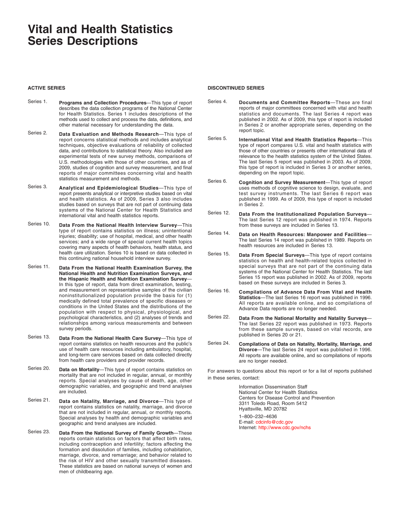# **Vital and Health Statistics Series Descriptions**

#### **ACTIVE SERIES**

- Series 1. **Programs and Collection Procedures**—This type of report describes the data collection programs of the National Center for Health Statistics. Series 1 includes descriptions of the methods used to collect and process the data, definitions, and other material necessary for understanding the data.
- Series 2. **Data Evaluation and Methods Research**—This type of report concerns statistical methods and includes analytical techniques, objective evaluations of reliability of collected data, and contributions to statistical theory. Also included are experimental tests of new survey methods, comparisons of U.S. methodologies with those of other countries, and as of 2009, studies of cognition and survey measurement, and final reports of major committees concerning vital and health statistics measurement and methods.
- Series 3. **Analytical and Epidemiological Studies**—This type of report presents analytical or interpretive studies based on vital and health statistics. As of 2009, Series 3 also includes studies based on surveys that are not part of continuing data systems of the National Center for Health Statistics and international vital and health statistics reports.
- Series 10. **Data From the National Health Interview Survey**—This type of report contains statistics on illness; unintentional injuries; disability; use of hospital, medical, and other health services; and a wide range of special current health topics covering many aspects of health behaviors, health status, and health care utilization. Series 10 is based on data collected in this continuing national household interview survey.
- Series 11. **Data From the National Health Examination Survey, the National Health and Nutrition Examination Surveys, and the Hispanic Health and Nutrition Examination Survey**— In this type of report, data from direct examination, testing, and measurement on representative samples of the civilian noninstitutionalized population provide the basis for (1) medically defined total prevalence of specific diseases or conditions in the United States and the distributions of the population with respect to physical, physiological, and psychological characteristics, and (2) analyses of trends and relationships among various measurements and between survey periods.
- Series 13. **Data From the National Health Care Survey**—This type of report contains statistics on health resources and the public's use of health care resources including ambulatory, hospital, and long-term care services based on data collected directly from health care providers and provider records.
- Series 20. **Data on Mortality**—This type of report contains statistics on mortality that are not included in regular, annual, or monthly reports. Special analyses by cause of death, age, other demographic variables, and geographic and trend analyses are included.
- Series 21. **Data on Natality, Marriage, and Divorce**—This type of report contains statistics on natality, marriage, and divorce that are not included in regular, annual, or monthly reports. Special analyses by health and demographic variables and geographic and trend analyses are included.
- Series 23. **Data From the National Survey of Family Growth**—These reports contain statistics on factors that affect birth rates, including contraception and infertility; factors affecting the formation and dissolution of families, including cohabitation, marriage, divorce, and remarriage; and behavior related to the risk of HIV and other sexually transmitted diseases. These statistics are based on national surveys of women and men of childbearing age.

#### **DISCONTINUED SERIES**

- Series 4. **Documents and Committee Reports**—These are final reports of major committees concerned with vital and health statistics and documents. The last Series 4 report was published in 2002. As of 2009, this type of report is included in Series 2 or another appropriate series, depending on the report topic.
- Series 5. **International Vital and Health Statistics Reports**—This type of report compares U.S. vital and health statistics with those of other countries or presents other international data of relevance to the health statistics system of the United States. The last Series 5 report was published in 2003. As of 2009, this type of report is included in Series 3 or another series, depending on the report topic.
- Series 6. **Cognition and Survey Measurement**—This type of report uses methods of cognitive science to design, evaluate, and test survey instruments. The last Series 6 report was published in 1999. As of 2009, this type of report is included in Series 2.
- Series 12. **Data From the Institutionalized Population Surveys** The last Series 12 report was published in 1974. Reports from these surveys are included in Series 13.
- Series 14. **Data on Health Resources: Manpower and Facilities** The last Series 14 report was published in 1989. Reports on health resources are included in Series 13.
- Series 15. **Data From Special Surveys**—This type of report contains statistics on health and health-related topics collected in special surveys that are not part of the continuing data systems of the National Center for Health Statistics. The last Series 15 report was published in 2002. As of 2009, reports based on these surveys are included in Series 3.
- Series 16. **Compilations of Advance Data From Vital and Health Statistics**—The last Series 16 report was published in 1996. All reports are available online, and so compilations of Advance Data reports are no longer needed.
- Series 22. **Data From the National Mortality and Natality Surveys** The last Series 22 report was published in 1973. Reports from these sample surveys, based on vital records, are published in Series 20 or 21.
- Series 24. **Compilations of Data on Natality, Mortality, Marriage, and Divorce**—The last Series 24 report was published in 1996. All reports are available online, and so compilations of reports are no longer needed.

For answers to questions about this report or for a list of reports published in these series, contact:

> Information Dissemination Staff National Center for Health Statistics Centers for Disease Control and Prevention 3311 Toledo Road, Room 5412 Hyattsville, MD 20782 1–800–232–4636 E-mail: cdcinfo@cdc.gov Internet: http://www.cdc.gov/nchs